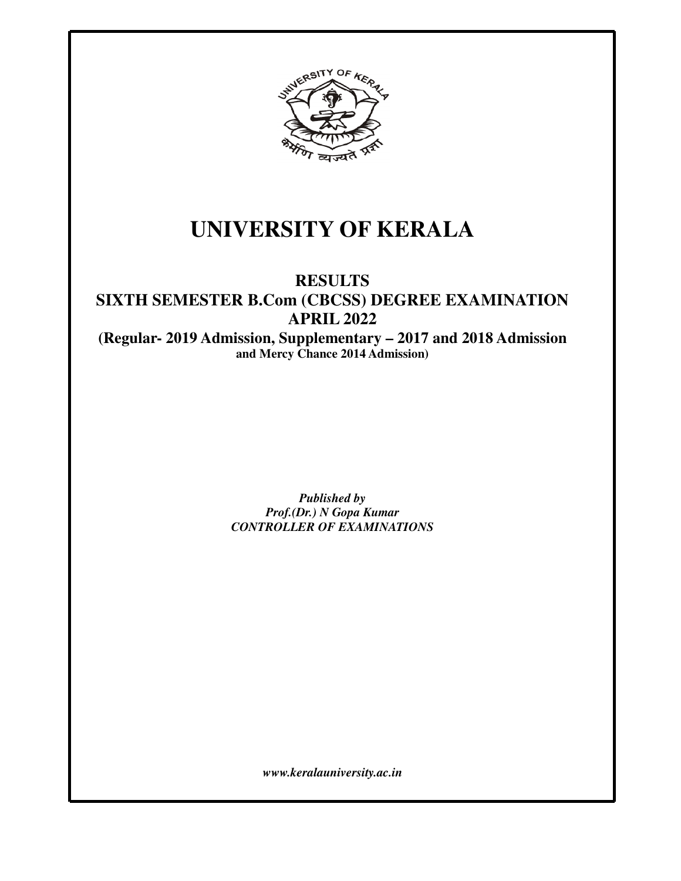

# **UNIVERSITY OF KERALA**

# **RESULTS**

# **SIXTH SEMESTER B.Com (CBCSS) DEGREE EXAMINATION APRIL 2022**

**(Regular- 2019 Admission, Supplementary – 2017 and 2018 Admission and Mercy Chance 2014 Admission)** 

> *Published by Prof.(Dr.) N Gopa Kumar CONTROLLER OF EXAMINATIONS*

> > *www.keralauniversity.ac.in*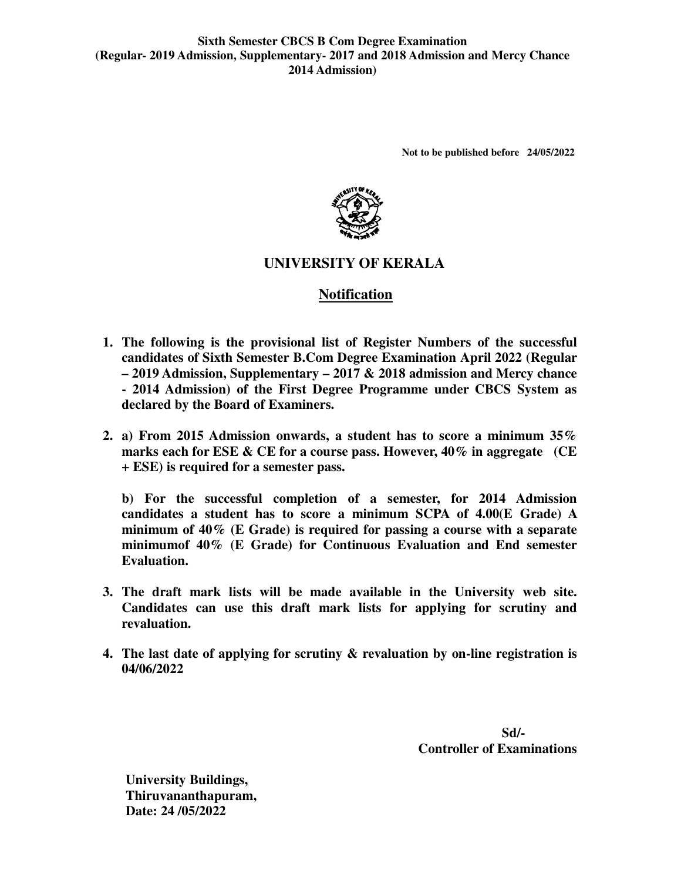**Not to be published before 24/05/2022** 



# **UNIVERSITY OF KERALA**

# **Notification**

- 1. The following is the provisional list of Register Numbers of the successful candidates of Sixth Semester B.Com Degree Examination April 2022 (Regular **– 2019 Admission, Supplementary Supplementary – 2017 & 2018 admission and Mercy chance - 2014 Admission) of the First Degree Programme under CBCS System as** declared by the Board of Examiners.
- **2.** a) From 2015 Admission onwards, a student has to score a minimum 35% **marks each for ESE & CE for a course pass. However, 40% in aggregate (CE + ESE) is required for a semester pass.**

**b) For the successful completion of a semester, for 2014 Admission** marks each for ESE & CE for a course pass. However, 40% in aggregate (CE<br>
+ ESE) is required for a semester pass.<br>
b) For the successful completion of a semester, for 2014 Admission<br>
candidates a student has to score a min minimum of 40% (E Grade) is required for passing a course with a separate **minimumof 40% (E Grade) for Continuous Evaluation and End semester Evaluation.**  the successful completion of a semester, for 2014 Admission<br>
is a student has to score a minimum SCPA of  $4.00(E \text{ Grade})$  A<br>
i of  $40\%$  (E Grade) is required for passing a course with a separate<br>
iof  $40\%$  (E Grade) for Con

- **3.** The draft mark lists will be made available in the University web s Candidates can use this draft mark lists for applying for scrutiny and **revaluation.**
- **4.** The last date of applying for scrutiny & revaluation by on-line registration is **04/06/2022**  s for applying for scrut<br>valuation by on-line regist<br>Sd/-

**Sd/ Controller of Examinations**

**University Buildings, Thiruvananthapuram, Date: 24 /05/2022**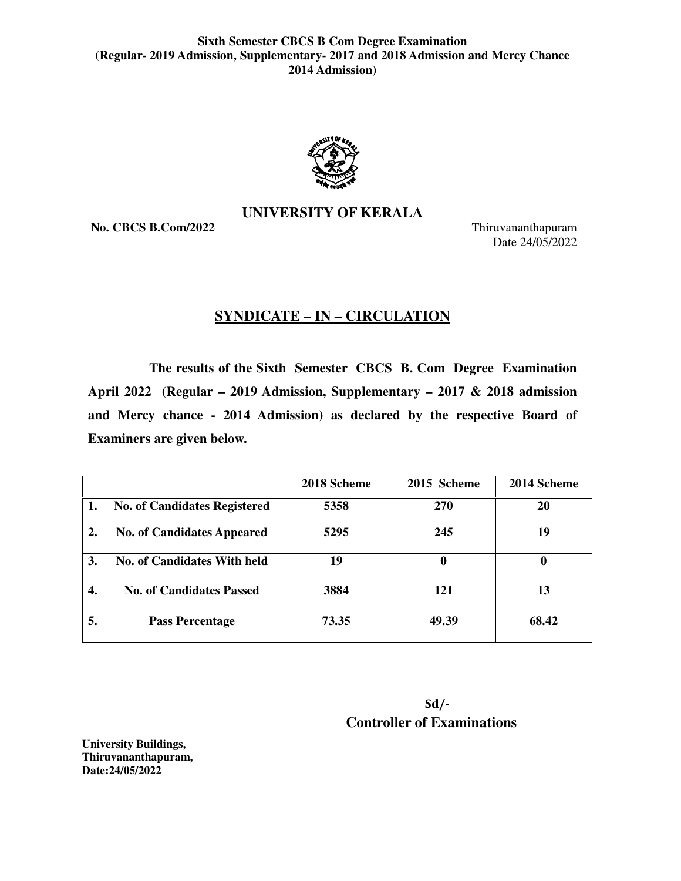

# **UNIVERSITY OF KERALA**

**No. CBCS B.Com/2022**

Thiruvananthapuram Date Date 24/05/2022

# **SYNDICATE – IN – CIRCULATION**

 **The results of the Sixth Semester CBCS B. Com Degree Examination Examination**  April 2022 (Regular – 2019 Admission, Supplementary – 2017 & 2018 admission and Mercy chance - 2014 Admission) as declared by the respective Board of **Examiners are given below.** 

|                  |                                     | 2018 Scheme | 2015 Scheme | 2014 Scheme |
|------------------|-------------------------------------|-------------|-------------|-------------|
| 1.               | <b>No. of Candidates Registered</b> | 5358        | 270         | 20          |
| 2.               | <b>No. of Candidates Appeared</b>   | 5295        | 245         | 19          |
| 3.               | <b>No. of Candidates With held</b>  | 19          | 0           | 0           |
| $\overline{4}$ . | <b>No. of Candidates Passed</b>     | 3884        | 121         | 13          |
| 5.               | <b>Pass Percentage</b>              | 73.35       | 49.39       | 68.42       |

| $Sd$ /-                           |
|-----------------------------------|
| <b>Controller of Examinations</b> |

**University Buildings, Thiruvananthapuram, Date:24/05/2022**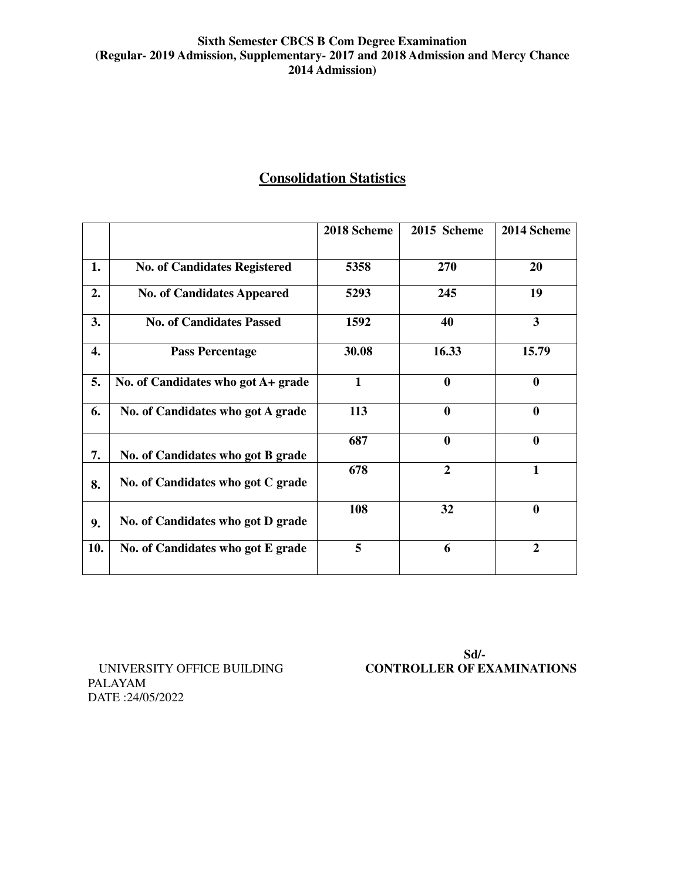# **Consolidation Statistics**

|     |                                     | 2018 Scheme  | 2015 Scheme    | 2014 Scheme  |
|-----|-------------------------------------|--------------|----------------|--------------|
| 1.  | <b>No. of Candidates Registered</b> | 5358         | 270            | 20           |
| 2.  | <b>No. of Candidates Appeared</b>   | 5293         | 245            | 19           |
| 3.  | <b>No. of Candidates Passed</b>     | 1592         | 40             | 3            |
| 4.  | <b>Pass Percentage</b>              | 30.08        | 16.33          | 15.79        |
| 5.  | No. of Candidates who got A+ grade  | $\mathbf{1}$ | $\bf{0}$       | $\mathbf{0}$ |
| 6.  | No. of Candidates who got A grade   | 113          | $\bf{0}$       | $\mathbf{0}$ |
| 7.  | No. of Candidates who got B grade   | 687          | $\bf{0}$       | $\mathbf{0}$ |
| 8.  | No. of Candidates who got C grade   | 678          | $\overline{2}$ | $\mathbf{1}$ |
| 9.  | No. of Candidates who got D grade   | 108          | 32             | $\bf{0}$     |
| 10. | No. of Candidates who got E grade   | 5            | 6              | $\mathbf{2}$ |

PALAYAM DATE :24/05/2022

**Sd/-**  UNIVERSITY OFFICE BUILDING **CONTROLLER OF EXAMINATIONS**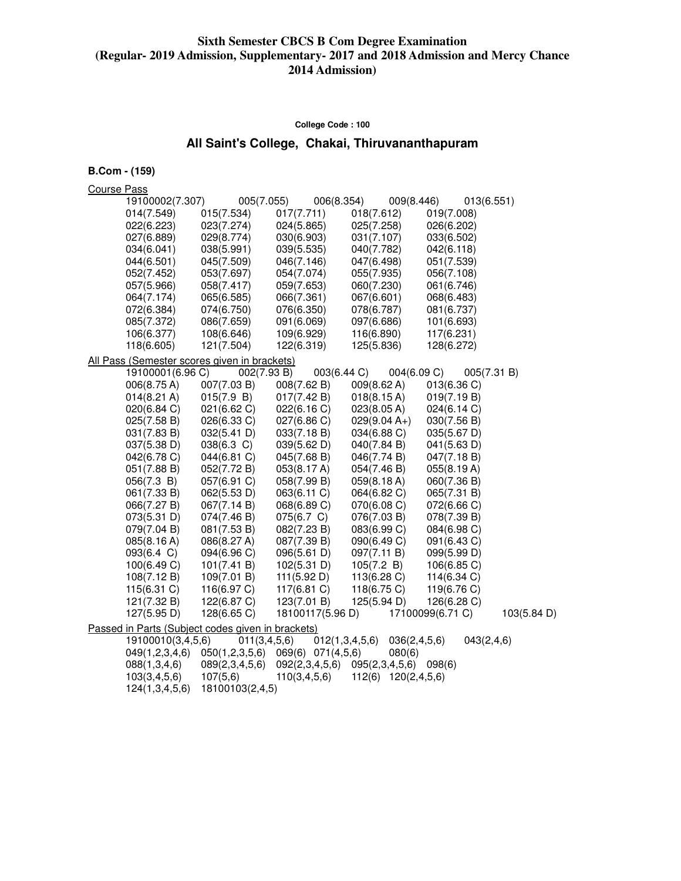#### **College Code : 100**

# **All Saint's College, Chakai, Thiruvananthapuram**

**B.Com - (159)** 

Course Pass

| 19100002(7.307)       | 005(7.055)                                        | 006(8.354)                    | 009(8.446)     | 013(6.551)       |                       |
|-----------------------|---------------------------------------------------|-------------------------------|----------------|------------------|-----------------------|
| 014(7.549)            | 015(7.534)                                        | 017(7.711)                    | 018(7.612)     | 019(7.008)       |                       |
| 022(6.223)            | 023(7.274)                                        | 024(5.865)                    | 025(7.258)     | 026(6.202)       |                       |
| 027(6.889)            | 029(8.774)                                        | 030(6.903)                    | 031(7.107)     | 033(6.502)       |                       |
| 034(6.041)            | 038(5.991)                                        | 039(5.535)                    | 040(7.782)     | 042(6.118)       |                       |
| 044(6.501)            | 045(7.509)                                        | 046(7.146)                    | 047(6.498)     | 051(7.539)       |                       |
| 052(7.452)            | 053(7.697)                                        | 054(7.074)                    | 055(7.935)     | 056(7.108)       |                       |
| 057(5.966)            | 058(7.417)                                        | 059(7.653)                    | 060(7.230)     | 061(6.746)       |                       |
| 064(7.174)            | 065(6.585)                                        | 066(7.361)                    | 067(6.601)     | 068(6.483)       |                       |
| 072(6.384)            | 074(6.750)                                        | 076(6.350)                    | 078(6.787)     | 081(6.737)       |                       |
| 085(7.372)            | 086(7.659)                                        | 091(6.069)                    | 097(6.686)     | 101(6.693)       |                       |
| 106(6.377)            | 108(6.646)                                        | 109(6.929)                    | 116(6.890)     | 117(6.231)       |                       |
| 118(6.605)            | 121(7.504)                                        | 122(6.319)                    | 125(5.836)     | 128(6.272)       |                       |
|                       | All Pass (Semester scores given in brackets)      |                               |                |                  |                       |
| 19100001(6.96 C)      | 002(7.93 B)                                       | 003(6.44 C)                   | 004(6.09 C)    | 005(7.31 B)      |                       |
| 006(8.75 A)           | 007(7.03 B)                                       | 008(7.62 B)                   | 009(8.62 A)    | 013(6.36 C)      |                       |
| $014(8.21 \text{ A})$ | 015(7.9 B)                                        | 017(7.42 B)                   | 018(8.15 A)    | 019(7.19 B)      |                       |
| 020(6.84 C)           | 021(6.62 C)                                       | 022(6.16 C)                   | 023(8.05 A)    | 024(6.14 C)      |                       |
| 025(7.58 B)           | 026(6.33 C)                                       | 027(6.86 C)                   | $029(9.04 A+)$ | 030(7.56 B)      |                       |
| 031(7.83 B)           | 032(5.41 D)                                       | 033(7.18 B)                   | 034(6.88 C)    | 035(5.67 D)      |                       |
| 037(5.38 D)           | $038(6.3)$ C)                                     | 039(5.62 D)                   | 040(7.84 B)    | 041(5.63 D)      |                       |
| 042(6.78 C)           | 044(6.81 C)                                       | 045(7.68 B)                   | 046(7.74 B)    | 047(7.18 B)      |                       |
| 051(7.88 B)           | 052(7.72 B)                                       | 053(8.17 A)                   | 054(7.46 B)    | 055(8.19 A)      |                       |
| 056(7.3 B)            | 057(6.91 C)                                       | 058(7.99 B)                   | 059(8.18 A)    | 060(7.36 B)      |                       |
| 061(7.33 B)           | 062(5.53 D)                                       | 063(6.11 C)                   | 064(6.82 C)    | 065(7.31 B)      |                       |
| 066(7.27 B)           | 067(7.14 B)                                       | 068(6.89 C)                   | 070(6.08 C)    | 072(6.66 C)      |                       |
| 073(5.31 D)           | 074(7.46 B)                                       | 075(6.7 C)                    | 076(7.03 B)    | 078(7.39 B)      |                       |
| 079(7.04 B)           | 081(7.53 B)                                       | 082(7.23 B)                   | 083(6.99 C)    | 084(6.98 C)      |                       |
| 085(8.16 A)           | 086(8.27 A)                                       | 087(7.39 B)                   | 090(6.49 C)    | 091(6.43 C)      |                       |
| $093(6.4 \text{ C})$  | 094(6.96 C)                                       | 096(5.61 D)                   | 097(7.11 B)    | 099(5.99 D)      |                       |
| 100(6.49 C)           | 101(7.41 B)                                       | 102(5.31 D)                   | 105(7.2 B)     | 106(6.85 C)      |                       |
| 108(7.12 B)           | 109(7.01 B)                                       | 111(5.92 D)                   | 113(6.28)      | 114(6.34 C)      |                       |
| $115(6.31)$ C)        | 116(6.97 C)                                       | 117(6.81 C)                   | 118(6.75 C)    | 119(6.76 C)      |                       |
| 121(7.32 B)           | 122(6.87 C)                                       | 123(7.01 B)                   | 125(5.94 D)    | 126(6.28 C)      |                       |
| 127(5.95 D)           | 128(6.65 C)                                       | 18100117(5.96 D)              |                | 17100099(6.71 C) | $103(5.84 \text{ D})$ |
|                       | Passed in Parts (Subject codes given in brackets) |                               |                |                  |                       |
| 19100010(3,4,5,6)     | 011(3,4,5,6)                                      | 012(1,3,4,5,6)                | 036(2,4,5,6)   | 043(2, 4, 6)     |                       |
| 049(1,2,3,4,6)        | 050(1,2,3,5,6) 069(6) 071(4,5,6)                  |                               | 080(6)         |                  |                       |
| 088(1,3,4,6)          | 089(2,3,4,5,6)                                    | 092(2,3,4,5,6) 095(2,3,4,5,6) |                | 098(6)           |                       |

 103(3,4,5,6) 107(5,6) 110(3,4,5,6) 112(6) 120(2,4,5,6) 124(1,3,4,5,6) 18100103(2,4,5)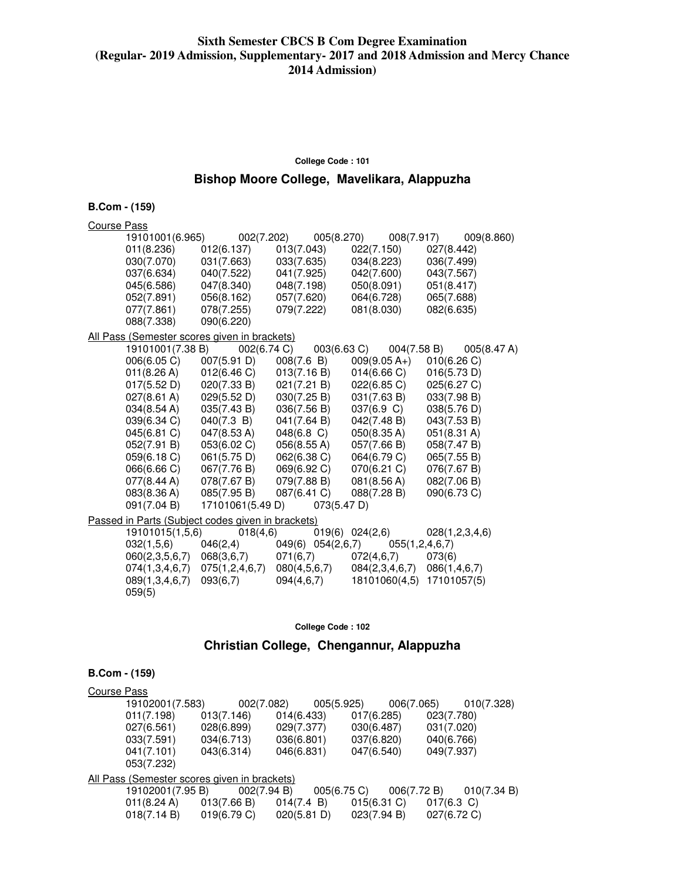#### **College Code : 101**

# **Bishop Moore College, Mavelikara, Alappuzha**

**B.Com - (159)** 

| Course Pass |                          |                                                   |               |                   |                |                                 |                       |                |
|-------------|--------------------------|---------------------------------------------------|---------------|-------------------|----------------|---------------------------------|-----------------------|----------------|
|             | 19101001(6.965)          | 002(7.202)                                        |               | 005(8.270)        |                | 008(7.917)                      |                       | 009(8.860)     |
|             | 011(8.236)               | 012(6.137)                                        | 013(7.043)    |                   | 022(7.150)     |                                 | 027(8.442)            |                |
|             | 030(7.070)               | 031(7.663)                                        | 033(7.635)    |                   | 034(8.223)     |                                 | 036(7.499)            |                |
|             | 037(6.634)               | 040(7.522)                                        | 041(7.925)    |                   | 042(7.600)     |                                 | 043(7.567)            |                |
|             | 045(6.586)               | 047(8.340)                                        | 048(7.198)    |                   | 050(8.091)     |                                 | 051(8.417)            |                |
|             | 052(7.891)               | 056(8.162)                                        | 057(7.620)    |                   | 064(6.728)     |                                 | 065(7.688)            |                |
|             | 077(7.861)               | 078(7.255)                                        | 079(7.222)    |                   | 081(8.030)     |                                 | 082(6.635)            |                |
|             | 088(7.338)               | 090(6.220)                                        |               |                   |                |                                 |                       |                |
|             |                          | All Pass (Semester scores given in brackets)      |               |                   |                |                                 |                       |                |
|             | 19101001(7.38 B)         | 002(6.74 C)                                       |               | 003(6.63 C)       |                | 004(7.58 B)                     |                       | 005(8.47 A)    |
|             | 006(6.05 C)              | 007(5.91 D)                                       | 008(7.6 B)    |                   | $009(9.05 A+)$ |                                 | 010(6.26)             |                |
|             | 011(8.26 A)              | 012(6.46 C)                                       | 013(7.16 B)   |                   | 014(6.66)      |                                 | 016(5.73 D)           |                |
|             | 017(5.52 D)              | 020(7.33 B)                                       | 021(7.21 B)   |                   | 022(6.85 C)    |                                 | 025(6.27 C)           |                |
|             | 027(8.61 A)              | 029(5.52 D)                                       | 030(7.25 B)   |                   | 031(7.63 B)    |                                 | 033(7.98 B)           |                |
|             | $034(8.54 \text{ A})$    | 035(7.43 B)                                       | 036(7.56 B)   |                   | 037(6.9 C)     |                                 | 038(5.76 D)           |                |
|             | 039(6.34 C)              | 040(7.3 B)                                        | 041(7.64 B)   |                   | 042(7.48 B)    |                                 | 043(7.53 B)           |                |
|             | 045(6.81 C)              | $047(8.53 \text{ A})$                             | $048(6.8)$ C) |                   | 050(8.35 A)    |                                 | $051(8.31 \text{ A})$ |                |
|             | 052(7.91 B)              | 053(6.02 C)                                       | 056(8.55 A)   |                   | 057(7.66 B)    |                                 | 058(7.47 B)           |                |
|             | 059(6.18 C)              | 061(5.75 D)                                       | 062(6.38 C)   |                   | 064(6.79 C)    |                                 | 065(7.55 B)           |                |
|             | 066(6.66 C)              | 067(7.76 B)                                       | 069(6.92 C)   |                   | 070(6.21 C)    |                                 | 076(7.67 B)           |                |
|             | 077(8.44 A)              | 078(7.67 B)                                       | 079(7.88 B)   |                   | 081(8.56 A)    |                                 | 082(7.06 B)           |                |
|             | 083(8.36 A)              | 085(7.95 B)                                       | 087(6.41 C)   |                   | 088(7.28 B)    |                                 | 090(6.73 C)           |                |
|             | 091(7.04 B)              | 17101061(5.49 D)                                  |               | 073(5.47 D)       |                |                                 |                       |                |
|             |                          | Passed in Parts (Subject codes given in brackets) |               |                   |                |                                 |                       |                |
|             | 19101015(1,5,6)          | 018(4,6)                                          |               | 019(6) 024(2,6)   |                |                                 |                       | 028(1,2,3,4,6) |
|             | 032(1,5,6)               | 046(2,4)                                          |               | 049(6) 054(2,6,7) |                | 055(1, 2, 4, 6, 7)              |                       |                |
|             | 060(2,3,5,6,7)           | 068(3,6,7)                                        | 071(6,7)      |                   | 072(4,6,7)     |                                 | 073(6)                |                |
|             | 074(1,3,4,6,7)           | 075(1,2,4,6,7)                                    | 080(4,5,6,7)  |                   |                | $084(2,3,4,6,7)$ $086(1,4,6,7)$ |                       |                |
|             | 089(1,3,4,6,7)<br>059(5) | 093(6,7)                                          | 094(4,6,7)    |                   |                | 18101060(4,5) 17101057(5)       |                       |                |

**College Code : 102** 

# **Christian College, Chengannur, Alappuzha**

| Course Pass |                                                     |             |             |            |             |               |             |
|-------------|-----------------------------------------------------|-------------|-------------|------------|-------------|---------------|-------------|
|             | 19102001(7.583)                                     | 002(7.082)  |             | 005(5.925) |             | 006(7.065)    | 010(7.328)  |
|             | 011(7.198)                                          | 013(7.146)  | 014(6.433)  |            | 017(6.285)  | 023(7.780)    |             |
|             | 027(6.561)                                          | 028(6.899)  | 029(7.377)  |            | 030(6.487)  | 031(7.020)    |             |
|             | 033(7.591)                                          | 034(6.713)  | 036(6.801)  |            | 037(6.820)  | 040(6.766)    |             |
|             | 041(7.101)                                          | 043(6.314)  | 046(6.831)  |            | 047(6.540)  | 049(7.937)    |             |
|             | 053(7.232)                                          |             |             |            |             |               |             |
|             | <u>All Pass (Semester scores given in brackets)</u> |             |             |            |             |               |             |
|             | 19102001(7.95 B)                                    | 002(7.94 B) |             | 005(6.75)  |             | 006(7.72 B)   | 010(7.34 B) |
|             | $011(8.24 \text{ A})$                               | 013(7.66 B) | 014(7.4 B)  |            | 015(6.31)   | $017(6.3)$ C) |             |
|             | 018(7.14 B)                                         | 019(6.79 C) | 020(5.81 D) |            | 023(7.94 B) | 027(6.72 C)   |             |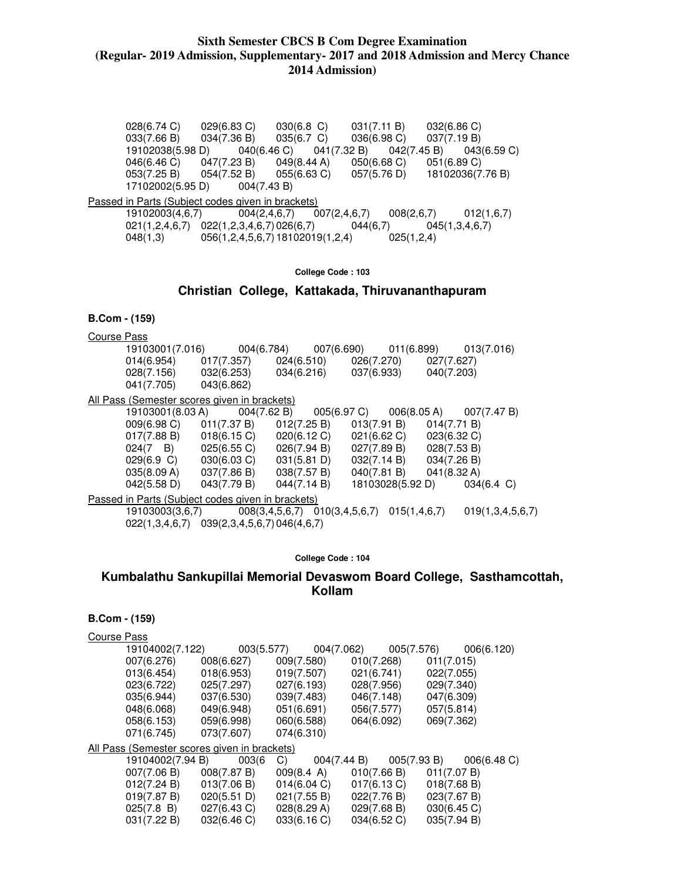028(6.74 C) 029(6.83 C) 030(6.8 C) 031(7.11 B) 032(6.86 C) 033(7.66 B) 034(7.36 B) 035(6.7 C) 036(6.98 C) 037(7.19 B) 19102038(5.98 D) 040(6.46 C) 041(7.32 B) 042(7.45 B) 043(6.59 C) 046(6.46 C) 047(7.23 B) 049(8.44 A) 050(6.68 C) 051(6.89 C)<br>053(7.25 B) 054(7.52 B) 055(6.63 C) 057(5.76 D) 18102036(7. 053(7.25 B) 054(7.52 B) 055(6.63 C) 057(5.76 D) 18102036(7.76 B)<br>17102002(5.95 D) 004(7.43 B) 17102002(5.95 D) Passed in Parts (Subject codes given in brackets)<br>19102003(4,6,7) 004(2,4,6,7) 007(2,4,6,7) 19102003(4,6,7) 004(2,4,6,7) 007(2,4,6,7) 008(2,6,7) 012(1,6,7)  $021(1,2,4,6,7)$   $022(1,2,3,4,6,7)$   $026(6,7)$   $044(6,7)$   $045(1,3,4,6,7)$ <br> $048(1,3)$   $056(1,2,4,5,6,7)$  18102019(1,2,4)  $025(1,2,4)$  $048(1,3)$  056(1,2,4,5,6,7) 18102019(1,2,4)

**College Code : 103** 

**Christian College, Kattakada, Thiruvananthapuram** 

### **B.Com - (159)**

Course Pass

| 19103001(7.016) | 004(6.784) |            | 007(6.690) | 011(6.899) | 013(7.016) |
|-----------------|------------|------------|------------|------------|------------|
| 014(6.954)      | 017(7.357) | 024(6.510) |            | 026(7.270) | 027(7.627) |
| 028(7.156)      | 032(6.253) | 034(6.216) |            | 037(6.933) | 040(7.203) |
| 041(7.705)      | 043(6.862) |            |            |            |            |
|                 |            |            |            |            |            |

All Pass (Semester scores given in brackets)

| 19103001(8.03 A) 004(7.62 B) 005(6.97 C) 006(8.05 A) 007(7.47 B) |                       |             |             |             |             |                             |  |
|------------------------------------------------------------------|-----------------------|-------------|-------------|-------------|-------------|-----------------------------|--|
| $009(6.98)$ C)                                                   | 011(7.37 B)           | 012(7.25 B) |             | 013(7.91 B) | 014(7.71 B) |                             |  |
| 017(7.88 B)                                                      | 018(6.15)             | 020(6.12 C) | 021(6.62 C) |             | 023(6.32 C) |                             |  |
| $024(7 \quad B)$                                                 | $025(6.55)$ C)        | 026(7.94 B) | 027(7.89 B) |             | 028(7.53 B) |                             |  |
| 029(6.9 C)                                                       | $030(6.03 \text{ C})$ | 031(5.81 D) | 032(7.14 B) |             | 034(7.26 B) |                             |  |
| 035(8.09 A)                                                      | 037(7.86 B)           | 038(7.57 B) | 040(7.81 B) |             | 041(8.32 A) |                             |  |
| $042(5.58 \text{ D})$                                            | 043(7.79 B)           | 044(7.14 B) |             |             |             | 18103028(5.92 D) 034(6.4 C) |  |
| Passed in Parts (Subject codes given in brackets)                |                       |             |             |             |             |                             |  |
| $10102002(2.6.7)$ 008(2.4 5 6.7) 010(2.4 5 6.7) 015(1.4 6.7)     |                       |             |             |             |             | 0.10/12156                  |  |

 19103003(3,6,7) 008(3,4,5,6,7) 010(3,4,5,6,7) 015(1,4,6,7) 019(1,3,4,5,6,7) 022(1,3,4,6,7) 039(2,3,4,5,6,7) 046(4,6,7)

#### **College Code : 104**

### **Kumbalathu Sankupillai Memorial Devaswom Board College, Sasthamcottah, Kollam**

| Course Pass |                                                     |             |                 |             |                |             |             |            |
|-------------|-----------------------------------------------------|-------------|-----------------|-------------|----------------|-------------|-------------|------------|
|             | 19104002(7.122)                                     | 003(5.577)  |                 | 004(7.062)  |                | 005(7.576)  |             | 006(6.120) |
|             | 007(6.276)                                          | 008(6.627)  | 009(7.580)      |             | 010(7.268)     |             | 011(7.015)  |            |
|             | 013(6.454)                                          | 018(6.953)  | 019(7.507)      |             | 021(6.741)     |             | 022(7.055)  |            |
|             | 023(6.722)                                          | 025(7.297)  | 027(6.193)      |             | 028(7.956)     |             | 029(7.340)  |            |
|             | 035(6.944)                                          | 037(6.530)  | 039(7.483)      |             | 046(7.148)     |             | 047(6.309)  |            |
|             | 048(6.068)                                          | 049(6.948)  | 051(6.691)      |             | 056(7.577)     |             | 057(5.814)  |            |
|             | 058(6.153)                                          | 059(6.998)  | 060(6.588)      |             | 064(6.092)     |             | 069(7.362)  |            |
|             | 071(6.745)                                          | 073(7.607)  | 074(6.310)      |             |                |             |             |            |
|             | <u>All Pass (Semester scores given in brackets)</u> |             |                 |             |                |             |             |            |
|             | 19104002(7.94 B)                                    | 003(6       | C)              | 004(7.44 B) |                | 005(7.93 B) |             | 006(6.48)  |
|             | 007(7.06 B)                                         | 008(7.87 B) | $009(8.4 \; A)$ |             | 010(7.66 B)    |             | 011(7.07 B) |            |
|             | 012(7.24 B)                                         | 013(7.06 B) | 014(6.04 C)     |             | $017(6.13)$ C) |             | 018(7.68 B) |            |
|             | 019(7.87 B)                                         | 020(5.51 D) | 021(7.55 B)     |             | 022(7.76 B)    |             | 023(7.67 B) |            |
|             | 025(7.8 B)                                          | 027(6.43 C) | 028(8.29 A)     |             | 029(7.68 B)    |             | 030(6.45 C) |            |
|             | 031(7.22 B)                                         | 032(6.46 C) | 033(6.16 C)     |             | 034(6.52 C)    |             | 035(7.94 B) |            |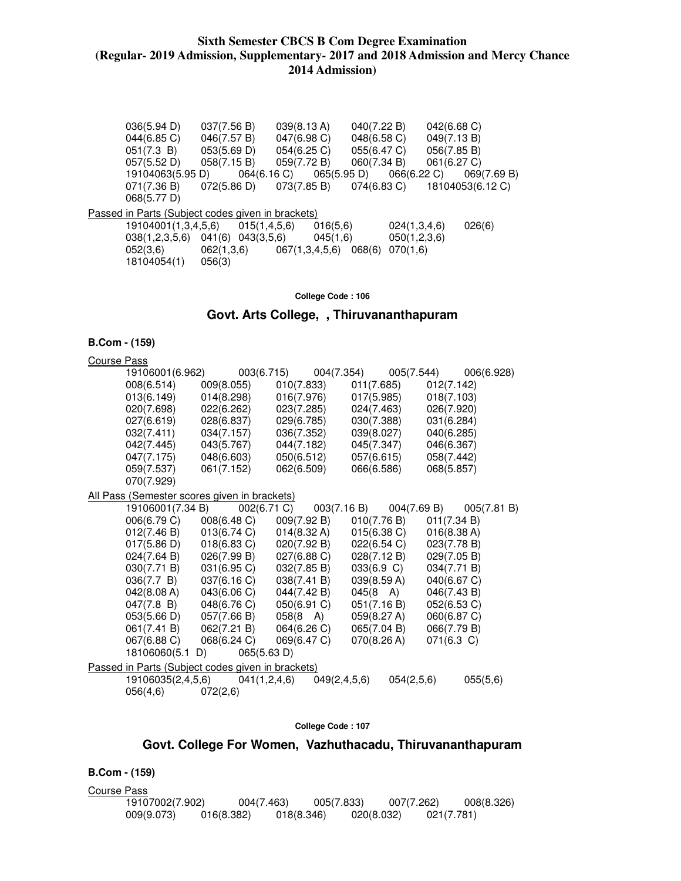036(5.94 D) 037(7.56 B) 039(8.13 A) 040(7.22 B) 042(6.68 C) 044(6.85 C) 046(7.57 B) 047(6.98 C) 048(6.58 C) 049(7.13 B) 051(7.3 B) 053(5.69 D) 054(6.25 C) 055(6.47 C) 056(7.85 B) 057(5.52 D) 058(7.15 B) 059(7.72 B) 060(7.34 B) 061(6.27 C) 19104063(5.95 D) 064(6.16 C) 065(5.95 D) 066(6.22 C) 069(7.69 B) 071(7.36 B) 072(5.86 D) 073(7.85 B) 074(6.83 C) 18104053(6.12 C) 068(5.77 D) Passed in Parts (Subject codes given in brackets) 19104001(1,3,4,5,6) 015(1,4,5,6) 016(5,6) 024(1,3,4,6) 026(6) 038(1,2,3,5,6) 041(6) 043(3,5,6) 045(1,6) 050(1,2,3,6) 052(3,6) 062(1,3,6) 067(1,3,4,5,6) 068(6) 070(1,6) 18104054(1) 056(3)

**College Code : 106** 

#### **Govt. Arts College, , Thiruvananthapuram**

#### **B.Com - (159)**

| <b>Course Pass</b> |                   |                                                   |                       |                    |                            |
|--------------------|-------------------|---------------------------------------------------|-----------------------|--------------------|----------------------------|
|                    | 19106001(6.962)   | 003(6.715)                                        | 004(7.354)            | 005(7.544)         | 006(6.928)                 |
|                    | 008(6.514)        | 009(8.055)                                        | 010(7.833)            | 011(7.685)         | 012(7.142)                 |
|                    | 013(6.149)        | 014(8.298)                                        | 016(7.976)            | 017(5.985)         | 018(7.103)                 |
|                    | 020(7.698)        | 022(6.262)                                        | 023(7.285)            | 024(7.463)         | 026(7.920)                 |
|                    | 027(6.619)        | 028(6.837)                                        | 029(6.785)            | 030(7.388)         | 031(6.284)                 |
|                    | 032(7.411)        | 034(7.157)                                        | 036(7.352)            | 039(8.027)         | 040(6.285)                 |
|                    | 042(7.445)        | 043(5.767)                                        | 044(7.182)            | 045(7.347)         | 046(6.367)                 |
|                    | 047(7.175)        | 048(6.603)                                        | 050(6.512)            | 057(6.615)         | 058(7.442)                 |
|                    | 059(7.537)        | 061(7.152)                                        | 062(6.509)            | 066(6.586)         | 068(5.857)                 |
|                    | 070(7.929)        |                                                   |                       |                    |                            |
|                    |                   | All Pass (Semester scores given in brackets)      |                       |                    |                            |
|                    | 19106001(7.34 B)  | 002(6.71 C)                                       | 003(7.16 B)           |                    | 004(7.69 B)<br>005(7.81 B) |
|                    | 006(6.79 C)       | 008(6.48 C)                                       | 009(7.92 B)           | 010(7.76 B)        | 011(7.34 B)                |
|                    | 012(7.46 B)       | 013(6.74 C)                                       | 014(8.32 A)           | 015(6.38)          | 016(8.38 A)                |
|                    | 017(5.86 D)       | 018(6.83 C)                                       | 020(7.92 B)           | 022(6.54 C)        | 023(7.78 B)                |
|                    | 024(7.64 B)       | 026(7.99 B)                                       | $027(6.88 \text{ C})$ | 028(7.12 B)        | 029(7.05 B)                |
|                    | 030(7.71 B)       | 031(6.95 C)                                       | 032(7.85 B)           | 033(6.9 C)         | 034(7.71 B)                |
|                    | 036(7.7 B)        | 037(6.16 C)                                       | 038(7.41 B)           | 039(8.59 A)        | 040(6.67 C)                |
|                    | 042(8.08 A)       | 043(6.06 C)                                       | 044(7.42 B)           | $045(8 \text{ A})$ | 046(7.43 B)                |
|                    | 047(7.8 B)        | 048(6.76 C)                                       | 050(6.91 C)           | 051(7.16 B)        | 052(6.53 C)                |
|                    | 053(5.66 D)       | 057(7.66 B)                                       | 058(8 A)              | 059(8.27 A)        | 060(6.87 C)                |
|                    | 061(7.41 B)       | 062(7.21 B)                                       | 064(6.26 C)           | 065(7.04 B)        | 066(7.79 B)                |
|                    | 067(6.88 C)       | 068(6.24 C)                                       | 069(6.47 C)           | 070(8.26 A)        | $071(6.3)$ C)              |
|                    | 18106060(5.1      | 065(5.63 D)<br>D)                                 |                       |                    |                            |
|                    |                   | Passed in Parts (Subject codes given in brackets) |                       |                    |                            |
|                    | 19106035(2,4,5,6) | 041(1,2,4,6)                                      | 049(2, 4, 5, 6)       | 054(2,5,6)         | 055(5,6)                   |
|                    | 056(4,6)          | 072(2,6)                                          |                       |                    |                            |

#### **College Code : 107**

#### **Govt. College For Women, Vazhuthacadu, Thiruvananthapuram**

**B.Com - (159)** 

Course Pass 19107002(7.902) 004(7.463) 005(7.833) 007(7.262) 008(8.326) 009(9.073) 016(8.382) 018(8.346) 020(8.032) 021(7.781)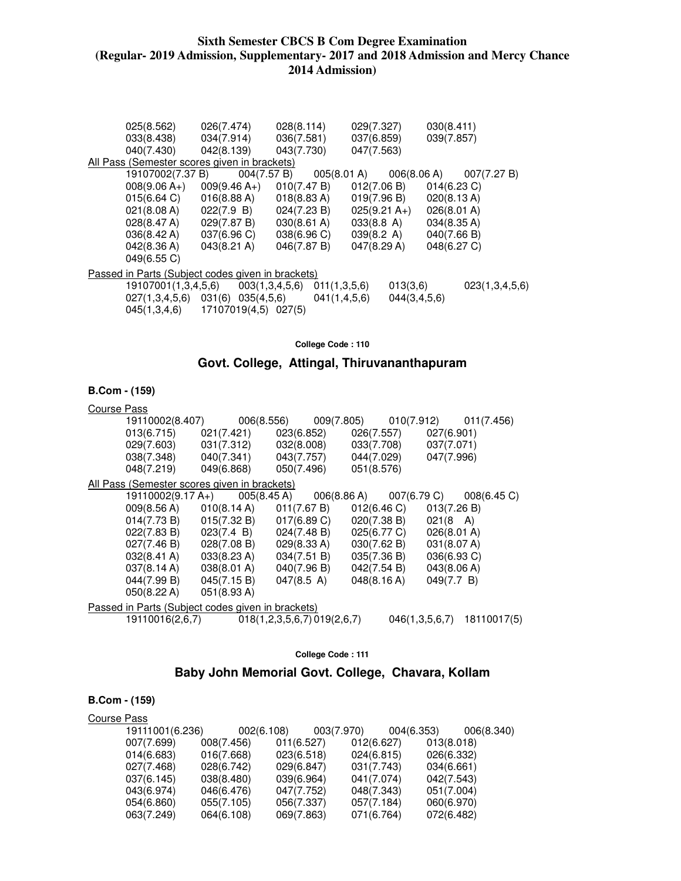| 025(8.562)       | 026(7.474)                                               | 028(8.114)      | 029(7.327)      | 030(8.411)                                                        |
|------------------|----------------------------------------------------------|-----------------|-----------------|-------------------------------------------------------------------|
| 033(8.438)       | 034(7.914)                                               | 036(7.581)      | 037(6.859)      | 039(7.857)                                                        |
| 040(7.430)       | 042(8.139)                                               | 043(7.730)      | 047(7.563)      |                                                                   |
|                  | All Pass (Semester scores given in brackets)             |                 |                 |                                                                   |
| 19107002(7.37 B) | 004(7.57 B)                                              |                 |                 | $005(8.01 \text{ A})$ $006(8.06 \text{ A})$ $007(7.27 \text{ B})$ |
|                  | $008(9.06 A+)$ 009(9.46 A <sub>+</sub> )                 | 010(7.47 B)     | 012(7.06 B)     | 014(6.23 C)                                                       |
| 015(6.64)        | 016(8.88 A)                                              | 018(8.83 A)     | 019(7.96 B)     | 020(8.13 A)                                                       |
| 021(8.08 A)      | 022(7.9 B)                                               | 024(7.23 B)     | $025(9.21 A+)$  | 026(8.01 A)                                                       |
| 028(8.47 A)      | 029(7.87 B)                                              | 030(8.61 A)     | 033(8.8 A)      | 034(8.35 A)                                                       |
| 036(8.42 A)      | 037(6.96 C)                                              | 038(6.96 C)     | 039(8.2 A)      | 040(7.66 B)                                                       |
| 042(8.36 A)      | $043(8.21 \text{ A})$                                    | 046(7.87 B)     | 047(8.29 A)     | 048(6.27 C)                                                       |
| 049(6.55 C)      |                                                          |                 |                 |                                                                   |
|                  | <u>Passed in Parts (Subject codes given in brackets)</u> |                 |                 |                                                                   |
|                  | $19107001(1,3,4,5,6)$ $003(1,3,4,5,6)$                   | 011(1,3,5,6)    | 013(3,6)        | 023(1,3,4,5,6)                                                    |
|                  | $027(1,3,4,5,6)$ $031(6)$ $035(4,5,6)$                   | 041(1, 4, 5, 6) | 044(3, 4, 5, 6) |                                                                   |
|                  | 045(1,3,4,6) 17107019(4,5) 027(5)                        |                 |                 |                                                                   |
|                  |                                                          |                 |                 |                                                                   |

**College Code : 110** 

# **Govt. College, Attingal, Thiruvananthapuram**

#### **B.Com - (159)**

#### Course Pass

| 19110002(8.407)                              |                                                                       |             |  |             |                                   |             | 006(8.556) 009(7.805) 010(7.912) 011(7.456) |  |
|----------------------------------------------|-----------------------------------------------------------------------|-------------|--|-------------|-----------------------------------|-------------|---------------------------------------------|--|
|                                              | $013(6.715)$ $021(7.421)$ $023(6.852)$ $026(7.557)$ $027(6.901)$      |             |  |             |                                   |             |                                             |  |
|                                              | 029(7.603) 031(7.312) 032(8.008) 033(7.708) 037(7.071)                |             |  |             |                                   |             |                                             |  |
|                                              | $038(7.348)$ $040(7.341)$ $043(7.757)$ $044(7.029)$ $047(7.996)$      |             |  |             |                                   |             |                                             |  |
|                                              | 048(7.219) 049(6.868) 050(7.496)                                      |             |  | 051(8.576)  |                                   |             |                                             |  |
| All Pass (Semester scores given in brackets) |                                                                       |             |  |             |                                   |             |                                             |  |
|                                              | 19110002(9.17 A+)  005(8.45 A)  006(8.86 A)  007(6.79 C)  008(6.45 C) |             |  |             |                                   |             |                                             |  |
|                                              | 009(8.56 A) 010(8.14 A) 011(7.67 B) 012(6.46 C) 013(7.26 B)           |             |  |             |                                   |             |                                             |  |
|                                              | $014(7.73 B)$ $015(7.32 B)$ $017(6.89 C)$ $020(7.38 B)$ $021(8 A)$    |             |  |             |                                   |             |                                             |  |
|                                              | $022(7.83 B)$ $023(7.4 B)$ $024(7.48 B)$                              |             |  |             | $025(6.77 \text{ C})$ 026(8.01 A) |             |                                             |  |
|                                              | $027(7.46 B)$ $028(7.08 B)$ $029(8.33 A)$                             |             |  |             | 030(7.62 B)                       | 031(8.07 A) |                                             |  |
| $032(8.41 \text{ A})$                        | 033(8.23 A)                                                           | 034(7.51 B) |  |             | 035(7.36 B)                       | 036(6.93 C) |                                             |  |
| 037(8.14 A)                                  | 038(8.01 A) 040(7.96 B)                                               |             |  |             | $042(7.54 B)$ $043(8.06 A)$       |             |                                             |  |
| $044(7.99 B)$ $045(7.15 B)$                  |                                                                       | 047(8.5 A)  |  | 048(8.16 A) |                                   | 049(7.7 B)  |                                             |  |
| $050(8.22 \text{ A})$ $051(8.93 \text{ A})$  |                                                                       |             |  |             |                                   |             |                                             |  |
|                                              | Passed in Parts (Subject codes given in brackets)                     |             |  |             |                                   |             |                                             |  |
|                                              | 19110016(2,6,7) 018(1,2,3,5,6,7) 019(2,6,7)                           |             |  |             |                                   |             | 046(1,3,5,6,7) 18110017(5)                  |  |

**College Code : 111** 

# **Baby John Memorial Govt. College, Chavara, Kollam**

| Course Pass |                 |            |            |            |            |            |            |            |
|-------------|-----------------|------------|------------|------------|------------|------------|------------|------------|
|             | 19111001(6.236) | 002(6.108) |            | 003(7.970) |            | 004(6.353) |            | 006(8.340) |
|             | 007(7.699)      | 008(7.456) | 011(6.527) |            | 012(6.627) |            | 013(8.018) |            |
|             | 014(6.683)      | 016(7.668) | 023(6.518) |            | 024(6.815) |            | 026(6.332) |            |
|             | 027(7.468)      | 028(6.742) | 029(6.847) |            | 031(7.743) |            | 034(6.661) |            |
|             | 037(6.145)      | 038(8.480) | 039(6.964) |            | 041(7.074) |            | 042(7.543) |            |
|             | 043(6.974)      | 046(6.476) | 047(7.752) |            | 048(7.343) |            | 051(7.004) |            |
|             | 054(6.860)      | 055(7.105) | 056(7.337) |            | 057(7.184) |            | 060(6.970) |            |
|             | 063(7.249)      | 064(6.108) | 069(7.863) |            | 071(6.764) |            | 072(6.482) |            |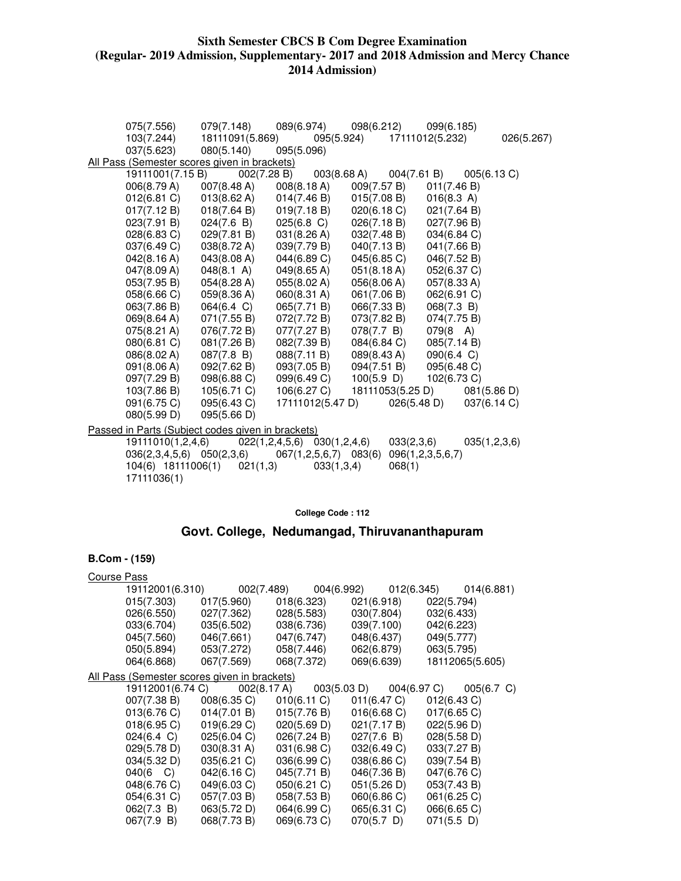| 075(7.556)                                        | 079(7.148)           | 089(6.974)                      |                  | 098(6.212) 099(6.185) |              |
|---------------------------------------------------|----------------------|---------------------------------|------------------|-----------------------|--------------|
| 103(7.244)                                        | 18111091(5.869)      |                                 | 095(5.924)       | 17111012(5.232)       | 026(5.267)   |
| 037(5.623)                                        | 080(5.140)           | 095(5.096)                      |                  |                       |              |
| All Pass (Semester scores given in brackets)      |                      |                                 |                  |                       |              |
| 19111001(7.15 B)                                  | 002(7.28 B)          |                                 | 003(8.68 A)      | 004(7.61 B)           | 005(6.13 C)  |
| 006(8.79 A)                                       | 007(8.48 A)          | 008(8.18 A)                     | 009(7.57 B)      | 011(7.46 B)           |              |
| 012(6.81)                                         | 013(8.62 A)          | 014(7.46 B)                     | 015(7.08 B)      | 016(8.3 A)            |              |
| 017(7.12 B)                                       | 018(7.64 B)          | 019(7.18 B)                     | 020(6.18 C)      | 021(7.64 B)           |              |
| 023(7.91 B)                                       | 024(7.6 B)           | $025(6.8)$ C)                   | 026(7.18 B)      | 027(7.96 B)           |              |
| $028(6.83)$ C)                                    | 029(7.81 B)          | 031(8.26 A)                     | 032(7.48 B)      | 034(6.84 C)           |              |
| 037(6.49 C)                                       | 038(8.72 A)          | 039(7.79 B)                     | 040(7.13 B)      | 041(7.66 B)           |              |
| 042(8.16 A)                                       | 043(8.08 A)          | 044(6.89 C)                     | 045(6.85 C)      | 046(7.52 B)           |              |
| 047(8.09 A)                                       | $048(8.1 \text{ A})$ | 049(8.65 A)                     | 051(8.18 A)      | 052(6.37 C)           |              |
| 053(7.95 B)                                       | 054(8.28 A)          | 055(8.02 A)                     | 056(8.06 A)      | 057(8.33 A)           |              |
| 058(6.66 C)                                       | 059(8.36 A)          | $060(8.31 \text{ A})$           | 061(7.06 B)      | 062(6.91 C)           |              |
| 063(7.86 B)                                       | 064(6.4 C)           | 065(7.71 B)                     | 066(7.33 B)      | 068(7.3 B)            |              |
| 069(8.64 A)                                       | 071(7.55 B)          | 072(7.72 B)                     | 073(7.82 B)      | 074(7.75 B)           |              |
| 075(8.21 A)                                       | 076(7.72 B)          | 077(7.27 B)                     | 078(7.7 B)       | $079(8 \text{ A})$    |              |
| 080(6.81 C)                                       | 081(7.26 B)          | 082(7.39 B)                     | 084(6.84 C)      | 085(7.14 B)           |              |
| 086(8.02 A)                                       | 087(7.8 B)           | 088(7.11 B)                     | 089(8.43 A)      | 090(6.4 C)            |              |
| 091(8.06 A)                                       | 092(7.62 B)          | 093(7.05 B)                     | 094(7.51 B)      | 095(6.48 C)           |              |
| 097(7.29 B)                                       | 098(6.88 C)          | 099(6.49 C)                     | $100(5.9)$ D)    | 102(6.73 C)           |              |
| 103(7.86 B)                                       | 105(6.71 C)          | 106(6.27 C)                     | 18111053(5.25 D) |                       | 081(5.86 D)  |
| 091(6.75 C)                                       | 095(6.43 C)          | 17111012(5.47 D)                |                  | 026(5.48 D)           | 037(6.14 C)  |
| 080(5.99 D)                                       | 095(5.66 D)          |                                 |                  |                       |              |
| Passed in Parts (Subject codes given in brackets) |                      |                                 |                  |                       |              |
| 19111010(1,2,4,6)                                 |                      | $022(1,2,4,5,6)$ $030(1,2,4,6)$ |                  | 033(2,3,6)            | 035(1,2,3,6) |
| $036(2,3,4,5,6)$ $050(2,3,6)$                     |                      | 067(1,2,5,6,7) 083(6)           |                  | 096(1, 2, 3, 5, 6, 7) |              |
| 104(6) 18111006(1)                                | 021(1,3)             | 033(1,3,4)                      | 068(1)           |                       |              |
| 17111036(1)                                       |                      |                                 |                  |                       |              |

#### **College Code : 112**

# **Govt. College, Nedumangad, Thiruvananthapuram**

| Course Pass |                                                     |                             |             |                |               |             |                       |                                                                  |  |
|-------------|-----------------------------------------------------|-----------------------------|-------------|----------------|---------------|-------------|-----------------------|------------------------------------------------------------------|--|
|             | 19112001(6.310)                                     |                             |             |                |               |             |                       |                                                                  |  |
|             | 015(7.303)                                          | 017(5.960)                  | 018(6.323)  |                |               | 021(6.918)  | 022(5.794)            |                                                                  |  |
|             | 026(6.550)                                          | 027(7.362)                  | 028(5.583)  |                |               | 030(7.804)  | 032(6.433)            |                                                                  |  |
|             | 033(6.704)                                          | 035(6.502)                  |             | 038(6.736)     |               | 039(7.100)  | 042(6.223)            |                                                                  |  |
|             | 045(7.560)                                          | 046(7.661) 047(6.747)       |             |                |               | 048(6.437)  | 049(5.777)            |                                                                  |  |
|             | 050(5.894)                                          | 053(7.272)                  |             | 058(7.446)     |               | 062(6.879)  | 063(5.795)            |                                                                  |  |
|             | 064(6.868)                                          | 067(7.569)                  | 068(7.372)  |                | 069(6.639)    |             |                       | 18112065(5.605)                                                  |  |
|             | <u>All Pass (Semester scores given in brackets)</u> |                             |             |                |               |             |                       |                                                                  |  |
|             | 19112001(6.74 C)                                    |                             | 002(8.17 A) |                |               |             |                       | $003(5.03 \text{ D})$ $004(6.97 \text{ C})$ $005(6.7 \text{ C})$ |  |
|             |                                                     | $007(7.38 B)$ $008(6.35 C)$ |             | $010(6.11)$ C) |               | 011(6.47 C) | $012(6.43 \text{ C})$ |                                                                  |  |
|             | 013(6.76 C)                                         | 014(7.01 B)                 |             | 015(7.76 B)    |               | 016(6.68)   | 017(6.65 C)           |                                                                  |  |
|             | 018(6.95 C)                                         | 019(6.29 C)                 |             | 020(5.69 D)    |               | 021(7.17 B) | 022(5.96 D)           |                                                                  |  |
|             | 024(6.4 C)                                          | 025(6.04 C)                 |             | 026(7.24 B)    |               | 027(7.6 B)  | 028(5.58 D)           |                                                                  |  |
|             | 029(5.78 D)                                         | $030(8.31 \text{ A})$       |             | 031(6.98 C)    |               | 032(6.49 C) | 033(7.27 B)           |                                                                  |  |
|             | 034(5.32 D)                                         | 035(6.21)                   | 036(6.99 C) |                | 038(6.86 C)   |             | 039(7.54 B)           |                                                                  |  |
|             | 040(6 C)                                            | 042(6.16 C)                 | 045(7.71 B) |                | 046(7.36 B)   |             | 047(6.76 C)           |                                                                  |  |
|             | 048(6.76 C)                                         | 049(6.03 C)                 | 050(6.21 C) |                | 051(5.26 D)   |             | 053(7.43 B)           |                                                                  |  |
|             | 054(6.31 C)                                         | 057(7.03 B)                 | 058(7.53 B) |                | 060(6.86 C)   |             | 061(6.25 C)           |                                                                  |  |
|             | 062(7.3 B)                                          | 063(5.72 D)                 |             | 064(6.99 C)    |               | 065(6.31 C) | 066(6.65 C)           |                                                                  |  |
|             | 067(7.9 B)                                          | 068(7.73 B)                 | 069(6.73 C) |                | $070(5.7)$ D) |             | $071(5.5)$ D)         |                                                                  |  |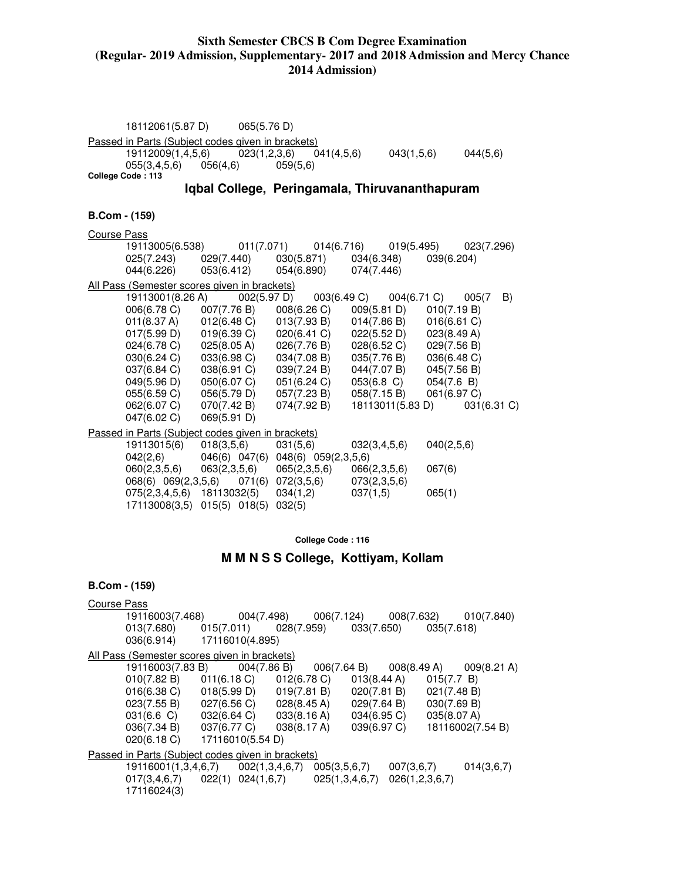18112061(5.87 D) 065(5.76 D) Passed in Parts (Subject codes given in brackets) 19112009(1,4,5,6) 023(1,2,3,6) 041(4,5,6) 043(1,5,6) 044(5,6) 055(3,4,5,6) 056(4,6) 059(5,6) **College Code : 113 Iqbal College, Peringamala, Thiruvananthapuram B.Com - (159)**  Course Pass 19113005(6.538) 011(7.071) 014(6.716) 019(5.495) 023(7.296) 025(7.243) 029(7.440) 030(5.871) 034(6.348) 039(6.204) 044(6.226) 053(6.412) 054(6.890) 074(7.446) All Pass (Semester scores given in brackets) 19113001(8.26 A) 002(5.97 D) 003(6.49 C) 004(6.71 C) 005(7 B) 006(6.78 C) 007(7.76 B) 008(6.26 C) 009(5.81 D) 010(7.19 B) 011(8.37 A) 012(6.48 C) 013(7.93 B) 014(7.86 B) 016(6.61 C) 017(5.99 D) 019(6.39 C) 020(6.41 C) 022(5.52 D) 023(8.49 A) 024(6.78 C) 025(8.05 A) 026(7.76 B) 028(6.52 C) 029(7.56 B) 030(6.24 C) 033(6.98 C) 034(7.08 B) 035(7.76 B) 036(6.48 C) 037(6.84 C) 038(6.91 C) 039(7.24 B) 044(7.07 B) 045(7.56 B) 049(5.96 D) 050(6.07 C) 051(6.24 C) 053(6.8 C) 054(7.6 B) 055(6.59 C) 056(5.79 D) 057(7.23 B) 058(7.15 B) 061(6.97 C) 062(6.07 C) 070(7.42 B) 074(7.92 B) 18113011(5.83 D) 031(6.31 C) 047(6.02 C) 069(5.91 D) Passed in Parts (Subject codes given in brackets)<br>19113015(6) 018(3,5,6) 031(5,6) 19113015(6) 018(3,5,6) 031(5,6) 032(3,4,5,6) 040(2,5,6) 042(2,6) 046(6) 047(6) 048(6) 059(2,3,5,6) 060(2,3,5,6) 063(2,3,5,6) 065(2,3,5,6) 066(2,3,5,6) 067(6) 068(6) 069(2,3,5,6) 071(6) 072(3,5,6) 073(2,3,5,6) 075(2,3,4,5,6) 18113032(5) 034(1,2) 037(1,5) 065(1) 17113008(3,5) 015(5) 018(5) 032(5)

**College Code : 116** 

#### **M M N S S College, Kottiyam, Kollam**

#### **B.Com - (159)**

Course Pass 19116003(7.468) 004(7.498) 006(7.124) 008(7.632) 010(7.840) 013(7.680) 015(7.011) 028(7.959) 033(7.650) 035(7.618) 036(6.914) 17116010(4.895) All Pass (Semester scores given in brackets) 19116003(7.83 B) 004(7.86 B) 006(7.64 B) 008(8.49 A) 009(8.21 A)<br>010(7.82 B) 011(6.18 C) 012(6.78 C) 013(8.44 A) 015(7.7 B)  $010(7.82 B)$  016(6.38 C) 018(5.99 D) 019(7.81 B) 020(7.81 B) 021(7.48 B) 023(7.55 B) 027(6.56 C) 028(8.45 A) 029(7.64 B) 030(7.69 B) 031(6.6 C) 032(6.64 C) 033(8.16 A) 034(6.95 C) 035(8.07 A) 036(7.34 B) 037(6.77 C) 038(8.17 A) 039(6.97 C) 18116002(7.54 B) 020(6.18 C) 17116010(5.54 D) Passed in Parts (Subject codes given in brackets) 19116001(1,3,4,6,7) 002(1,3,4,6,7) 005(3,5,6,7) 007(3,6,7) 014(3,6,7) 017(3,4,6,7) 022(1) 024(1,6,7) 025(1,3,4,6,7) 026(1,2,3,6,7) 17116024(3)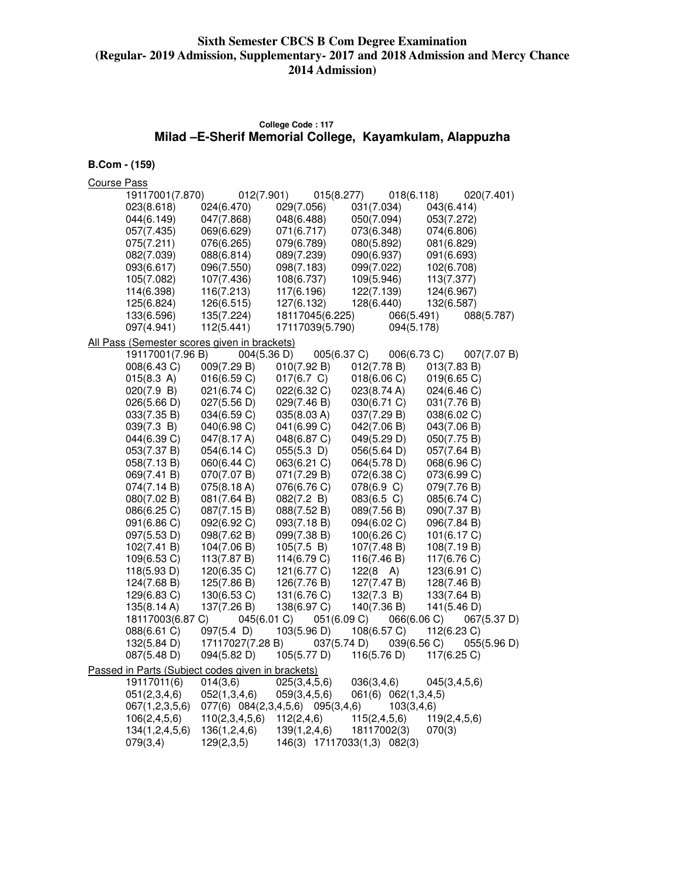# **College Code : 117 Milad –E-Sherif Memorial College, Kayamkulam, Alappuzha**

# **B.Com - (159)**

Course Pass

| 19117001(7.870)                                   | 012(7.901)       | 015(8.277)                       | 018(6.118)                  | 020(7.401)                 |
|---------------------------------------------------|------------------|----------------------------------|-----------------------------|----------------------------|
| 023(8.618)                                        | 024(6.470)       | 029(7.056)                       | 031(7.034)                  | 043(6.414)                 |
| 044(6.149)                                        | 047(7.868)       | 048(6.488)                       | 050(7.094)                  | 053(7.272)                 |
| 057(7.435)                                        | 069(6.629)       | 071(6.717)                       | 073(6.348)                  | 074(6.806)                 |
| 075(7.211)                                        | 076(6.265)       | 079(6.789)                       | 080(5.892)                  | 081(6.829)                 |
| 082(7.039)                                        | 088(6.814)       | 089(7.239)                       | 090(6.937)                  | 091(6.693)                 |
| 093(6.617)                                        | 096(7.550)       | 098(7.183)                       | 099(7.022)                  | 102(6.708)                 |
| 105(7.082)                                        | 107(7.436)       | 108(6.737)                       | 109(5.946)                  | 113(7.377)                 |
| 114(6.398)                                        | 116(7.213)       | 117(6.196)                       | 122(7.139)                  | 124(6.967)                 |
| 125(6.824)                                        | 126(6.515)       | 127(6.132)                       | 128(6.440)                  | 132(6.587)                 |
| 133(6.596)                                        | 135(7.224)       | 18117045(6.225)                  | 066(5.491)                  | 088(5.787)                 |
| 097(4.941)                                        | 112(5.441)       | 17117039(5.790)                  | 094(5.178)                  |                            |
| All Pass (Semester scores given in brackets)      |                  |                                  |                             |                            |
| 19117001(7.96 B)                                  |                  | 004(5.36 D)                      | 005(6.37 C)                 | 006(6.73 C)<br>007(7.07 B) |
| 008(6.43 C)                                       | 009(7.29 B)      | 010(7.92 B)                      | 012(7.78 B)                 | 013(7.83 B)                |
| 015(8.3 A)                                        | 016(6.59 C)      | 017(6.7 C)                       | 018(6.06 C)                 | 019(6.65 C)                |
| 020(7.9 B)                                        | 021(6.74 C)      | 022(6.32 C)                      | 023(8.74 A)                 | 024(6.46 C)                |
| 026(5.66 D)                                       | 027(5.56 D)      | 029(7.46 B)                      | 030(6.71 C)                 | 031(7.76 B)                |
| 033(7.35 B)                                       | 034(6.59 C)      | 035(8.03 A)                      | 037(7.29 B)                 | 038(6.02 C)                |
| 039(7.3 B)                                        | 040(6.98 C)      | 041(6.99 C)                      | 042(7.06 B)                 | 043(7.06 B)                |
| 044(6.39 C)                                       | 047(8.17 A)      | 048(6.87 C)                      | 049(5.29 D)                 | 050(7.75 B)                |
|                                                   |                  |                                  |                             |                            |
| 053(7.37 B)                                       | 054(6.14 C)      | $055(5.3)$ D)                    | 056(5.64 D)                 | 057(7.64 B)                |
| 058(7.13 B)                                       | 060(6.44 C)      | 063(6.21 C)                      | 064(5.78 D)                 | 068(6.96 C)                |
| 069(7.41 B)                                       | 070(7.07 B)      | 071(7.29 B)                      | 072(6.38 C)                 | 073(6.99 C)                |
| 074(7.14 B)                                       | 075(8.18 A)      | 076(6.76 C)                      | 078(6.9 C)                  | 079(7.76 B)                |
| 080(7.02 B)                                       | 081(7.64 B)      | 082(7.2 B)                       | 083(6.5 C)                  | 085(6.74 C)                |
| 086(6.25 C)                                       | 087(7.15 B)      | 088(7.52 B)                      | 089(7.56 B)                 | 090(7.37 B)                |
| 091(6.86 C)                                       | 092(6.92 C)      | 093(7.18 B)                      | 094(6.02 C)                 | 096(7.84 B)                |
| 097(5.53 D)                                       | 098(7.62 B)      | 099(7.38 B)                      | 100(6.26)                   | 101(6.17 C)                |
| 102(7.41 B)                                       | 104(7.06 B)      | 105(7.5 B)                       | 107(7.48 B)                 | 108(7.19 B)                |
| 109(6.53 C)                                       | 113(7.87 B)      | 114(6.79 C)                      | 116(7.46 B)                 | 117(6.76 C)                |
| 118(5.93 D)                                       | 120(6.35 C)      | 121(6.77 C)                      | $122(8 \text{ A})$          | 123(6.91 C)                |
| 124(7.68 B)                                       | 125(7.86 B)      | 126(7.76 B)                      | 127(7.47 B)                 | 128(7.46 B)                |
| 129(6.83 C)                                       | 130(6.53 C)      | 131(6.76 C)                      | 132(7.3 B)                  | 133(7.64 B)                |
| 135(8.14 A)                                       | 137(7.26 B)      | 138(6.97 C)                      | 140(7.36 B)                 | 141(5.46 D)                |
| 18117003(6.87 C)                                  |                  | 045(6.01 C)                      | 051(6.09 C)                 | 066(6.06 C)<br>067(5.37 D) |
| 088(6.61 C)                                       | $097(5.4 \; D)$  | 103(5.96 D)                      | 108(6.57 C)                 | 112(6.23 C)                |
| 132(5.84 D)                                       | 17117027(7.28 B) |                                  | 037(5.74 D)                 | 039(6.56 C)<br>055(5.96 D) |
| 087(5.48 D)                                       | 094(5.82 D)      | 105(5.77 D)                      | 116(5.76 D)                 | 117(6.25 C)                |
| Passed in Parts (Subject codes given in brackets) |                  |                                  |                             |                            |
| 19117011(6)                                       | 014(3,6)         | 025(3,4,5,6)                     | 036(3,4,6)                  | 045(3, 4, 5, 6)            |
| 051(2,3,4,6)                                      | 052(1,3,4,6)     | 059(3,4,5,6)                     | 061(6) 062(1,3,4,5)         |                            |
| 067(1,2,3,5,6)                                    |                  | 077(6) 084(2,3,4,5,6) 095(3,4,6) | 103(3,4,6)                  |                            |
| 106(2, 4, 5, 6)                                   | 110(2,3,4,5,6)   | 112(2,4,6)                       | 115(2, 4, 5, 6)             | 119(2, 4, 5, 6)            |
| 134(1,2,4,5,6)                                    | 136(1, 2, 4, 6)  | 139(1, 2, 4, 6)                  | 18117002(3)                 | 070(3)                     |
| 079(3,4)                                          | 129(2,3,5)       |                                  | 146(3) 17117033(1,3) 082(3) |                            |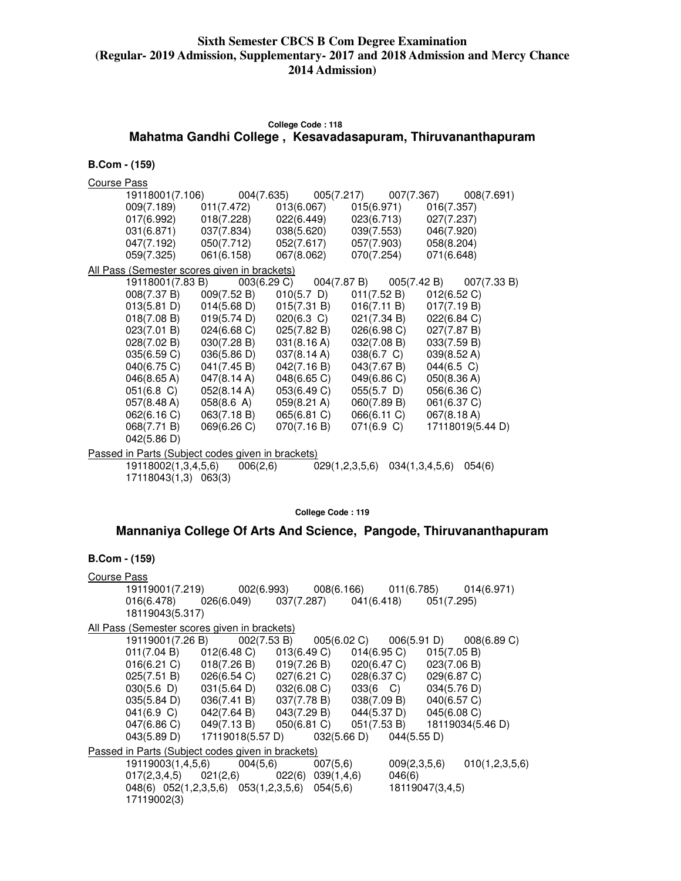### **College Code : 118 Mahatma Gandhi College , Kesavadasapuram, Thiruvananthapuram**

#### **B.Com - (159)**

Course Pass

|                                                   |             |                       |                           | 19118001(7.106)                004(7.635)               005(7.217)             007(7.367)        008(7.691) |
|---------------------------------------------------|-------------|-----------------------|---------------------------|-------------------------------------------------------------------------------------------------------------|
| 009(7.189)                                        |             | 011(7.472) 013(6.067) | $015(6.971)$ $016(7.357)$ |                                                                                                             |
| 017(6.992)                                        |             | 018(7.228) 022(6.449) | 023(6.713)                | 027(7.237)                                                                                                  |
| 031(6.871)                                        | 037(7.834)  | 038(5.620)            | 039(7.553)                | 046(7.920)                                                                                                  |
| 047(7.192)                                        | 050(7.712)  | 052(7.617)            | 057(7.903)                | 058(8.204)                                                                                                  |
| 059(7.325)                                        | 061(6.158)  | 067(8.062)            | 070(7.254)                | 071(6.648)                                                                                                  |
| All Pass (Semester scores given in brackets)      |             |                       |                           |                                                                                                             |
| 19118001(7.83 B)                                  |             | 003(6.29 C)           | 004(7.87 B)               | $005(7.42 B)$ $007(7.33 B)$                                                                                 |
| 008(7.37 B)                                       | 009(7.52 B) | $010(5.7)$ D)         | 011(7.52 B)               | 012(6.52 C)                                                                                                 |
| 013(5.81 D)                                       | 014(5.68 D) | 015(7.31 B)           | 016(7.11 B)               | 017(7.19 B)                                                                                                 |
| 018(7.08 B)                                       | 019(5.74 D) | $020(6.3)$ C)         | 021(7.34 B)               | 022(6.84 C)                                                                                                 |
| 023(7.01 B)                                       | 024(6.68 C) | 025(7.82 B)           | 026(6.98 C)               | 027(7.87 B)                                                                                                 |
| 028(7.02 B)                                       | 030(7.28 B) | 031(8.16 A)           | 032(7.08 B)               | 033(7.59 B)                                                                                                 |
| 035(6.59 C)                                       | 036(5.86 D) | 037(8.14 A)           | $038(6.7)$ C)             | 039(8.52 A)                                                                                                 |
| 040(6.75 C)                                       | 041(7.45 B) | 042(7.16 B)           | 043(7.67 B)               | $044(6.5)$ C)                                                                                               |
| 046(8.65 A)                                       | 047(8.14 A) | 048(6.65 C)           | 049(6.86 C)               | 050(8.36 A)                                                                                                 |
| $051(6.8)$ C)                                     | 052(8.14 A) | 053(6.49 C)           | $055(5.7)$ D)             | 056(6.36 C)                                                                                                 |
| 057(8.48 A)                                       | 058(8.6 A)  | 059(8.21 A)           | 060(7.89 B)               | 061(6.37 C)                                                                                                 |
| 062(6.16 C)                                       | 063(7.18 B) | 065(6.81 C)           | 066(6.11 C)               | 067(8.18 A)                                                                                                 |
| 068(7.71 B)                                       | 069(6.26 C) | 070(7.16 B)           | 071(6.9 C)                | 17118019(5.44 D)                                                                                            |
| 042(5.86 D)                                       |             |                       |                           |                                                                                                             |
| Passed in Parts (Subject codes given in brackets) |             |                       |                           |                                                                                                             |
| 19118002(1,3,4,5,6)                               | 006(2,6)    |                       | 029(1,2,3,5,6)            | 034(1,3,4,5,6)<br>054(6)                                                                                    |

17118043(1,3) 063(3)

**College Code : 119** 

### **Mannaniya College Of Arts And Science, Pangode, Thiruvananthapuram**

#### **B.Com - (159)**

Course Pass 19119001(7.219) 002(6.993) 008(6.166) 011(6.785) 014(6.971) 016(6.478) 026(6.049) 037(7.287) 041(6.418) 051(7.295) 18119043(5.317) All Pass (Semester scores given in brackets) 19119001(7.26 B) 002(7.53 B) 005(6.02 C) 006(5.91 D) 008(6.89 C) 011(7.04 B) 012(6.48 C) 013(6.49 C) 014(6.95 C) 015(7.05 B) 016(6.21 C) 018(7.26 B) 019(7.26 B) 020(6.47 C) 023(7.06 B) 025(7.51 B) 026(6.54 C) 027(6.21 C) 028(6.37 C) 029(6.87 C) 030(5.6 D) 031(5.64 D) 032(6.08 C) 033(6 C) 034(5.76 D) 035(5.84 D) 036(7.41 B) 037(7.78 B) 038(7.09 B) 040(6.57 C) 041(6.9 C) 042(7.64 B) 043(7.29 B) 044(5.37 D) 045(6.08 C) 047(6.86 C) 049(7.13 B) 050(6.81 C) 051(7.53 B) 18119034(5.46 D) 043(5.89 D) 17119018(5.57 D) 032(5.66 D) 044(5.55 D) Passed in Parts (Subject codes given in brackets) 19119003(1,4,5,6) 004(5,6) 007(5,6) 009(2,3,5,6) 010(1,2,3,5,6)<br>017(2,3,4,5) 021(2,6) 022(6) 039(1,4,6) 046(6) 017(2,3,4,5) 021(2,6) 022(6) 039(1,4,6) 046(6) 048(6) 052(1,2,3,5,6) 053(1,2,3,5,6) 054(5,6) 18119047(3,4,5) 17119002(3)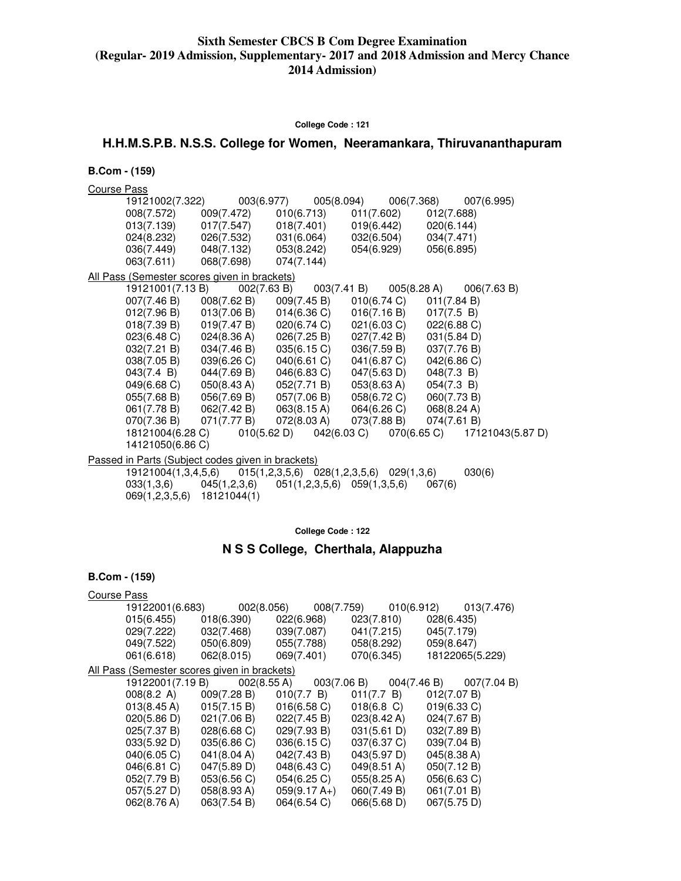#### **College Code : 121**

# **H.H.M.S.P.B. N.S.S. College for Women, Neeramankara, Thiruvananthapuram**

#### **B.Com - (159)**

Course Pass

|                                                   |                                  |             | 19121002(7.322)   003(6.977)   005(8.094)   006(7.368)   007(6.995)                                           |             |  |
|---------------------------------------------------|----------------------------------|-------------|---------------------------------------------------------------------------------------------------------------|-------------|--|
|                                                   |                                  |             | 008(7.572) 009(7.472) 010(6.713) 011(7.602) 012(7.688)                                                        |             |  |
|                                                   |                                  |             | $013(7.139)$ $017(7.547)$ $018(7.401)$ $019(6.442)$ $020(6.144)$                                              |             |  |
|                                                   |                                  |             | $024(8.232)$ $026(7.532)$ $031(6.064)$ $032(6.504)$ $034(7.471)$                                              |             |  |
|                                                   |                                  |             | 036(7.449) 048(7.132) 053(8.242) 054(6.929) 056(6.895)                                                        |             |  |
|                                                   | 063(7.611) 068(7.698) 074(7.144) |             |                                                                                                               |             |  |
| All Pass (Semester scores given in brackets)      |                                  |             |                                                                                                               |             |  |
|                                                   |                                  |             | 19121001(7.13 B) 002(7.63 B) 003(7.41 B) 005(8.28 A) 006(7.63 B)                                              |             |  |
|                                                   |                                  |             | 007(7.46 B) 008(7.62 B) 009(7.45 B) 010(6.74 C) 011(7.84 B)                                                   |             |  |
|                                                   |                                  |             | $012(7.96 B)$ $013(7.06 B)$ $014(6.36 C)$ $016(7.16 B)$ $017(7.5 B)$                                          |             |  |
|                                                   |                                  |             | $018(7.39 B)$ $019(7.47 B)$ $020(6.74 C)$ $021(6.03 C)$ $022(6.88 C)$                                         |             |  |
|                                                   |                                  |             | $023(6.48 \text{ C})$ $024(8.36 \text{ A})$ $026(7.25 \text{ B})$ $027(7.42 \text{ B})$ $031(5.84 \text{ D})$ |             |  |
|                                                   |                                  |             | 032(7.21 B) 034(7.46 B) 035(6.15 C) 036(7.59 B) 037(7.76 B)                                                   |             |  |
|                                                   | $038(7.05 B)$ $039(6.26 C)$      | 040(6.61 C) | 041(6.87 C)                                                                                                   | 042(6.86)   |  |
| $043(7.4 \text{ B})$ $044(7.69 \text{ B})$        |                                  |             | $046(6.83 \text{ C})$ $047(5.63 \text{ D})$                                                                   | 048(7.3 B)  |  |
| $049(6.68 \text{ C})$ $050(8.43 \text{ A})$       |                                  | 052(7.71 B) | 053(8.63 A)                                                                                                   | 054(7.3 B)  |  |
|                                                   |                                  |             | 055(7.68 B) 056(7.69 B) 057(7.06 B) 058(6.72 C)                                                               | 060(7.73 B) |  |
|                                                   |                                  |             | 061(7.78 B) 062(7.42 B) 063(8.15 A) 064(6.26 C) 068(8.24 A)                                                   |             |  |
|                                                   |                                  |             | 070(7.36 B) 071(7.77 B) 072(8.03 A) 073(7.88 B) 074(7.61 B)                                                   |             |  |
|                                                   |                                  |             | 18121004(6.28 C) 010(5.62 D) 042(6.03 C) 070(6.65 C) 17121043(5.87 D)                                         |             |  |
| 14121050(6.86 C)                                  |                                  |             |                                                                                                               |             |  |
| Passed in Parts (Subject codes given in brackets) |                                  |             |                                                                                                               |             |  |

| 19121004(1,3,4,5,6) |              |                                        | $015(1,2,3,5,6)$ $028(1,2,3,5,6)$ $029(1,3,6)$ | 030(6) |
|---------------------|--------------|----------------------------------------|------------------------------------------------|--------|
| 033(1,3,6)          | 045(1,2,3,6) | $051(1, 2, 3, 5, 6)$ $059(1, 3, 5, 6)$ |                                                | 067(6) |
| 069(1,2,3,5,6)      | 18121044(1)  |                                        |                                                |        |

**College Code : 122** 

# **N S S College, Cherthala, Alappuzha**

| <b>Course Pass</b> |                                                                                        |                                           |                |                                                      |            |                |                 |
|--------------------|----------------------------------------------------------------------------------------|-------------------------------------------|----------------|------------------------------------------------------|------------|----------------|-----------------|
|                    | 19122001(6.683)                                                                        |                                           |                | 002(8.056)    008(7.759)    010(6.912)    013(7.476) |            |                |                 |
|                    | $015(6.455)$ $018(6.390)$ $022(6.968)$                                                 |                                           |                |                                                      | 023(7.810) | 028(6.435)     |                 |
|                    | 029(7.222) 032(7.468)                                                                  |                                           | 039(7.087)     |                                                      | 041(7.215) | 045(7.179)     |                 |
|                    | 049(7.522)                                                                             | 050(6.809)                                | 055(7.788)     |                                                      | 058(8.292) | 059(8.647)     |                 |
|                    | 061(6.618)                                                                             | 062(8.015)                                | 069(7.401)     |                                                      | 070(6.345) |                | 18122065(5.229) |
|                    | All Pass (Semester scores given in brackets)                                           |                                           |                |                                                      |            |                |                 |
|                    |                                                                                        |                                           |                |                                                      |            |                |                 |
|                    | 008(8.2 A) 009(7.28 B) 010(7.7 B) 011(7.7 B) 012(7.07 B)                               |                                           |                |                                                      |            |                |                 |
|                    | $013(8.45 \text{ A})$ $015(7.15 \text{ B})$ $016(6.58 \text{ C})$ $018(6.8 \text{ C})$ |                                           |                |                                                      |            | $019(6.33)$ C) |                 |
|                    | 020(5.86)                                                                              | $021(7.06 B)$ $022(7.45 B)$ $023(8.42 A)$ |                |                                                      |            | 024(7.67 B)    |                 |
|                    | 025(7.37 B)                                                                            | 028(6.68 C)                               | 029(7.93 B)    | 031(5.61 D)                                          |            | 032(7.89 B)    |                 |
|                    | 033(5.92 D)                                                                            | 035(6.86 C)                               | 036(6.15 C)    | 037(6.37 C)                                          |            | 039(7.04 B)    |                 |
|                    | 040(6.05 C)                                                                            | 041(8.04 A)                               | 042(7.43 B)    | 043(5.97 D)                                          |            | 045(8.38 A)    |                 |
|                    | 046(6.81 C)                                                                            | 047(5.89 D)                               | 048(6.43 C)    | $049(8.51 \text{ A})$                                |            | 050(7.12 B)    |                 |
|                    | 052(7.79 B)                                                                            | 053(6.56 C)                               | 054(6.25 C)    | 055(8.25 A)                                          |            | 056(6.63 C)    |                 |
|                    | 057(5.27 D)                                                                            | 058(8.93 A)                               | $059(9.17 A+)$ | 060(7.49 B)                                          |            | 061(7.01 B)    |                 |
|                    | 062(8.76 A)                                                                            | 063(7.54 B)                               | 064(6.54 C)    | 066(5.68 D)                                          |            | 067(5.75 D)    |                 |
|                    |                                                                                        |                                           |                |                                                      |            |                |                 |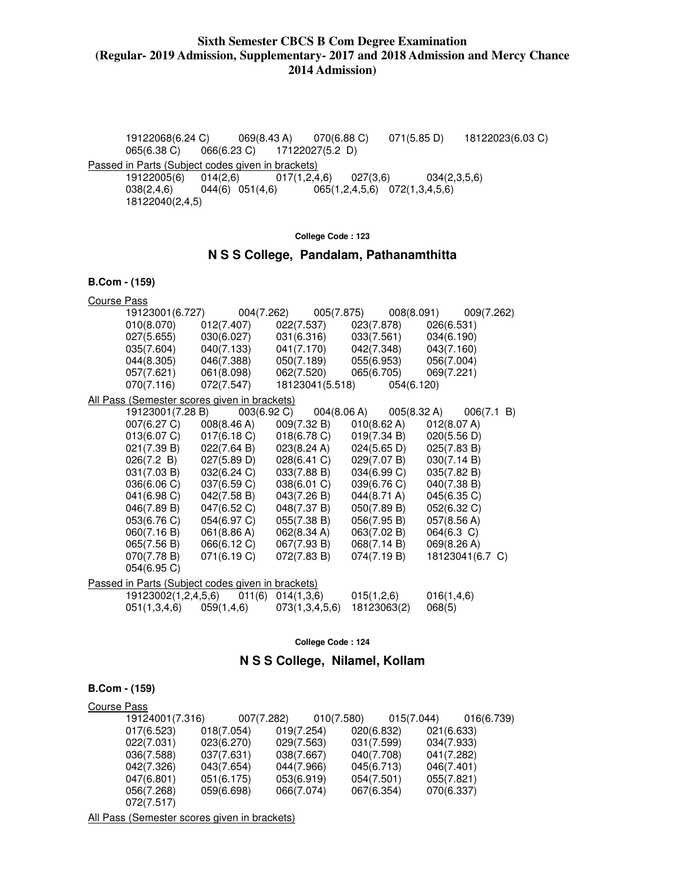19122068(6.24 C) 069(8.43 A) 070(6.88 C) 071(5.85 D) 18122023(6.03 C) 065(6.38 C) 066(6.23 C) 17122027(5.2 D) Passed in Parts (Subject codes given in brackets)

 19122005(6) 014(2,6) 017(1,2,4,6) 027(3,6) 034(2,3,5,6) 038(2,4,6) 044(6) 051(4,6) 065(1,2,4,5,6) 072(1,3,4,5,6) 18122040(2,4,5)

#### **College Code : 123**

# **N S S College, Pandalam, Pathanamthitta**

#### **B.Com - (159)**

| <b>Course Pass</b> |                                                   |                             |                       |                       |                          |
|--------------------|---------------------------------------------------|-----------------------------|-----------------------|-----------------------|--------------------------|
|                    | 19123001(6.727)                                   | 004(7.262)                  | 005(7.875)            |                       | 008(8.091)<br>009(7.262) |
|                    | 010(8.070)                                        | 012(7.407)                  | 022(7.537)            | 023(7.878)            | 026(6.531)               |
|                    | 027(5.655)                                        | 030(6.027)                  | 031(6.316)            | 033(7.561)            | 034(6.190)               |
|                    | 035(7.604)                                        | 040(7.133)                  | 041(7.170)            | 042(7.348)            | 043(7.160)               |
|                    | 044(8.305)                                        | 046(7.388)                  | 050(7.189)            | 055(6.953)            | 056(7.004)               |
|                    | 057(7.621)                                        | 061(8.098)                  | 062(7.520)            | 065(6.705)            | 069(7.221)               |
|                    | 070(7.116)                                        | 072(7.547)                  | 18123041(5.518)       | 054(6.120)            |                          |
|                    | All Pass (Semester scores given in brackets)      |                             |                       |                       |                          |
|                    | 19123001(7.28 B)                                  | 003(6.92 C)                 | 004(8.06 A)           | 005(8.32 A)           | 006(7.1 B)               |
|                    | 007(6.27 C)                                       | 008(8.46 A)                 | 009(7.32 B)           | 010(8.62 A)           | 012(8.07 A)              |
|                    | 013(6.07 C)                                       | 017(6.18 C)                 | 018(6.78 C)           | 019(7.34 B)           | 020(5.56 D)              |
|                    | 021(7.39 B)                                       | 022(7.64 B)                 | 023(8.24 A)           | 024(5.65 D)           | 025(7.83 B)              |
|                    | 026(7.2 B)                                        | 027(5.89 D)                 | 028(6.41 C)           | 029(7.07 B)           | 030(7.14 B)              |
|                    | 031(7.03 B)                                       | 032(6.24 C)                 | 033(7.88 B)           | 034(6.99 C)           | 035(7.82 B)              |
|                    | 036(6.06 C)                                       | 037(6.59 C)                 | 038(6.01 C)           | 039(6.76 C)           | 040(7.38 B)              |
|                    | 041(6.98 C)                                       | 042(7.58 B)                 | 043(7.26 B)           | $044(8.71 \text{ A})$ | 045(6.35 C)              |
|                    | 046(7.89 B)                                       | 047(6.52 C)                 | 048(7.37 B)           | 050(7.89 B)           | 052(6.32 C)              |
|                    | 053(6.76 C)                                       | 054(6.97 C)                 | 055(7.38 B)           | 056(7.95 B)           | 057(8.56 A)              |
|                    | 060(7.16 B)                                       | 061(8.86 A)                 | 062(8.34 A)           | 063(7.02 B)           | $064(6.3)$ C)            |
|                    | 065(7.56 B)                                       | 066(6.12 C)                 | 067(7.93 B)           | 068(7.14 B)           | 069(8.26 A)              |
|                    | 070(7.78 B)                                       | 071(6.19 C)                 | 072(7.83 B)           | 074(7.19 B)           | 18123041(6.7 C)          |
|                    | 054(6.95 C)                                       |                             |                       |                       |                          |
|                    | Passed in Parts (Subject codes given in brackets) |                             |                       |                       |                          |
|                    | 19123002(1,2,4,5,6)                               |                             | $011(6)$ $014(1,3,6)$ | 015(1,2,6)            | 016(1, 4, 6)             |
|                    |                                                   | $051(1,3,4,6)$ $059(1,4,6)$ | 073(1,3,4,5,6)        | 18123063(2)           | 068(5)                   |

**College Code : 124** 

### **N S S College, Nilamel, Kollam**

### **B.Com - (159)**

| Course Pass |                 |            |            |            |            |            |
|-------------|-----------------|------------|------------|------------|------------|------------|
|             | 19124001(7.316) | 007(7.282) |            | 010(7.580) | 015(7.044) | 016(6.739) |
|             | 017(6.523)      | 018(7.054) | 019(7.254) |            | 020(6.832) | 021(6.633) |
|             | 022(7.031)      | 023(6.270) | 029(7.563) |            | 031(7.599) | 034(7.933) |
|             | 036(7.588)      | 037(7.631) | 038(7.667) |            | 040(7.708) | 041(7.282) |
|             | 042(7.326)      | 043(7.654) | 044(7.966) |            | 045(6.713) | 046(7.401) |
|             | 047(6.801)      | 051(6.175) | 053(6.919) |            | 054(7.501) | 055(7.821) |
|             | 056(7.268)      | 059(6.698) | 066(7.074) |            | 067(6.354) | 070(6.337) |
|             | 072(7.517)      |            |            |            |            |            |

All Pass (Semester scores given in brackets)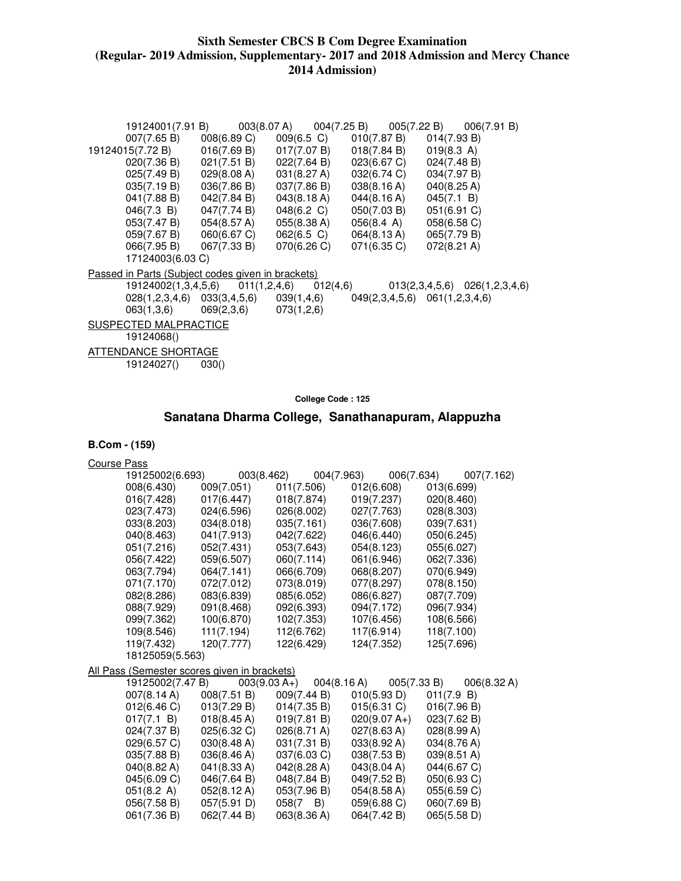|                                                          |             |                                           |                                                                                        | 19124001(7.91 B)  003(8.07 A)  004(7.25 B)  005(7.22 B)  006(7.91 B)    |
|----------------------------------------------------------|-------------|-------------------------------------------|----------------------------------------------------------------------------------------|-------------------------------------------------------------------------|
| 007(7.65 B)                                              |             |                                           | $008(6.89 \text{ C})$ $009(6.5 \text{ C})$ $010(7.87 \text{ B})$ $014(7.93 \text{ B})$ |                                                                         |
| 19124015(7.72 B)                                         |             | $016(7.69 B)$ $017(7.07 B)$               | 018(7.84 B)                                                                            | 019(8.3 A)                                                              |
|                                                          |             | $020(7.36 B)$ $021(7.51 B)$ $022(7.64 B)$ | $023(6.67 \text{ C})$ $024(7.48 \text{ B})$                                            |                                                                         |
| 025(7.49 B)                                              |             | 029(8.08 A) 031(8.27 A)                   | 032(6.74 C)                                                                            | 034(7.97 B)                                                             |
| 035(7.19 B)                                              | 036(7.86 B) | 037(7.86 B)                               | 038(8.16 A)                                                                            | 040(8.25 A)                                                             |
| 041(7.88 B)                                              | 042(7.84 B) | 043(8.18 A)                               | 044(8.16 A)                                                                            | 045(7.1 B)                                                              |
| $046(7.3 \text{ B})$ $047(7.74 \text{ B})$               |             | 048(6.2 C)                                | 050(7.03 B)                                                                            | 051(6.91 C)                                                             |
|                                                          |             | $053(7.47 B)$ $054(8.57 A)$ $055(8.38 A)$ | 056(8.4 A)                                                                             | 058(6.58 C)                                                             |
|                                                          |             | $059(7.67 B)$ $060(6.67 C)$ $062(6.5 C)$  | $064(8.13 \text{ A})$ $065(7.79 \text{ B})$                                            |                                                                         |
|                                                          |             | 066(7.95 B) 067(7.33 B) 070(6.26 C)       | 071(6.35 C)                                                                            | 072(8.21 A)                                                             |
| 17124003(6.03 C)                                         |             |                                           |                                                                                        |                                                                         |
| <u>Passed in Parts (Subject codes given in brackets)</u> |             |                                           |                                                                                        |                                                                         |
|                                                          |             |                                           |                                                                                        | 19124002(1,3,4,5,6) 011(1,2,4,6) 012(4,6) 013(2,3,4,5,6) 026(1,2,3,4,6) |
|                                                          |             |                                           | 028(1,2,3,4,6) 033(3,4,5,6) 039(1,4,6) 049(2,3,4,5,6) 061(1,2,3,4,6)                   |                                                                         |
| $063(1,3,6)$ $069(2,3,6)$ $073(1,2,6)$                   |             |                                           |                                                                                        |                                                                         |
| SUSPECTED MALPRACTICE                                    |             |                                           |                                                                                        |                                                                         |
| 19124068()                                               |             |                                           |                                                                                        |                                                                         |
| ATTENDANCE SHORTAGE                                      |             |                                           |                                                                                        |                                                                         |
| 19124027()                                               | 030()       |                                           |                                                                                        |                                                                         |

**College Code : 125** 

# **Sanatana Dharma College, Sanathanapuram, Alappuzha**

| <b>Course Pass</b> |                  |                                              |                  |                |             |
|--------------------|------------------|----------------------------------------------|------------------|----------------|-------------|
|                    | 19125002(6.693)  | 003(8.462)                                   | 004(7.963)       | 006(7.634)     | 007(7.162)  |
|                    | 008(6.430)       | 009(7.051)                                   | 011(7.506)       | 012(6.608)     | 013(6.699)  |
|                    | 016(7.428)       | 017(6.447)                                   | 018(7.874)       | 019(7.237)     | 020(8.460)  |
|                    | 023(7.473)       | 024(6.596)                                   | 026(8.002)       | 027(7.763)     | 028(8.303)  |
|                    | 033(8.203)       | 034(8.018)                                   | 035(7.161)       | 036(7.608)     | 039(7.631)  |
|                    | 040(8.463)       | 041(7.913)                                   | 042(7.622)       | 046(6.440)     | 050(6.245)  |
|                    | 051(7.216)       | 052(7.431)                                   | 053(7.643)       | 054(8.123)     | 055(6.027)  |
|                    | 056(7.422)       | 059(6.507)                                   | 060(7.114)       | 061(6.946)     | 062(7.336)  |
|                    | 063(7.794)       | 064(7.141)                                   | 066(6.709)       | 068(8.207)     | 070(6.949)  |
|                    | 071(7.170)       | 072(7.012)                                   | 073(8.019)       | 077(8.297)     | 078(8.150)  |
|                    | 082(8.286)       | 083(6.839)                                   | 085(6.052)       | 086(6.827)     | 087(7.709)  |
|                    | 088(7.929)       | 091(8.468)                                   | 092(6.393)       | 094(7.172)     | 096(7.934)  |
|                    | 099(7.362)       | 100(6.870)                                   | 102(7.353)       | 107(6.456)     | 108(6.566)  |
|                    | 109(8.546)       | 111(7.194)                                   | 112(6.762)       | 117(6.914)     | 118(7.100)  |
|                    | 119(7.432)       | 120(7.777)                                   | 122(6.429)       | 124(7.352)     | 125(7.696)  |
|                    | 18125059(5.563)  |                                              |                  |                |             |
|                    |                  | All Pass (Semester scores given in brackets) |                  |                |             |
|                    | 19125002(7.47 B) | $003(9.03 A+)$                               | 004(8.16 A)      | 005(7.33 B)    | 006(8.32 A) |
|                    | 007(8.14 A)      | 008(7.51 B)                                  | 009(7.44 B)      | 010(5.93 D)    | 011(7.9 B)  |
|                    | 012(6.46 C)      | 013(7.29 B)                                  | 014(7.35 B)      | 015(6.31)      | 016(7.96 B) |
|                    | 017(7.1 B)       | 018(8.45 A)                                  | 019(7.81 B)      | $020(9.07 A+)$ | 023(7.62 B) |
|                    | 024(7.37 B)      | 025(6.32 C)                                  | 026(8.71 A)      | 027(8.63 A)    | 028(8.99 A) |
|                    | 029(6.57 C)      | 030(8.48 A)                                  | 031(7.31 B)      | 033(8.92 A)    | 034(8.76 A) |
|                    | 035(7.88 B)      | 036(8.46 A)                                  | 037(6.03 C)      | 038(7.53 B)    | 039(8.51 A) |
|                    | 040(8.82 A)      | 041(8.33 A)                                  | 042(8.28 A)      | 043(8.04 A)    | 044(6.67 C) |
|                    | 045(6.09 C)      | 046(7.64 B)                                  | 048(7.84 B)      | 049(7.52 B)    | 050(6.93 C) |
|                    | 051(8.2 A)       | 052(8.12 A)                                  | 053(7.96 B)      | 054(8.58 A)    | 055(6.59 C) |
|                    | 056(7.58 B)      | 057(5.91 D)                                  | $058(7 \quad B)$ | 059(6.88 C)    | 060(7.69 B) |
|                    | 061(7.36 B)      | 062(7.44 B)                                  | 063(8.36 A)      | 064(7.42 B)    | 065(5.58 D) |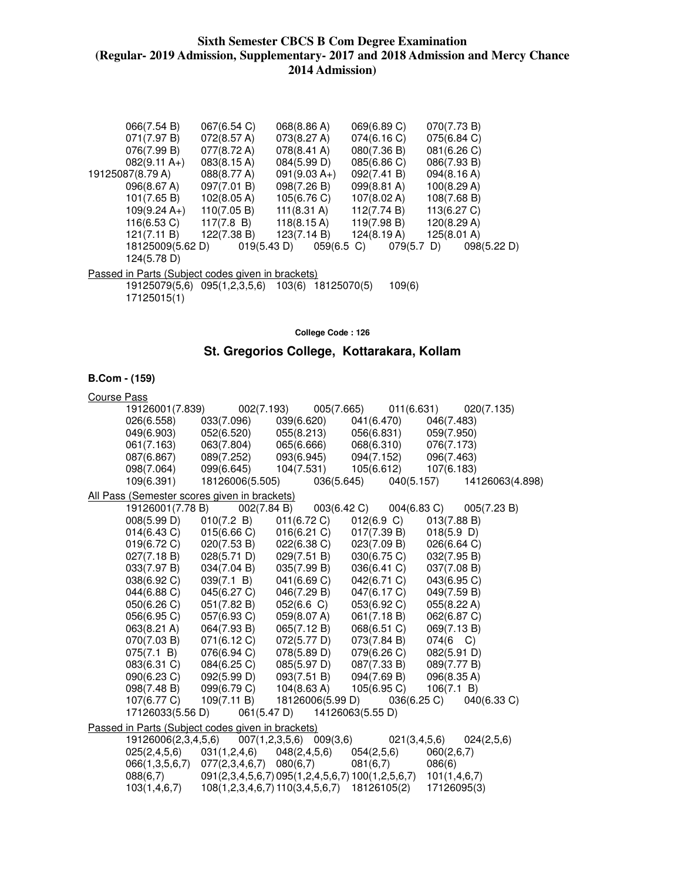| 066(7.54 B)                                              |                  | 067(6.54 C)                  | 068(8.86 A)        |               | 069(6.89 C)           |               | 070(7.73 B) |             |
|----------------------------------------------------------|------------------|------------------------------|--------------------|---------------|-----------------------|---------------|-------------|-------------|
| 071(7.97 B)                                              |                  | 072(8.57 A)                  | 073(8.27 A)        |               | 074(6.16 C)           |               | 075(6.84 C) |             |
| 076(7.99 B)                                              |                  | 077(8.72 A)                  | 078(8.41 A)        |               | 080(7.36 B)           |               | 081(6.26 C) |             |
| $082(9.11 A+)$                                           |                  | $083(8.15 \text{ A})$        | 084(5.99 D)        |               | 085(6.86 C)           |               | 086(7.93 B) |             |
| 19125087(8.79 A)                                         |                  | 088(8.77 A)                  | $091(9.03 A+)$     |               | 092(7.41 B)           |               | 094(8.16 A) |             |
| 096(8.67 A)                                              |                  | 097(7.01 B)                  | 098(7.26 B)        |               | $099(8.81 \text{ A})$ |               | 100(8.29 A) |             |
| 101(7.65 B)                                              |                  | $102(8.05 \text{ A})$        | 105(6.76 C)        |               | $107(8.02 \text{ A})$ |               | 108(7.68 B) |             |
| $109(9.24 A+)$                                           |                  | 110(7.05 B)                  | 111(8.31 A)        |               | 112(7.74 B)           |               | 113(6.27 C) |             |
| 116(6.53 C)                                              |                  | 117(7.8 B)                   | 118(8.15 A)        |               | 119(7.98 B)           |               | 120(8.29 A) |             |
| 121(7.11 B)                                              |                  | 122(7.38 B)                  | 123(7.14 B)        |               | 124(8.19 A)           |               | 125(8.01 A) |             |
|                                                          | 18125009(5.62 D) | 019(5.43 D)                  |                    | $059(6.5)$ C) |                       | $079(5.7)$ D) |             | 098(5.22 D) |
| 124(5.78 D)                                              |                  |                              |                    |               |                       |               |             |             |
| <u>Passed in Parts (Subject codes given in brackets)</u> |                  |                              |                    |               |                       |               |             |             |
|                                                          |                  | 19125079(5,6) 095(1,2,3,5,6) | 103(6) 18125070(5) |               |                       | 109(6)        |             |             |
| 17125015(1)                                              |                  |                              |                    |               |                       |               |             |             |

**College Code : 126** 

# **St. Gregorios College, Kottarakara, Kollam**

| <b>Course Pass</b>                                |                 |                                 |                                                  |                            |
|---------------------------------------------------|-----------------|---------------------------------|--------------------------------------------------|----------------------------|
| 19126001(7.839)                                   | 002(7.193)      | 005(7.665)                      | 011(6.631)                                       | 020(7.135)                 |
| 026(6.558)                                        | 033(7.096)      | 039(6.620)                      | 041(6.470)                                       | 046(7.483)                 |
| 049(6.903)                                        | 052(6.520)      | 055(8.213)                      | 056(6.831)                                       | 059(7.950)                 |
| 061(7.163)                                        | 063(7.804)      | 065(6.666)                      | 068(6.310)                                       | 076(7.173)                 |
| 087(6.867)                                        | 089(7.252)      | 093(6.945)                      | 094(7.152)                                       | 096(7.463)                 |
| 098(7.064)                                        | 099(6.645)      | 104(7.531)                      | 105(6.612)                                       | 107(6.183)                 |
| 109(6.391)                                        | 18126006(5.505) | 036(5.645)                      | 040(5.157)                                       | 14126063(4.898)            |
| All Pass (Semester scores given in brackets)      |                 |                                 |                                                  |                            |
| 19126001(7.78 B)                                  | 002(7.84 B)     |                                 | 003(6.42 C)<br>004(6.83 C)                       | 005(7.23 B)                |
| 008(5.99 D)                                       | 010(7.2 B)      | 011(6.72 C)                     | 012(6.9 C)                                       | 013(7.88 B)                |
| $014(6.43)$ C)                                    | 015(6.66 C)     | 016(6.21)                       | 017(7.39 B)                                      | 018(5.9)                   |
| 019(6.72 C)                                       | 020(7.53 B)     | 022(6.38)                       | 023(7.09 B)                                      | 026(6.64 C)                |
| 027(7.18 B)                                       | 028(5.71 D)     | 029(7.51 B)                     | 030(6.75 C)                                      | 032(7.95 B)                |
| 033(7.97 B)                                       | 034(7.04 B)     | 035(7.99 B)                     | 036(6.41 C)                                      | 037(7.08 B)                |
| 038(6.92 C)                                       | 039(7.1 B)      | 041(6.69 C)                     | 042(6.71 C)                                      | 043(6.95 C)                |
| 044(6.88 C)                                       | 045(6.27 C)     | 046(7.29 B)                     | 047(6.17 C)                                      | 049(7.59 B)                |
| 050(6.26 C)                                       | 051(7.82 B)     | 052(6.6 C)                      | 053(6.92 C)                                      | 055(8.22 A)                |
| 056(6.95 C)                                       | 057(6.93 C)     | 059(8.07 A)                     | 061(7.18 B)                                      | 062(6.87 C)                |
| 063(8.21 A)                                       | 064(7.93 B)     | 065(7.12 B)                     | 068(6.51 C)                                      | 069(7.13 B)                |
| 070(7.03 B)                                       | 071(6.12 C)     | 072(5.77 D)                     | 073(7.84 B)                                      | $074(6 \text{ C})$         |
| 075(7.1 B)                                        | 076(6.94 C)     | 078(5.89 D)                     | 079(6.26 C)                                      | 082(5.91 D)                |
| 083(6.31 C)                                       | 084(6.25 C)     | 085(5.97 D)                     | 087(7.33 B)                                      | 089(7.77 B)                |
| 090(6.23 C)                                       | 092(5.99 D)     | 093(7.51 B)                     | 094(7.69 B)                                      | 096(8.35 A)                |
| 098(7.48 B)                                       | 099(6.79 C)     | 104(8.63 A)                     | 105(6.95)                                        | 106(7.1 B)                 |
| 107(6.77 C)                                       | 109(7.11 B)     | 18126006(5.99 D)                | 036(6.25 C)                                      | 040(6.33 C)                |
| 17126033(5.56 D)                                  | 061(5.47 D)     |                                 | 14126063(5.55 D)                                 |                            |
| Passed in Parts (Subject codes given in brackets) |                 |                                 |                                                  |                            |
| 19126006(2,3,4,5,6)                               |                 | $007(1,2,3,5,6)$ 009(3,6)       |                                                  | 021(3,4,5,6)<br>024(2,5,6) |
| 025(2,4,5,6)                                      | 031(1,2,4,6)    | 048(2, 4, 5, 6)                 | 054(2,5,6)                                       | 060(2,6,7)                 |
| 066(1,3,5,6,7)                                    | 077(2,3,4,6,7)  | 080(6,7)                        | 081(6,7)                                         | 086(6)                     |
| 088(6,7)                                          |                 |                                 | 091(2,3,4,5,6,7) 095(1,2,4,5,6,7) 100(1,2,5,6,7) | 101(1, 4, 6, 7)            |
| 103(1, 4, 6, 7)                                   |                 | 108(1,2,3,4,6,7) 110(3,4,5,6,7) | 18126105(2)                                      | 17126095(3)                |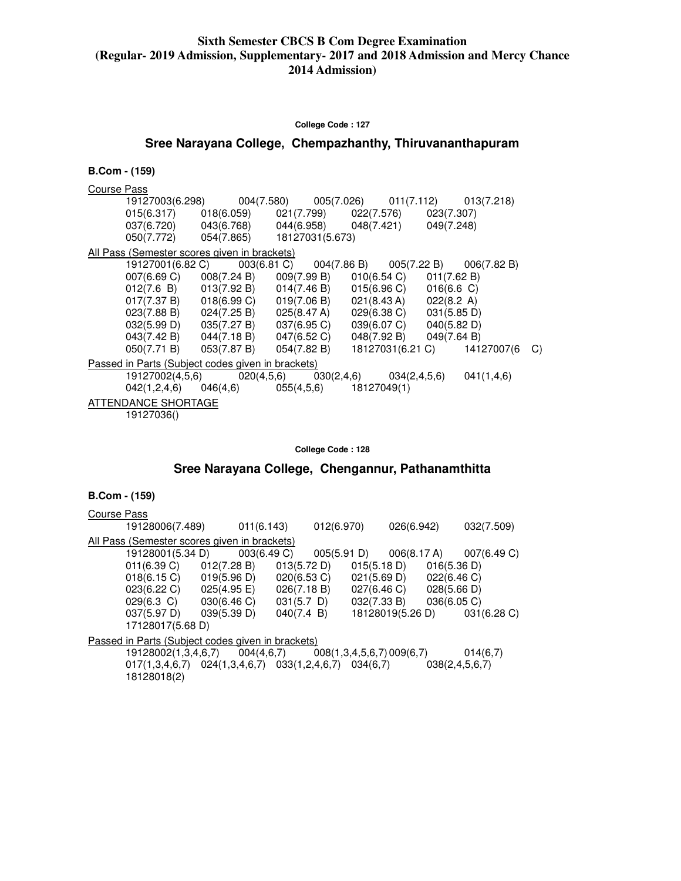**College Code : 127** 

# **Sree Narayana College, Chempazhanthy, Thiruvananthapuram**

### **B.Com - (159)**

| Course Pass                                                         |                                                                         |  |    |
|---------------------------------------------------------------------|-------------------------------------------------------------------------|--|----|
|                                                                     | 19127003(6.298) 004(7.580) 005(7.026) 011(7.112) 013(7.218)             |  |    |
| 015(6.317) 018(6.059) 021(7.799) 022(7.576) 023(7.307)              |                                                                         |  |    |
| 037(6.720) 043(6.768) 044(6.958) 048(7.421) 049(7.248)              |                                                                         |  |    |
| 050(7.772) 054(7.865) 18127031(5.673)                               |                                                                         |  |    |
| All Pass (Semester scores given in brackets)                        |                                                                         |  |    |
|                                                                     | 19127001(6.82 C) 003(6.81 C) 004(7.86 B) 005(7.22 B) 006(7.82 B)        |  |    |
| 007(6.69 C) 008(7.24 B) 009(7.99 B) 010(6.54 C) 011(7.62 B)         |                                                                         |  |    |
| $012(7.6 B)$ $013(7.92 B)$ $014(7.46 B)$ $015(6.96 C)$ $016(6.6 C)$ |                                                                         |  |    |
| 017(7.37 B) 018(6.99 C) 019(7.06 B) 021(8.43 A) 022(8.2 A)          |                                                                         |  |    |
| 023(7.88 B) 024(7.25 B) 025(8.47 A) 029(6.38 C) 031(5.85 D)         |                                                                         |  |    |
| 032(5.99 D) 035(7.27 B) 037(6.95 C) 039(6.07 C) 040(5.82 D)         |                                                                         |  |    |
| 043(7.42 B) 044(7.18 B) 047(6.52 C) 048(7.92 B) 049(7.64 B)         |                                                                         |  |    |
| 050(7.71 B) 053(7.87 B) 054(7.82 B) 18127031(6.21 C) 14127007(6     |                                                                         |  | C) |
| Passed in Parts (Subject codes given in brackets)                   |                                                                         |  |    |
|                                                                     | $19127002(4,5,6)$ $020(4,5,6)$ $030(2,4,6)$ $034(2,4,5,6)$ $041(1,4,6)$ |  |    |
| $042(1,2,4,6)$ $046(4,6)$ $055(4,5,6)$ $18127049(1)$                |                                                                         |  |    |
| ATTENDANCE SHORTAGE                                                 |                                                                         |  |    |
| 19127036()                                                          |                                                                         |  |    |

**College Code : 128** 

**Sree Narayana College, Chengannur, Pathanamthitta** 

| Course Pass |                                                          |             |             |               |                          |             |                  |                    |             |
|-------------|----------------------------------------------------------|-------------|-------------|---------------|--------------------------|-------------|------------------|--------------------|-------------|
|             | 19128006(7.489)                                          |             | 011(6.143)  |               | 012(6.970)               |             | 026(6.942)       |                    | 032(7.509)  |
|             | <u>All Pass (Semester scores given in brackets)</u>      |             |             |               |                          |             |                  |                    |             |
|             | 19128001(5.34 D)                                         |             | 003(6.49 C) |               | 005(5.91 D)              |             | 006(8.17 A)      |                    | 007(6.49 C) |
|             | 011(6.39 C)                                              | 012(7.28 B) |             | 013(5.72 D)   |                          | 015(5.18 D) |                  | 016(5.36 D)        |             |
|             | $018(6.15 \text{ C})$ $019(5.96 \text{ D})$              |             |             | 020(6.53 C)   |                          | 021(5.69 D) |                  | 022(6.46 C)        |             |
|             | $023(6.22 \text{ C})$ $025(4.95 \text{ E})$              |             |             | 026(7.18 B)   |                          | 027(6.46 C) |                  | 028(5.66 D)        |             |
|             | $029(6.3 \text{ C})$ $030(6.46 \text{ C})$               |             |             | $031(5.7)$ D) |                          | 032(7.33 B) |                  | 036(6.05 C)        |             |
|             | 037(5.97 D)                                              | 039(5.39 D) |             | 040(7.4 B)    |                          |             | 18128019(5.26 D) |                    | 031(6.28 C) |
|             | 17128017(5.68 D)                                         |             |             |               |                          |             |                  |                    |             |
|             | <u>Passed in Parts (Subject codes given in brackets)</u> |             |             |               |                          |             |                  |                    |             |
|             | 19128002(1,3,4,6,7)                                      |             | 004(4,6,7)  |               | 008(1,3,4,5,6,7)009(6,7) |             |                  |                    | 014(6,7)    |
|             | $017(1,3,4,6,7)$ $024(1,3,4,6,7)$ $033(1,2,4,6,7)$       |             |             |               |                          | 034(6,7)    |                  | 038(2, 4, 5, 6, 7) |             |
|             | 18128018(2)                                              |             |             |               |                          |             |                  |                    |             |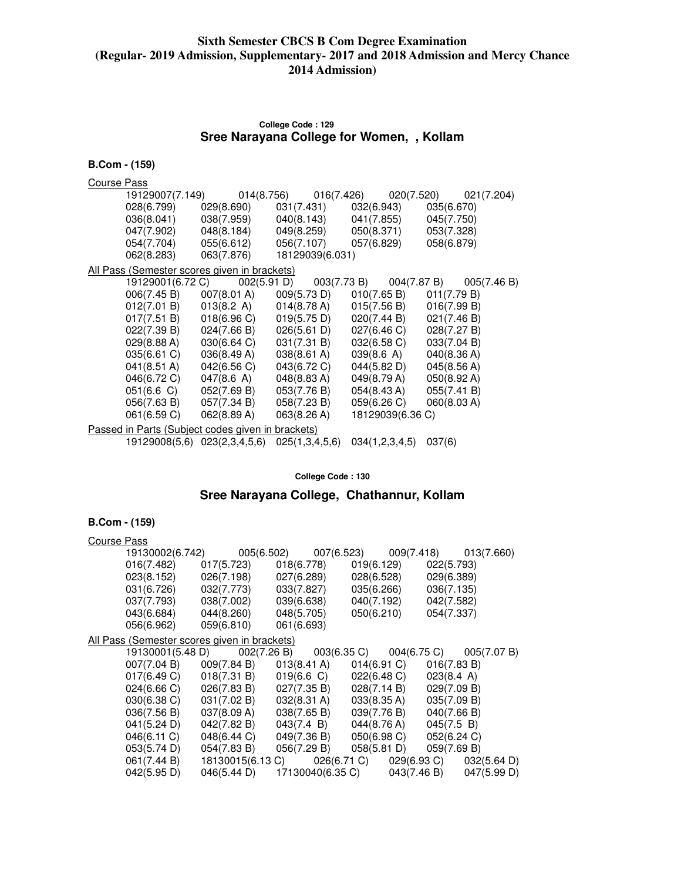### **College Code : 129 Sree Narayana College for Women, , Kollam**

| <b>B.Com - (159)</b> |                                                     |                                                   |                       |                  |             |  |  |
|----------------------|-----------------------------------------------------|---------------------------------------------------|-----------------------|------------------|-------------|--|--|
| Course Pass          |                                                     |                                                   |                       |                  |             |  |  |
|                      | 19129007(7.149)                                     |                                                   | 014(8.756) 016(7.426) | 020(7.520)       | 021(7.204)  |  |  |
|                      | 028(6.799)                                          | 029(8.690)                                        | 031(7.431)            | 032(6.943)       | 035(6.670)  |  |  |
|                      | 036(8.041)                                          | 038(7.959)                                        | 040(8.143)            | 041(7.855)       | 045(7.750)  |  |  |
|                      | 047(7.902)                                          | 048(8.184)                                        | 049(8.259)            | 050(8.371)       | 053(7.328)  |  |  |
|                      | 054(7.704)                                          | 055(6.612)                                        | 056(7.107)            | 057(6.829)       | 058(6.879)  |  |  |
|                      | 062(8.283)                                          | 063(7.876)                                        | 18129039(6.031)       |                  |             |  |  |
|                      | <u>All Pass (Semester scores given in brackets)</u> |                                                   |                       |                  |             |  |  |
|                      | 19129001(6.72 C)                                    | 002(5.91 D)                                       | 003(7.73 B)           | 004(7.87 B)      | 005(7.46 B) |  |  |
|                      | 006(7.45 B)                                         | 007(8.01 A)                                       | 009(5.73 D)           | 010(7.65 B)      | 011(7.79 B) |  |  |
|                      | 012(7.01 B)                                         | 013(8.2 A)                                        | 014(8.78 A)           | 015(7.56 B)      | 016(7.99 B) |  |  |
|                      | 017(7.51 B)                                         | 018(6.96 C)                                       | 019(5.75 D)           | 020(7.44 B)      | 021(7.46 B) |  |  |
|                      | 022(7.39 B)                                         | 024(7.66 B)                                       | 026(5.61 D)           | 027(6.46 C)      | 028(7.27 B) |  |  |
|                      | 029(8.88 A)                                         | 030(6.64 C)                                       | 031(7.31 B)           | 032(6.58)        | 033(7.04 B) |  |  |
|                      | 035(6.61 C)                                         | 036(8.49 A)                                       | 038(8.61 A)           | 039(8.6 A)       | 040(8.36 A) |  |  |
|                      | 041(8.51 A)                                         | 042(6.56 C)                                       | 043(6.72 C)           | 044(5.82 D)      | 045(8.56 A) |  |  |
|                      | 046(6.72 C)                                         | 047(8.6 A)                                        | 048(8.83 A)           | 049(8.79 A)      | 050(8.92 A) |  |  |
|                      | 051(6.6 C)                                          | 052(7.69 B)                                       | 053(7.76 B)           | 054(8.43 A)      | 055(7.41 B) |  |  |
|                      | 056(7.63 B)                                         | 057(7.34 B)                                       | 058(7.23 B)           | 059(6.26 C)      | 060(8.03 A) |  |  |
|                      | 061(6.59 C)                                         | 062(8.89 A)                                       | 063(8.26 A)           | 18129039(6.36 C) |             |  |  |
|                      |                                                     | Passed in Parts (Subject codes given in brackets) |                       |                  |             |  |  |
|                      |                                                     | 19129008(5,6) 023(2,3,4,5,6)                      | 025(1,3,4,5,6)        | 034(1,2,3,4,5)   | 037(6)      |  |  |

**College Code : 130** 

# **Sree Narayana College, Chathannur, Kollam**

| <b>Course Pass</b> |                                              |                                                                  |            |                                             |             |             |  |
|--------------------|----------------------------------------------|------------------------------------------------------------------|------------|---------------------------------------------|-------------|-------------|--|
|                    | 19130002(6.742)                              | 005(6.502)  007(6.523)  009(7.418)  013(7.660)                   |            |                                             |             |             |  |
|                    | 016(7.482)                                   | 017(5.723)                                                       |            | 018(6.778)                                  | 019(6.129)  | 022(5.793)  |  |
|                    | 023(8.152)                                   | 026(7.198)                                                       |            | 027(6.289)                                  | 028(6.528)  | 029(6.389)  |  |
|                    | 031(6.726)                                   | 032(7.773)                                                       | 033(7.827) |                                             | 035(6.266)  | 036(7.135)  |  |
|                    | 037(7.793)                                   | 038(7.002)                                                       |            | 039(6.638) 040(7.192)                       |             | 042(7.582)  |  |
|                    | 043(6.684)                                   | 044(8.260)                                                       |            | 048(5.705) 050(6.210)                       |             | 054(7.337)  |  |
|                    | 056(6.962)                                   | 059(6.810) 061(6.693)                                            |            |                                             |             |             |  |
|                    | All Pass (Semester scores given in brackets) |                                                                  |            |                                             |             |             |  |
|                    |                                              | 19130001(5.48 D) 002(7.26 B) 003(6.35 C) 004(6.75 C) 005(7.07 B) |            |                                             |             |             |  |
|                    | 007(7.04 B)                                  | 009(7.84 B)                                                      |            | $013(8.41 \text{ A})$                       | 014(6.91 C) | 016(7.83 B) |  |
|                    | 017(6.49 C)                                  | 018(7.31 B)                                                      |            | 019(6.6 C)                                  | 022(6.48 C) | 023(8.4 A)  |  |
|                    | 024(6.66 C)                                  | 026(7.83 B)                                                      |            | $027(7.35 B)$ $028(7.14 B)$                 |             | 029(7.09 B) |  |
|                    | 030(6.38 C)                                  | 031(7.02 B)                                                      |            | $032(8.31 \text{ A})$ $033(8.35 \text{ A})$ |             | 035(7.09 B) |  |
|                    | 036(7.56 B)                                  | 037(8.09 A)                                                      |            | 038(7.65 B)                                 | 039(7.76 B) | 040(7.66 B) |  |
|                    | 041(5.24 D)                                  | 042(7.82 B)                                                      |            | 043(7.4 B)                                  | 044(8.76 A) | 045(7.5 B)  |  |
|                    | 046(6.11 C)                                  | 048(6.44 C)                                                      |            | 049(7.36 B)                                 | 050(6.98 C) | 052(6.24 C) |  |
|                    | 053(5.74 D)                                  | 054(7.83 B)                                                      |            | $056(7.29 B)$ $058(5.81 D)$                 |             | 059(7.69 B) |  |
|                    | 061(7.44 B)                                  | 18130015(6.13 C) 026(6.71 C) 029(6.93 C) 032(5.64 D)             |            |                                             |             |             |  |
|                    | 042(5.95 D)                                  | 046(5.44 D) 17130040(6.35 C) 043(7.46 B) 047(5.99 D)             |            |                                             |             |             |  |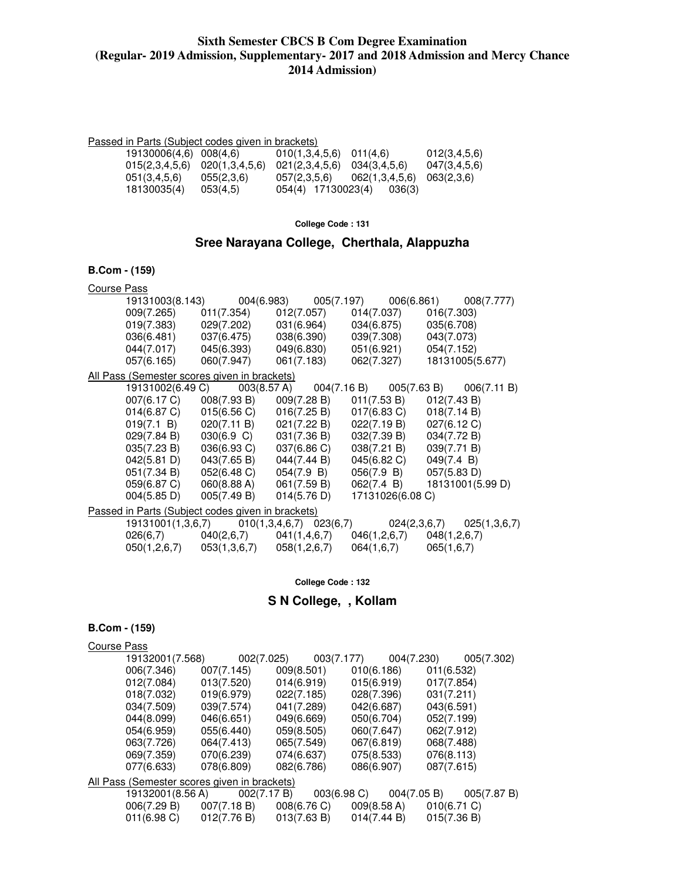#### Passed in Parts (Subject codes given in brackets)

| 19130006(4.6) 008(4.6)            |            | $010(1,3,4,5,6)$ $011(4,6)$ |                               | 012(3, 4, 5, 6) |
|-----------------------------------|------------|-----------------------------|-------------------------------|-----------------|
| $015(2,3,4,5,6)$ $020(1,3,4,5,6)$ |            | 021(2,3,4,5,6)              | 034(3,4,5,6)                  | 047(3,4,5,6)    |
| 051(3, 4, 5, 6)                   | 055(2,3.6) | 057(2,3.5.6)                | $062(1,3,4,5,6)$ $063(2,3,6)$ |                 |
| 18130035(4)                       | 053(4.5)   |                             | $054(4)$ 17130023(4) 036(3)   |                 |

#### **College Code : 131**

# **Sree Narayana College, Cherthala, Alappuzha**

### **B.Com - (159)**

| <b>Course Pass</b> |                                                   |                                                                                         |             |                             |             |                             |
|--------------------|---------------------------------------------------|-----------------------------------------------------------------------------------------|-------------|-----------------------------|-------------|-----------------------------|
|                    |                                                   | 19131003(8.143) 004(6.983) 005(7.197) 006(6.861) 008(7.777)                             |             |                             |             |                             |
|                    |                                                   | 009(7.265)  011(7.354)  012(7.057)                                                      |             | 014(7.037)                  | 016(7.303)  |                             |
|                    |                                                   | 019(7.383) 029(7.202) 031(6.964) 034(6.875) 035(6.708)                                  |             |                             |             |                             |
|                    |                                                   | 036(6.481) 037(6.475) 038(6.390) 039(7.308)                                             |             |                             | 043(7.073)  |                             |
|                    |                                                   | 044(7.017) 045(6.393) 049(6.830) 051(6.921) 054(7.152)                                  |             |                             |             |                             |
|                    |                                                   | 057(6.165) 060(7.947) 061(7.183) 062(7.327)                                             |             |                             |             | 18131005(5.677)             |
|                    | All Pass (Semester scores given in brackets)      |                                                                                         |             |                             |             |                             |
|                    |                                                   | 19131002(6.49 C)  003(8.57 A)  004(7.16 B)  005(7.63 B)  006(7.11 B)                    |             |                             |             |                             |
|                    |                                                   | $007(6.17 \text{ C})$ $008(7.93 \text{ B})$ $009(7.28 \text{ B})$                       |             | $011(7.53 B)$ $012(7.43 B)$ |             |                             |
|                    |                                                   | $014(6.87 \text{ C})$ $015(6.56 \text{ C})$ $016(7.25 \text{ B})$ $017(6.83 \text{ C})$ |             |                             | 018(7.14 B) |                             |
|                    |                                                   | 019(7.1 B) 020(7.11 B) 021(7.22 B) 022(7.19 B) 027(6.12 C)                              |             |                             |             |                             |
|                    |                                                   | 029(7.84 B) 030(6.9 C) 031(7.36 B) 032(7.39 B) 034(7.72 B)                              |             |                             |             |                             |
|                    |                                                   | 035(7.23 B) 036(6.93 C) 037(6.86 C) 038(7.21 B)                                         |             |                             | 039(7.71 B) |                             |
|                    |                                                   | 042(5.81 D) 043(7.65 B) 044(7.44 B) 045(6.82 C) 049(7.4 B)                              |             |                             |             |                             |
|                    |                                                   | 051(7.34 B) 052(6.48 C) 054(7.9 B) 056(7.9 B) 057(5.83 D)                               |             |                             |             |                             |
|                    |                                                   | $059(6.87 \text{ C})$ $060(8.88 \text{ A})$ $061(7.59 \text{ B})$                       |             |                             |             | 062(7.4 B) 18131001(5.99 D) |
|                    |                                                   | $004(5.85 \text{ D})$ $005(7.49 \text{ B})$                                             | 014(5.76 D) | 17131026(6.08 C)            |             |                             |
|                    | Passed in Parts (Subject codes given in brackets) |                                                                                         |             |                             |             |                             |
|                    |                                                   | 19131001(1,3,6,7)  010(1,3,4,6,7)  023(6,7)  024(2,3,6,7)  025(1,3,6,7)                 |             |                             |             |                             |
|                    |                                                   | $026(6,7)$ $040(2,6,7)$ $041(1,4,6,7)$ $046(1,2,6,7)$ $048(1,2,6,7)$                    |             |                             |             |                             |
|                    |                                                   | $050(1,2,6,7)$ $053(1,3,6,7)$ $058(1,2,6,7)$                                            |             | $064(1,6,7)$ $065(1,6,7)$   |             |                             |
|                    |                                                   |                                                                                         |             |                             |             |                             |

#### **College Code : 132**

# **S N College, , Kollam**

| Course Pass                                  |             |             |             |             |             |
|----------------------------------------------|-------------|-------------|-------------|-------------|-------------|
| 19132001(7.568)                              |             | 002(7.025)  | 003(7.177)  | 004(7.230)  | 005(7.302)  |
| 006(7.346)                                   | 007(7.145)  | 009(8.501)  | 010(6.186)  |             | 011(6.532)  |
| 012(7.084)                                   | 013(7.520)  | 014(6.919)  | 015(6.919)  |             | 017(7.854)  |
| 018(7.032)                                   | 019(6.979)  | 022(7.185)  | 028(7.396)  |             | 031(7.211)  |
| 034(7.509)                                   | 039(7.574)  | 041(7.289)  | 042(6.687)  |             | 043(6.591)  |
| 044(8.099)                                   | 046(6.651)  | 049(6.669)  | 050(6.704)  |             | 052(7.199)  |
| 054(6.959)                                   | 055(6.440)  | 059(8.505)  | 060(7.647)  |             | 062(7.912)  |
| 063(7.726)                                   | 064(7.413)  | 065(7.549)  | 067(6.819)  |             | 068(7.488)  |
| 069(7.359)                                   | 070(6.239)  | 074(6.637)  | 075(8.533)  |             | 076(8.113)  |
| 077(6.633)                                   | 078(6.809)  | 082(6.786)  | 086(6.907)  |             | 087(7.615)  |
| All Pass (Semester scores given in brackets) |             |             |             |             |             |
| 19132001(8.56 A)                             |             | 002(7.17 B) | 003(6.98 C) | 004(7.05 B) | 005(7.87 B) |
| 006(7.29 B)                                  | 007(7.18 B) | 008(6.76 C) |             | 009(8.58 A) | 010(6.71 C) |
| $011(6.98)$ C)                               | 012(7.76 B) | 013(7.63 B) | 014(7.44 B) |             | 015(7.36 B) |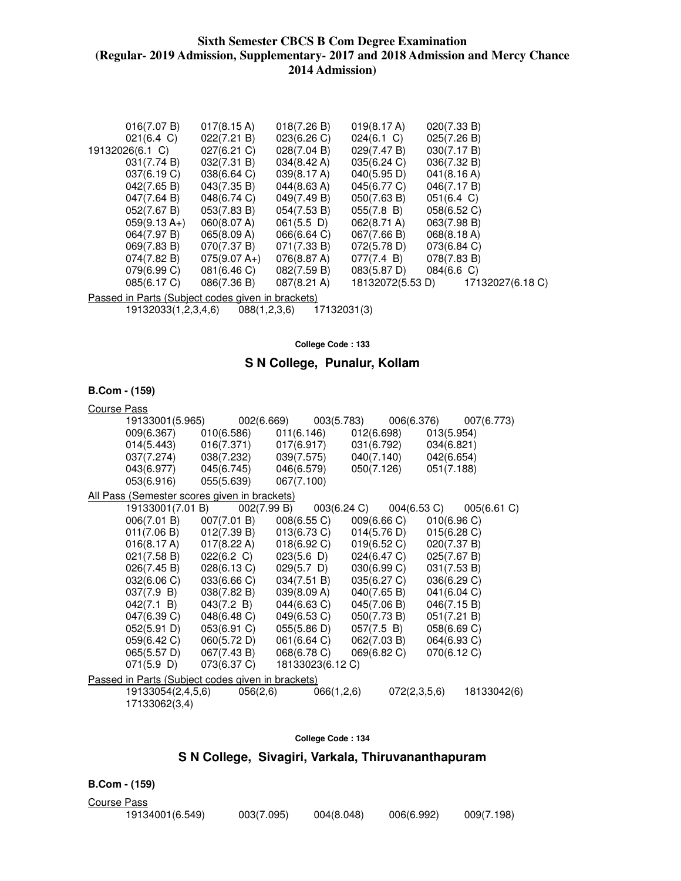| 016(7.07 B)                                       | $017(8.15 \text{ A})$ | 018(7.26 B)           | 019(8.17 A)           | 020(7.33 B)          |                  |
|---------------------------------------------------|-----------------------|-----------------------|-----------------------|----------------------|------------------|
| $021(6.4 \text{ C})$                              | 022(7.21 B)           | 023(6.26)             | $024(6.1)$ C)         | 025(7.26 B)          |                  |
| 19132026(6.1 C)                                   | $027(6.21)$ C)        | 028(7.04 B)           | 029(7.47 B)           | 030(7.17 B)          |                  |
| 031(7.74 B)                                       | 032(7.31 B)           | $034(8.42 \text{ A})$ | 035(6.24)             | 036(7.32 B)          |                  |
| 037(6.19 C)                                       | 038(6.64 C)           | 039(8.17 A)           | 040(5.95 D)           | 041(8.16 A)          |                  |
| 042(7.65 B)                                       | 043(7.35 B)           | 044(8.63 A)           | 045(6.77 C)           | 046(7.17 B)          |                  |
| 047(7.64 B)                                       | 048(6.74 C)           | 049(7.49 B)           | 050(7.63 B)           | $051(6.4 \text{ C})$ |                  |
| 052(7.67 B)                                       | 053(7.83 B)           | 054(7.53 B)           | 055(7.8 B)            | 058(6.52 C)          |                  |
| $059(9.13 A+)$                                    | 060(8.07 A)           | $061(5.5)$ D)         | $062(8.71 \text{ A})$ | 063(7.98 B)          |                  |
| 064(7.97 B)                                       | 065(8.09 A)           | 066(6.64 C)           | 067(7.66 B)           | 068(8.18 A)          |                  |
| 069(7.83 B)                                       | 070(7.37 B)           | 071(7.33 B)           | 072(5.78 D)           | 073(6.84 C)          |                  |
| 074(7.82 B)                                       | $075(9.07 A+)$        | 076(8.87 A)           | 077(7.4 B)            | 078(7.83 B)          |                  |
| 079(6.99 C)                                       | 081(6.46 C)           | 082(7.59 B)           | 083(5.87 D)           | 084(6.6 C)           |                  |
| 085(6.17 C)                                       | 086(7.36 B)           | 087(8.21 A)           | 18132072(5.53 D)      |                      | 17132027(6.18 C) |
| Passed in Parts (Subject codes given in brackets) |                       |                       |                       |                      |                  |

Passed in Parts (Subject codes given in brackets) 19132033(1,2,3,4,6) 088(1,2,3,6)

**College Code : 133** 

### **S N College, Punalur, Kollam**

### **B.Com - (159)**

| <b>Course Pass</b> |                   |                                                   |                  |                |                          |
|--------------------|-------------------|---------------------------------------------------|------------------|----------------|--------------------------|
|                    | 19133001(5.965)   | 002(6.669)                                        | 003(5.783)       |                | 006(6.376)<br>007(6.773) |
|                    | 009(6.367)        | 010(6.586)                                        | 011(6.146)       | 012(6.698)     | 013(5.954)               |
|                    | 014(5.443)        | 016(7.371)                                        | 017(6.917)       | 031(6.792)     | 034(6.821)               |
|                    | 037(7.274)        | 038(7.232)                                        | 039(7.575)       | 040(7.140)     | 042(6.654)               |
|                    | 043(6.977)        | 045(6.745)                                        | 046(6.579)       | 050(7.126)     | 051(7.188)               |
|                    | 053(6.916)        | 055(5.639)                                        | 067(7.100)       |                |                          |
|                    |                   | All Pass (Semester scores given in brackets)      |                  |                |                          |
|                    | 19133001(7.01 B)  | 002(7.99 B)                                       | 003(6.24 C)      | $004(6.53)$ C) | 005(6.61 C)              |
|                    | 006(7.01 B)       | 007(7.01 B)                                       | 008(6.55 C)      | 009(6.66 C)    | 010(6.96 C)              |
|                    | 011(7.06 B)       | 012(7.39 B)                                       | $013(6.73)$ C)   | 014(5.76 D)    | 015(6.28)                |
|                    | 016(8.17 A)       | 017(8.22 A)                                       | 018(6.92 C)      | 019(6.52 C)    | 020(7.37 B)              |
|                    | 021(7.58 B)       | 022(6.2 C)                                        | 023(5.6)         | 024(6.47 C)    | 025(7.67 B)              |
|                    | 026(7.45 B)       | 028(6.13 C)                                       | $029(5.7)$ D)    | 030(6.99 C)    | 031(7.53 B)              |
|                    | 032(6.06 C)       | 033(6.66 C)                                       | 034(7.51 B)      | 035(6.27 C)    | 036(6.29 C)              |
|                    | 037(7.9 B)        | 038(7.82 B)                                       | 039(8.09 A)      | 040(7.65 B)    | 041(6.04 C)              |
|                    | 042(7.1 B)        | 043(7.2 B)                                        | 044(6.63 C)      | 045(7.06 B)    | 046(7.15 B)              |
|                    | 047(6.39 C)       | 048(6.48 C)                                       | 049(6.53 C)      | 050(7.73 B)    | 051(7.21 B)              |
|                    | 052(5.91 D)       | 053(6.91 C)                                       | 055(5.86 D)      | 057(7.5 B)     | 058(6.69 C)              |
|                    | 059(6.42 C)       | 060(5.72 D)                                       | 061(6.64 C)      | 062(7.03 B)    | 064(6.93 C)              |
|                    | 065(5.57 D)       | 067(7.43 B)                                       | 068(6.78 C)      | 069(6.82 C)    | 070(6.12 C)              |
|                    | 071(5.9)          | 073(6.37 C)                                       | 18133023(6.12 C) |                |                          |
|                    |                   | Passed in Parts (Subject codes given in brackets) |                  |                |                          |
|                    | 19133054(2,4,5,6) | 056(2,6)                                          | 066(1,2,6)       | 072(2,3,5,6)   | 18133042(6)              |
|                    | 17133062(3,4)     |                                                   |                  |                |                          |

### **College Code : 134**

# **S N College, Sivagiri, Varkala, Thiruvananthapuram**

**B.Com - (159)** 

Course Pass

19134001(6.549) 003(7.095) 004(8.048) 006(6.992) 009(7.198)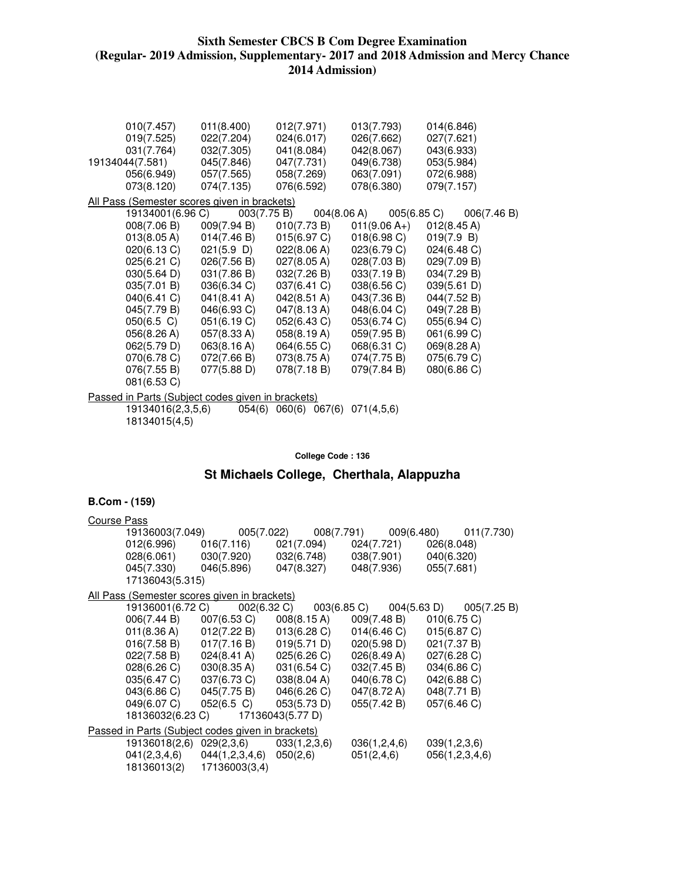| 010(7.457)<br>019(7.525)<br>031(7.764)<br>19134044(7.581) | 011(8.400)<br>022(7.204)<br>032(7.305)<br>045(7.846) | 012(7.971)<br>024(6.017)<br>041(8.084)<br>047(7.731) | 013(7.793)<br>026(7.662)<br>042(8.067)<br>049(6.738) | 014(6.846)<br>027(7.621)<br>043(6.933)<br>053(5.984) |
|-----------------------------------------------------------|------------------------------------------------------|------------------------------------------------------|------------------------------------------------------|------------------------------------------------------|
| 056(6.949)<br>073(8.120)                                  | 057(7.565)<br>074(7.135)                             | 058(7.269)<br>076(6.592)                             | 063(7.091)<br>078(6.380)                             | 072(6.988)<br>079(7.157)                             |
| All Pass (Semester scores given in brackets)              |                                                      |                                                      |                                                      |                                                      |
| 19134001(6.96 C)                                          | 003(7.75 B)                                          |                                                      | 004(8.06 A)<br>005(6.85 C)                           | 006(7.46 B)                                          |
| 008(7.06 B)                                               | 009(7.94 B)                                          | 010(7.73 B)                                          | $011(9.06 A+)$                                       | 012(8.45 A)                                          |
| 013(8.05 A)                                               | 014(7.46 B)                                          | 015(6.97 C)                                          | 018(6.98)                                            | 019(7.9 B)                                           |
| 020(6.13 C)                                               | $021(5.9)$ D)                                        | 022(8.06 A)                                          | 023(6.79 C)                                          | 024(6.48 C)                                          |
| 025(6.21)                                                 | 026(7.56 B)                                          | 027(8.05 A)                                          | 028(7.03 B)                                          | 029(7.09 B)                                          |
| $030(5.64 \text{ D})$                                     | 031(7.86 B)                                          | 032(7.26 B)                                          | 033(7.19 B)                                          | 034(7.29 B)                                          |
| 035(7.01 B)                                               | 036(6.34 C)                                          | 037(6.41 C)                                          | 038(6.56 C)                                          | 039(5.61 D)                                          |
| 040(6.41 C)                                               | $041(8.41 \text{ A})$                                | $042(8.51 \text{ A})$                                | 043(7.36 B)                                          | 044(7.52 B)                                          |
| 045(7.79 B)                                               | 046(6.93 C)                                          | 047(8.13 A)                                          | 048(6.04 C)                                          | 049(7.28 B)                                          |
| $050(6.5)$ C)                                             | 051(6.19 C)                                          | 052(6.43 C)                                          | 053(6.74 C)                                          | 055(6.94 C)                                          |
| 056(8.26 A)                                               | 057(8.33 A)                                          | 058(8.19 A)                                          | 059(7.95 B)                                          | 061(6.99 C)                                          |
| 062(5.79 D)                                               | 063(8.16 A)                                          | 064(6.55 C)                                          | 068(6.31 C)                                          | 069(8.28 A)                                          |
| 070(6.78 C)                                               | 072(7.66 B)                                          | 073(8.75 A)                                          | 074(7.75 B)                                          | 075(6.79 C)                                          |
| 076(7.55 B)                                               | 077(5.88 D)                                          | 078(7.18 B)                                          | 079(7.84 B)                                          | 080(6.86 C)                                          |
| 081(6.53 C)                                               |                                                      |                                                      |                                                      |                                                      |
|                                                           |                                                      |                                                      |                                                      |                                                      |
| Passed in Parts (Subject codes given in brackets)         |                                                      |                                                      |                                                      |                                                      |

 19134016(2,3,5,6) 054(6) 060(6) 067(6) 071(4,5,6) 18134015(4,5)

**College Code : 136** 

# **St Michaels College, Cherthala, Alappuzha**

| Course Pass |                                                   |                                                         |                                                                                         |                                                                     |
|-------------|---------------------------------------------------|---------------------------------------------------------|-----------------------------------------------------------------------------------------|---------------------------------------------------------------------|
|             |                                                   |                                                         |                                                                                         | 19136003(7.049)   005(7.022)   008(7.791)   009(6.480)   011(7.730) |
|             |                                                   |                                                         | 012(6.996) 016(7.116) 021(7.094) 024(7.721) 026(8.048)                                  |                                                                     |
|             |                                                   |                                                         | 028(6.061) 030(7.920) 032(6.748) 038(7.901) 040(6.320)                                  |                                                                     |
|             |                                                   |                                                         | 045(7.330) 046(5.896) 047(8.327) 048(7.936) 055(7.681)                                  |                                                                     |
|             | 17136043(5.315)                                   |                                                         |                                                                                         |                                                                     |
|             | All Pass (Semester scores given in brackets)      |                                                         |                                                                                         |                                                                     |
|             |                                                   |                                                         |                                                                                         | 19136001(6.72 C) 002(6.32 C) 003(6.85 C) 004(5.63 D) 005(7.25 B)    |
|             |                                                   | $006(7.44 B)$ $007(6.53 C)$                             | $008(8.15 \text{ A})$ $009(7.48 \text{ B})$                                             | 010(6.75)                                                           |
|             |                                                   |                                                         | $011(8.36 \text{ A})$ $012(7.22 \text{ B})$ $013(6.28 \text{ C})$ $014(6.46 \text{ C})$ | 015(6.87 C)                                                         |
|             |                                                   |                                                         | $016(7.58 B)$ $017(7.16 B)$ $019(5.71 D)$ $020(5.98 D)$                                 | 021(7.37 B)                                                         |
|             |                                                   | $022(7.58 B)$ $024(8.41 A)$ $025(6.26 C)$ $026(8.49 A)$ |                                                                                         | 027(6.28 C)                                                         |
|             |                                                   | 028(6.26 C) 030(8.35 A) 031(6.54 C) 032(7.45 B)         |                                                                                         | 034(6.86 C)                                                         |
|             |                                                   | 035(6.47 C) 037(6.73 C) 038(8.04 A) 040(6.78 C)         |                                                                                         | 042(6.88 C)                                                         |
|             |                                                   | 043(6.86 C) 045(7.75 B) 046(6.26 C) 047(8.72 A)         |                                                                                         | 048(7.71 B)                                                         |
|             | 049(6.07 C)                                       | $052(6.5 \text{ C})$ $053(5.73 \text{ D})$              | 055(7.42 B)                                                                             | 057(6.46 C)                                                         |
|             | 18136032(6.23 C)                                  | 17136043(5.77 D)                                        |                                                                                         |                                                                     |
|             | Passed in Parts (Subject codes given in brackets) |                                                         |                                                                                         |                                                                     |
|             | 19136018(2,6)                                     | $029(2,3,6)$ $033(1,2,3,6)$                             | 036(1,2,4,6)                                                                            | 039(1,2,3,6)                                                        |
|             |                                                   | $041(2,3,4,6)$ $044(1,2,3,4,6)$ $050(2,6)$              | 051(2,4,6)                                                                              | 056(1,2,3,4,6)                                                      |
|             |                                                   | 18136013(2) 17136003(3,4)                               |                                                                                         |                                                                     |
|             |                                                   |                                                         |                                                                                         |                                                                     |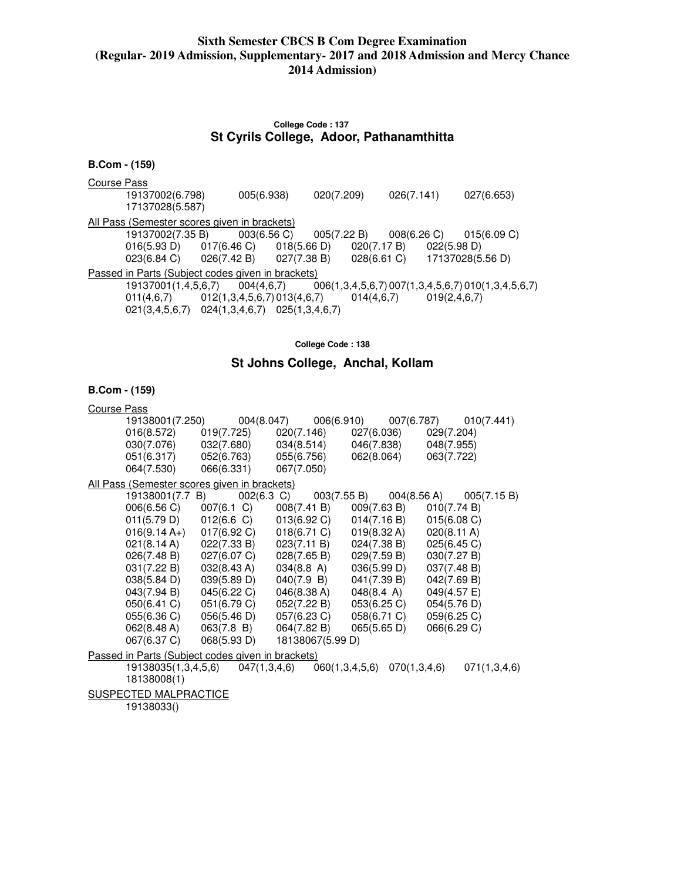### **College Code : 137 St Cyrils College, Adoor, Pathanamthitta**

### **B.Com - (159)**

Course Pass

 19137002(6.798) 005(6.938) 020(7.209) 026(7.141) 027(6.653) 17137028(5.587) All Pass (Semester scores given in brackets) 19137002(7.35 B) 003(6.56 C) 005(7.22 B) 008(6.26 C) 015(6.09 C) 016(5.93 D) 017(6.46 C) 018(5.66 D) 020(7.17 B) 022(5.98 D) 023(6.84 C) 026(7.42 B) 027(7.38 B) 028(6.61 C) 17137028(5 023(6.84 C) 026(7.42 B) 027(7.38 B) 028(6.61 C) 17137028(5.56 D) Passed in Parts (Subject codes given in brackets) 19137001(1,4,5,6,7) 004(4,6,7) 006(1,3,4,5,6,7) 007(1,3,4,5,6,7) 010(1,3,4,5,6,7)  $011(4,6,7)$   $012(1,3,4,5,6,7)$   $013(4,6,7)$   $014(4,6,7)$   $019(2,4,6,7)$ 021(3,4,5,6,7) 024(1,3,4,6,7) 025(1,3,4,6,7)

**College Code : 138** 

### **St Johns College, Anchal, Kollam**

| Course Pass<br>19138001(7.250)<br>016(8.572)<br>030(7.076) | 019(7.725)<br>032(7.680)                          | 004(8.047)<br>006(6.910)<br>020(7.146)<br>034(8.514) | 007(6.787)<br>027(6.036)<br>046(7.838)      | 010(7.441)<br>029(7.204)<br>048(7.955) |
|------------------------------------------------------------|---------------------------------------------------|------------------------------------------------------|---------------------------------------------|----------------------------------------|
| 051(6.317)<br>064(7.530)                                   | 052(6.763)<br>066(6.331)                          | 055(6.756)<br>067(7.050)                             | 062(8.064)                                  | 063(7.722)                             |
|                                                            | All Pass (Semester scores given in brackets)      |                                                      |                                             |                                        |
| 19138001(7.7 B)                                            |                                                   | $002(6.3)$ C)                                        | 003(7.55 B)                                 | 004(8.56 A)<br>005(7.15 B)             |
| 006(6.56 C)                                                | 007(6.1 C)                                        | 008(7.41 B)                                          | 009(7.63 B)                                 | 010(7.74 B)                            |
| 011(5.79 D)                                                | $012(6.6)$ C)                                     |                                                      | $013(6.92 \text{ C})$ $014(7.16 \text{ B})$ | 015(6.08 C)                            |
| $016(9.14 A+)$                                             | 017(6.92 C)                                       | 018(6.71 C)                                          | 019(8.32 A)                                 | 020(8.11 A)                            |
| 021(8.14 A)                                                | 022(7.33 B)                                       | 023(7.11 B)                                          | 024(7.38 B)                                 | 025(6.45 C)                            |
| 026(7.48 B)                                                | 027(6.07 C)                                       | 028(7.65 B)                                          | 029(7.59 B)                                 | 030(7.27 B)                            |
| 031(7.22 B)                                                | 032(8.43 A)                                       | 034(8.8 A)                                           | 036(5.99 D)                                 | 037(7.48 B)                            |
| 038(5.84 D)                                                | 039(5.89 D)                                       | 040(7.9 B)                                           | 041(7.39 B)                                 | 042(7.69 B)                            |
| 043(7.94 B)                                                | 045(6.22 C)                                       | 046(8.38 A)                                          | 048(8.4 A)                                  | 049(4.57 E)                            |
| 050(6.41 C)                                                | 051(6.79 C)                                       | 052(7.22 B)                                          | 053(6.25 C)                                 | 054(5.76 D)                            |
| 055(6.36 C)                                                | 056(5.46 D)                                       | 057(6.23 C)                                          | 058(6.71 C)                                 | 059(6.25 C)                            |
| 062(8.48 A)                                                | 063(7.8 B)                                        | 064(7.82 B)                                          | 065(5.65 D)                                 | 066(6.29 C)                            |
| 067(6.37 C)                                                | 068(5.93 D)                                       | 18138067(5.99 D)                                     |                                             |                                        |
|                                                            | Passed in Parts (Subject codes given in brackets) |                                                      |                                             |                                        |
|                                                            | 19138035(1,3,4,5,6)                               | 047(1,3,4,6)                                         | $060(1,3,4,5,6)$ $070(1,3,4,6)$             | 071(1,3,4,6)                           |
| 18138008(1)                                                |                                                   |                                                      |                                             |                                        |
|                                                            |                                                   |                                                      |                                             |                                        |
| SUSPECTED MALPRACTICE                                      |                                                   |                                                      |                                             |                                        |
| 19138033()                                                 |                                                   |                                                      |                                             |                                        |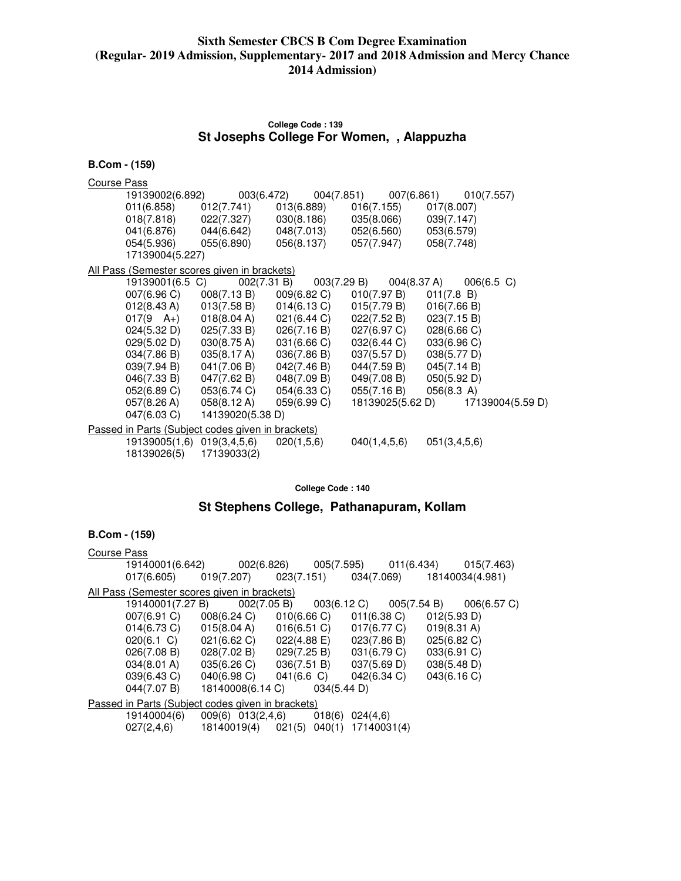### **College Code : 139 St Josephs College For Women, , Alappuzha**

| <b>B.Com - (159)</b>                              |                                                                   |                                                                   |                                                                   |                  |
|---------------------------------------------------|-------------------------------------------------------------------|-------------------------------------------------------------------|-------------------------------------------------------------------|------------------|
| Course Pass                                       |                                                                   |                                                                   |                                                                   |                  |
| 19139002(6.892)                                   |                                                                   | 003(6.472)                                                        | 004(7.851) 007(6.861)                                             | 010(7.557)       |
| 011(6.858)                                        | 012(7.741)                                                        | 013(6.889)                                                        | 016(7.155)                                                        | 017(8.007)       |
|                                                   | 018(7.818) 022(7.327)                                             |                                                                   | $030(8.186)$ $035(8.066)$                                         | 039(7.147)       |
|                                                   | 041(6.876) 044(6.642)                                             | 048(7.013)                                                        | 052(6.560)                                                        | 053(6.579)       |
| 054(5.936)                                        | 055(6.890)                                                        | 056(8.137)                                                        | 057(7.947)                                                        | 058(7.748)       |
| 17139004(5.227)                                   |                                                                   |                                                                   |                                                                   |                  |
| All Pass (Semester scores given in brackets)      |                                                                   |                                                                   |                                                                   |                  |
| 19139001(6.5 C)                                   | 002(7.31 B)                                                       | 003(7.29 B)                                                       | 004(8.37 A)                                                       | $006(6.5)$ C)    |
| 007(6.96 C)                                       | 008(7.13 B)                                                       | 009(6.82 C)                                                       | 010(7.97 B)                                                       | 011(7.8 B)       |
| 012(8.43 A)                                       |                                                                   |                                                                   | $013(7.58 \text{ B})$ $014(6.13 \text{ C})$ $015(7.79 \text{ B})$ | 016(7.66 B)      |
| $017(9 \text{ A+})$                               |                                                                   | $018(8.04 \text{ A})$ $021(6.44 \text{ C})$ $022(7.52 \text{ B})$ |                                                                   | 023(7.15 B)      |
|                                                   | $024(5.32 \text{ D})$ $025(7.33 \text{ B})$ $026(7.16 \text{ B})$ |                                                                   | 027(6.97 C)                                                       | 028(6.66 C)      |
| 029(5.02 D)                                       | 030(8.75 A)                                                       | 031(6.66 C)                                                       | 032(6.44 C)                                                       | 033(6.96 C)      |
| 034(7.86 B)                                       | 035(8.17 A)                                                       | 036(7.86 B)                                                       | 037(5.57 D)                                                       | 038(5.77 D)      |
| 039(7.94 B)                                       | 041(7.06 B)                                                       | 042(7.46 B)                                                       | 044(7.59 B)                                                       | 045(7.14 B)      |
| 046(7.33 B)                                       | 047(7.62 B)                                                       | 048(7.09 B)                                                       | 049(7.08 B)                                                       | 050(5.92 D)      |
| 052(6.89 C)                                       | 053(6.74 C)                                                       | 054(6.33 C)                                                       | 055(7.16 B)                                                       | 056(8.3 A)       |
| 057(8.26 A)                                       | 058(8.12 A)                                                       | 059(6.99 C)                                                       | 18139025(5.62 D)                                                  | 17139004(5.59 D) |
| 047(6.03 C)                                       | 14139020(5.38 D)                                                  |                                                                   |                                                                   |                  |
| Passed in Parts (Subject codes given in brackets) |                                                                   |                                                                   |                                                                   |                  |
| 19139005(1,6) 019(3,4,5,6)<br>18139026(5)         | 17139033(2)                                                       | 020(1,5,6)                                                        | 040(1,4,5,6)                                                      | 051(3,4,5,6)     |

**College Code : 140** 

# **St Stephens College, Pathanapuram, Kollam**

| Course Pass |                                             |                                                                                         |  |                                             |                       |  |
|-------------|---------------------------------------------|-----------------------------------------------------------------------------------------|--|---------------------------------------------|-----------------------|--|
|             |                                             | 19140001(6.642) 002(6.826) 005(7.595) 011(6.434) 015(7.463)                             |  |                                             |                       |  |
|             |                                             | $017(6.605)$ $019(7.207)$ $023(7.151)$ $034(7.069)$ $18140034(4.981)$                   |  |                                             |                       |  |
|             |                                             | All Pass (Semester scores given in brackets)                                            |  |                                             |                       |  |
|             |                                             | 19140001(7.27 B) 002(7.05 B) 003(6.12 C) 005(7.54 B) 006(6.57 C)                        |  |                                             |                       |  |
|             | $007(6.91 \text{ C})$ $008(6.24 \text{ C})$ |                                                                                         |  | $010(6.66 \text{ C})$ $011(6.38 \text{ C})$ | 012(5.93 D)           |  |
|             |                                             | $014(6.73 \text{ C})$ $015(8.04 \text{ A})$ $016(6.51 \text{ C})$ $017(6.77 \text{ C})$ |  |                                             | $019(8.31 \text{ A})$ |  |
|             | $020(6.1)$ C)                               | 021(6.62 C)                                                                             |  | $022(4.88 \text{ E})$ $023(7.86 \text{ B})$ | 025(6.82 C)           |  |
|             | 026(7.08 B)                                 | 028(7.02 B)                                                                             |  | $029(7.25 B)$ $031(6.79 C)$                 | 033(6.91 C)           |  |
|             | 034(8.01 A)                                 | 035(6.26 C)                                                                             |  | $036(7.51 B)$ $037(5.69 D)$                 | 038(5.48 D)           |  |
|             | 039(6.43 C)                                 | $040(6.98 \text{ C})$ $041(6.6 \text{ C})$ $042(6.34 \text{ C})$                        |  |                                             | 043(6.16 C)           |  |
|             | 044(7.07 B)                                 | 18140008(6.14 C) 034(5.44 D)                                                            |  |                                             |                       |  |
|             |                                             | Passed in Parts (Subject codes given in brackets)                                       |  |                                             |                       |  |
|             | 19140004(6)                                 | 009(6) 013(2,4,6) 018(6) 024(4,6)                                                       |  |                                             |                       |  |
|             | 027(2, 4, 6)                                | 18140019(4) 021(5) 040(1) 17140031(4)                                                   |  |                                             |                       |  |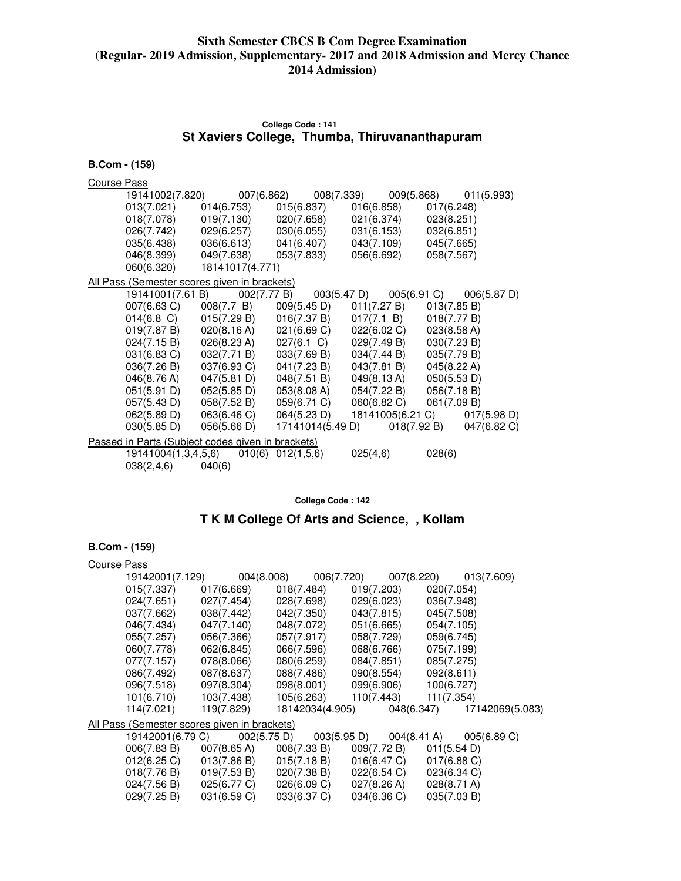# **College Code : 141 St Xaviers College, Thumba, Thiruvananthapuram**

| <b>B.Com - (159)</b>                                     |                     |                       |                       |             |                                             |
|----------------------------------------------------------|---------------------|-----------------------|-----------------------|-------------|---------------------------------------------|
| <b>Course Pass</b>                                       |                     |                       |                       |             |                                             |
| 19141002(7.820)                                          |                     |                       | 007(6.862) 008(7.339) |             | 009(5.868) 011(5.993)                       |
| 013(7.021)                                               | 014(6.753)          |                       | 015(6.837)            | 016(6.858)  | 017(6.248)                                  |
| 018(7.078)                                               | 019(7.130)          |                       | 020(7.658)            | 021(6.374)  | 023(8.251)                                  |
| 026(7.742)                                               | 029(6.257)          |                       | 030(6.055)            | 031(6.153)  | 032(6.851)                                  |
| 035(6.438)                                               | 036(6.613)          |                       | 041(6.407)            | 043(7.109)  | 045(7.665)                                  |
| 046(8.399)                                               | 049(7.638)          |                       | 053(7.833)            | 056(6.692)  | 058(7.567)                                  |
| 060(6.320)                                               |                     | 18141017(4.771)       |                       |             |                                             |
| All Pass (Semester scores given in brackets)             |                     |                       |                       |             |                                             |
|                                                          | 19141001(7.61 B)    | 002(7.77 B)           | 003(5.47 D)           |             | $005(6.91 \text{ C})$ $006(5.87 \text{ D})$ |
| 007(6.63 C)                                              | 008(7.7 B)          |                       | 009(5.45 D)           | 011(7.27 B) | 013(7.85 B)                                 |
| $014(6.8)$ C)                                            | 015(7.29 B)         |                       | 016(7.37 B)           | 017(7.1 B)  | 018(7.77 B)                                 |
| 019(7.87 B)                                              | 020(8.16 A)         |                       | 021(6.69 C)           | 022(6.02 C) | 023(8.58 A)                                 |
| 024(7.15 B)                                              | 026(8.23 A)         |                       | $027(6.1)$ C)         | 029(7.49 B) | 030(7.23 B)                                 |
| 031(6.83 C)                                              | 032(7.71 B)         |                       | 033(7.69 B)           | 034(7.44 B) | 035(7.79 B)                                 |
| 036(7.26 B)                                              | 037(6.93 C)         |                       | 041(7.23 B)           | 043(7.81 B) | 045(8.22 A)                                 |
| 046(8.76 A)                                              | 047(5.81 D)         |                       | 048(7.51 B)           | 049(8.13 A) | 050(5.53 D)                                 |
| 051(5.91 D)                                              | 052(5.85 D)         |                       | 053(8.08 A)           | 054(7.22 B) | 056(7.18 B)                                 |
| 057(5.43 D)                                              | 058(7.52 B)         |                       | 059(6.71 C)           | 060(6.82 C) | 061(7.09 B)                                 |
| 062(5.89 D)                                              | 063(6.46 C)         |                       | 064(5.23 D)           |             | 18141005(6.21 C) 017(5.98 D)                |
| 030(5.85 D)                                              | 056(5.66 D)         |                       | 17141014(5.49 D)      |             | $018(7.92 B)$ $047(6.82 C)$                 |
| <u>Passed in Parts (Subject codes given in brackets)</u> |                     |                       |                       |             |                                             |
|                                                          | 19141004(1,3,4,5,6) | $010(6)$ $012(1,5,6)$ |                       | 025(4,6)    | 028(6)                                      |
| 038(2,4,6)                                               | 040(6)              |                       |                       |             |                                             |

**College Code : 142** 

# **T K M College Of Arts and Science, , Kollam**

| $B.$ Com - $(159)$ |                  |                                                         |                 |                                                                   |                |                                                                                         |
|--------------------|------------------|---------------------------------------------------------|-----------------|-------------------------------------------------------------------|----------------|-----------------------------------------------------------------------------------------|
| Course Pass        |                  |                                                         |                 |                                                                   |                |                                                                                         |
|                    | 19142001(7.129)  |                                                         |                 |                                                                   |                | 004(8.008) 006(7.720) 007(8.220) 013(7.609)                                             |
|                    | 015(7.337)       | 017(6.669)                                              | 018(7.484)      | 019(7.203)                                                        | 020(7.054)     |                                                                                         |
|                    | 024(7.651)       | 027(7.454)                                              | 028(7.698)      | 029(6.023)                                                        | 036(7.948)     |                                                                                         |
|                    | 037(7.662)       | 038(7.442)                                              | 042(7.350)      | 043(7.815)                                                        | 045(7.508)     |                                                                                         |
|                    | 046(7.434)       | 047(7.140)                                              | 048(7.072)      | 051(6.665)                                                        | 054(7.105)     |                                                                                         |
|                    | 055(7.257)       | 056(7.366)                                              | 057(7.917)      | 058(7.729)                                                        | 059(6.745)     |                                                                                         |
|                    | 060(7.778)       | 062(6.845)                                              | 066(7.596)      | 068(6.766)                                                        | 075(7.199)     |                                                                                         |
|                    | 077(7.157)       | 078(8.066)                                              | 080(6.259)      | 084(7.851)                                                        | 085(7.275)     |                                                                                         |
|                    | 086(7.492)       | 087(8.637)                                              | 088(7.486)      | 090(8.554)                                                        | 092(8.611)     |                                                                                         |
|                    | 096(7.518)       | 097(8.304)                                              | 098(8.001)      | 099(6.906) 100(6.727)                                             |                |                                                                                         |
|                    | 101(6.710)       | 103(7.438)                                              |                 | 105(6.263) 110(7.443) 111(7.354)                                  |                |                                                                                         |
|                    | 114(7.021)       | 119(7.829)                                              | 18142034(4.905) |                                                                   |                | 048(6.347) 17142069(5.083)                                                              |
|                    |                  | All Pass (Semester scores given in brackets)            |                 |                                                                   |                |                                                                                         |
|                    | 19142001(6.79 C) |                                                         |                 |                                                                   |                | $002(5.75 \text{ D})$ $003(5.95 \text{ D})$ $004(8.41 \text{ A})$ $005(6.89 \text{ C})$ |
|                    | 006(7.83 B)      | 007(8.65 A)                                             |                 | $008(7.33 B)$ $009(7.72 B)$                                       | 011(5.54 D)    |                                                                                         |
|                    | 012(6.25 C)      | $013(7.86 B)$ $015(7.18 B)$ $016(6.47 C)$               |                 |                                                                   | $017(6.88)$ C) |                                                                                         |
|                    | 018(7.76 B)      | $019(7.53 B)$ $020(7.38 B)$ $022(6.54 C)$ $023(6.34 C)$ |                 |                                                                   |                |                                                                                         |
|                    | 024(7.56 B)      | 025(6.77 C)                                             |                 | $026(6.09 \text{ C})$ $027(8.26 \text{ A})$ $028(8.71 \text{ A})$ |                |                                                                                         |
|                    | 029(7.25 B)      | 031(6.59 C)                                             | 033(6.37 C)     | 034(6.36 C)                                                       | 035(7.03 B)    |                                                                                         |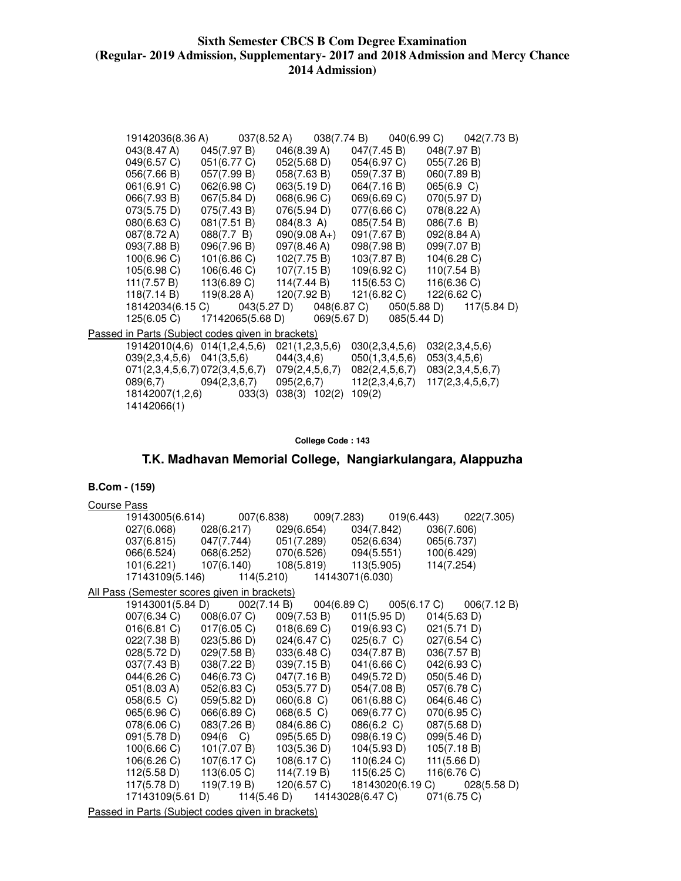|             |                                                   |                                             |                | 19142036(8.36 A) 037(8.52 A) 038(7.74 B) 040(6.99 C) 042(7.73 B) |
|-------------|---------------------------------------------------|---------------------------------------------|----------------|------------------------------------------------------------------|
| 043(8.47 A) | 045(7.97 B)                                       | 046(8.39 A)                                 | 047(7.45 B)    | 048(7.97 B)                                                      |
| 049(6.57 C) | 051(6.77 C)                                       | 052(5.68 D)                                 | 054(6.97 C)    | 055(7.26 B)                                                      |
| 056(7.66 B) | 057(7.99 B)                                       | 058(7.63 B)                                 | 059(7.37 B)    | 060(7.89 B)                                                      |
| 061(6.91 C) | 062(6.98 C)                                       | 063(5.19 D)                                 | 064(7.16 B)    | 065(6.9 C)                                                       |
| 066(7.93 B) | 067(5.84 D)                                       | 068(6.96 C)                                 | 069(6.69 C)    | 070(5.97 D)                                                      |
| 073(5.75 D) | 075(7.43 B)                                       | 076(5.94 D)                                 | 077(6.66 C)    | 078(8.22 A)                                                      |
| 080(6.63 C) | 081(7.51 B)                                       | 084(8.3 A)                                  | 085(7.54 B)    | 086(7.6 B)                                                       |
| 087(8.72 A) | 088(7.7 B)                                        | $090(9.08 A+)$                              | 091(7.67 B)    | 092(8.84 A)                                                      |
| 093(7.88 B) | 096(7.96 B)                                       | 097(8.46 A)                                 | 098(7.98 B)    | 099(7.07 B)                                                      |
| 100(6.96 C) | 101(6.86 C)                                       | 102(7.75 B) 103(7.87 B)                     |                | 104(6.28 C)                                                      |
| 105(6.98 C) |                                                   | 106(6.46 C) 107(7.15 B) 109(6.92 C)         |                | 110(7.54 B)                                                      |
| 111(7.57 B) |                                                   | $113(6.89 \text{ C})$ $114(7.44 \text{ B})$ | 115(6.53 C)    | 116(6.36 C)                                                      |
|             | 118(7.14 B) 119(8.28 A)                           | 120(7.92 B)                                 | 121(6.82 C)    | 122(6.62 C)                                                      |
|             |                                                   |                                             |                | 18142034(6.15 C) 043(5.27 D) 048(6.87 C) 050(5.88 D) 117(5.84 D) |
| 125(6.05 C) |                                                   | 17142065(5.68 D) 069(5.67 D) 085(5.44 D)    |                |                                                                  |
|             | Passed in Parts (Subject codes given in brackets) |                                             |                |                                                                  |
|             | 19142010(4,6) 014(1,2,4,5,6)                      | 021(1,2,3,5,6)                              | 030(2,3,4,5,6) | 032(2,3,4,5,6)                                                   |
|             | $039(2,3,4,5,6)$ $041(3,5,6)$ $044(3,4,6)$        |                                             | 050(1,3,4,5,6) | 053(3,4,5,6)                                                     |
|             | 071(2,3,4,5,6,7) 072(3,4,5,6,7) 079(2,4,5,6,7)    |                                             | 082(2,4,5,6,7) | 083(2,3,4,5,6,7)                                                 |
|             | 089(6,7) 094(2,3,6,7) 095(2,6,7)                  |                                             | 112(2,3,4,6,7) | 117(2,3,4,5,6,7)                                                 |
|             | 18142007(1,2,6) 033(3)                            | 038(3) 102(2)                               | 109(2)         |                                                                  |
| 14142066(1) |                                                   |                                             |                |                                                                  |

**College Code : 143** 

# **T.K. Madhavan Memorial College, Nangiarkulangara, Alappuzha**

### **B.Com - (159)**

| <b>Course Pass</b>                                |             |                              |                                        |                                                                   |
|---------------------------------------------------|-------------|------------------------------|----------------------------------------|-------------------------------------------------------------------|
| 19143005(6.614)                                   |             |                              |                                        | 019(6.443)<br>022(7.305)                                          |
| 027(6.068)                                        |             |                              | $028(6.217)$ $029(6.654)$ $034(7.842)$ | 036(7.606)                                                        |
| 037(6.815)                                        | 047(7.744)  | 051(7.289)                   | 052(6.634)                             | 065(6.737)                                                        |
| 066(6.524)                                        | 068(6.252)  | 070(6.526)                   | 094(5.551)                             | 100(6.429)                                                        |
| 101(6.221)                                        | 107(6.140)  | 108(5.819)                   | 113(5.905)                             | 114(7.254)                                                        |
| 17143109(5.146)                                   |             | 114(5.210)                   | 14143071(6.030)                        |                                                                   |
| All Pass (Semester scores given in brackets)      |             |                              |                                        |                                                                   |
| 19143001(5.84 D)                                  |             | 002(7.14 B)                  |                                        | $004(6.89 \text{ C})$ $005(6.17 \text{ C})$ $006(7.12 \text{ B})$ |
| 007(6.34 C)                                       | 008(6.07 C) | 009(7.53 B)                  | 011(5.95 D)                            | 014(5.63 D)                                                       |
| 016(6.81)                                         | 017(6.05 C) | 018(6.69 C)                  | 019(6.93 C)                            | 021(5.71 D)                                                       |
| 022(7.38 B)                                       | 023(5.86 D) | 024(6.47 C)                  | 025(6.7 C)                             | 027(6.54 C)                                                       |
| 028(5.72 D)                                       | 029(7.58 B) | 033(6.48 C)                  | 034(7.87 B)                            | 036(7.57 B)                                                       |
| 037(7.43 B)                                       | 038(7.22 B) | 039(7.15 B)                  | 041(6.66 C)                            | 042(6.93 C)                                                       |
| 044(6.26 C)                                       | 046(6.73 C) | 047(7.16 B)                  | 049(5.72 D)                            | 050(5.46 D)                                                       |
| 051(8.03 A)                                       | 052(6.83 C) | 053(5.77 D)                  | 054(7.08 B)                            | 057(6.78 C)                                                       |
| 058(6.5)                                          | 059(5.82 D) | $060(6.8)$ C)                | 061(6.88 C)                            | 064(6.46 C)                                                       |
| 065(6.96 C)                                       | 066(6.89 C) | 068(6.5 C)                   | 069(6.77 C)                            | 070(6.95 C)                                                       |
| 078(6.06 C)                                       | 083(7.26 B) | 084(6.86 C)                  | 086(6.2 C)                             | 087(5.68 D)                                                       |
| 091(5.78 D)                                       | 094(6 C)    | 095(5.65 D)                  | 098(6.19 C)                            | 099(5.46 D)                                                       |
| 100(6.66 C)                                       | 101(7.07 B) | 103(5.36 D)                  | 104(5.93 D)                            | 105(7.18 B)                                                       |
| 106(6.26 C)                                       | 107(6.17 C) | 108(6.17 C)                  | 110(6.24 C)                            | 111(5.66 D)                                                       |
| 112(5.58 D)                                       | 113(6.05 C) | 114(7.19 B)                  | 115(6.25 C)                            | 116(6.76 C)                                                       |
| 117(5.78 D)                                       | 119(7.19 B) | 120(6.57 C)                  |                                        | 18143020(6.19 C) 028(5.58 D)                                      |
| 17143109(5.61 D)                                  |             | 114(5.46 D) 14143028(6.47 C) |                                        | 071(6.75 C)                                                       |
| Passed in Parts (Subject codes given in brackets) |             |                              |                                        |                                                                   |

Passed in Parts (Subject codes given in brackets)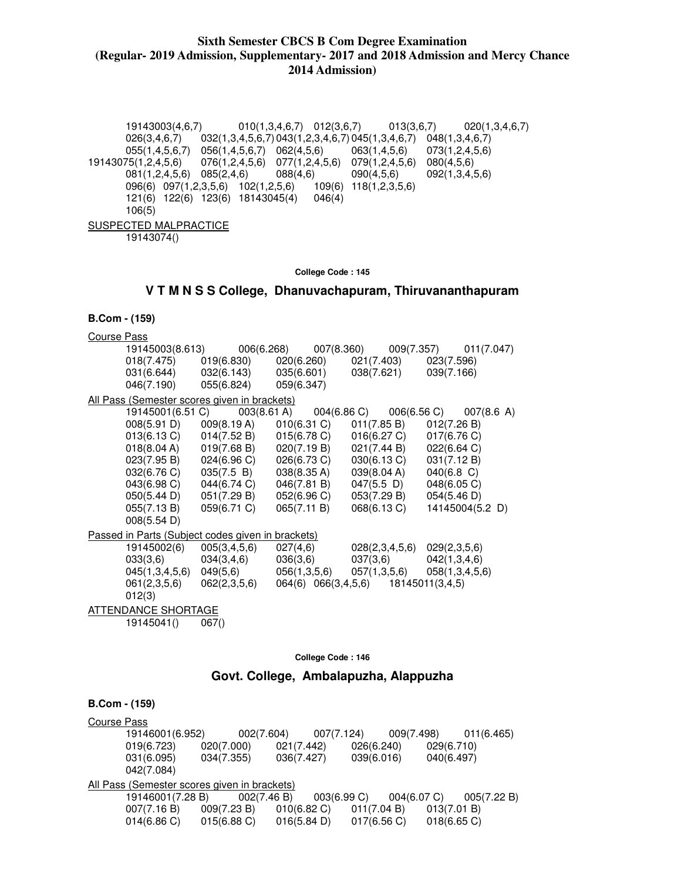19143003(4,6,7) 010(1,3,4,6,7) 012(3,6,7) 013(3,6,7) 020(1,3,4,6,7) 026(3,4,6,7) 032(1,3,4,5,6,7) 043(1,2,3,4,6,7) 045(1,3,4,6,7) 048(1,3,4,6,7) 055(1,4,5,6,7) 056(1,4,5,6,7) 062(4,5,6) 063(1,4,5,6) 073(1,2,4,5,6) 19143075(1,2,4,5,6) 076(1,2,4,5,6) 077(1,2,4,5,6) 079(1,2,4,5,6) 080(4,5,6) 081(1,2,4,5,6) 085(2,4,6) 088(4,6) 090(4,5,6) 092(1,3,4,5,6)<br>096(6) 097(1,2,3,5,6) 102(1,2,5,6) 109(6) 118(1,2,3,5,6) 096(6) 097(1,2,3,5,6) 102(1,2,5,6) 121(6) 122(6) 123(6) 18143045(4) 046(4) 106(5) SUSPECTED MALPRACTICE 19143074()

**College Code : 145** 

### **V T M N S S College, Dhanuvachapuram, Thiruvananthapuram**

### **B.Com - (159)**

| <b>Course Pass</b>                                |                                              |                       |                                     |                 |                                 |  |  |
|---------------------------------------------------|----------------------------------------------|-----------------------|-------------------------------------|-----------------|---------------------------------|--|--|
|                                                   | 19145003(8.613)                              |                       |                                     | 009(7.357)      | 011(7.047)                      |  |  |
| 018(7.475)                                        | 019(6.830)                                   |                       | 020(6.260)                          | 021(7.403)      | 023(7.596)                      |  |  |
| 031(6.644)                                        |                                              | 032(6.143) 035(6.601) |                                     | 038(7.621)      | 039(7.166)                      |  |  |
| 046(7.190)                                        | 055(6.824)                                   | 059(6.347)            |                                     |                 |                                 |  |  |
|                                                   | All Pass (Semester scores given in brackets) |                       |                                     |                 |                                 |  |  |
|                                                   | 19145001(6.51 C)                             | $003(8.61 \text{ A})$ | 004(6.86 C)                         | 006(6.56 C)     | $007(8.6 \text{ A})$            |  |  |
| 008(5.91 D)                                       | 009(8.19 A)                                  |                       | 010(6.31 C)                         | 011(7.85 B)     | 012(7.26 B)                     |  |  |
| 013(6.13 C)                                       | 014(7.52 B)                                  |                       | 015(6.78 C)                         | 016(6.27 C)     | 017(6.76 C)                     |  |  |
| 018(8.04 A)                                       | 019(7.68 B)                                  |                       | 020(7.19 B)                         | 021(7.44 B)     | 022(6.64 C)                     |  |  |
| 023(7.95 B)                                       | 024(6.96 C)                                  |                       | 026(6.73 C)                         | 030(6.13 C)     | 031(7.12 B)                     |  |  |
| 032(6.76 C)                                       | 035(7.5 B)                                   | 038(8.35 A)           |                                     | 039(8.04 A)     | 040(6.8)                        |  |  |
| 043(6.98 C)                                       | 044(6.74 C)                                  |                       | 046(7.81 B)                         | $047(5.5 \; D)$ | 048(6.05 C)                     |  |  |
| 050(5.44 D)                                       | 051(7.29 B)                                  |                       | 052(6.96 C)                         | 053(7.29 B)     | 054(5.46 D)                     |  |  |
| 055(7.13 B)                                       | 059(6.71 C)                                  | 065(7.11 B)           |                                     | 068(6.13 C)     | 14145004(5.2 D)                 |  |  |
| 008(5.54 D)                                       |                                              |                       |                                     |                 |                                 |  |  |
| Passed in Parts (Subject codes given in brackets) |                                              |                       |                                     |                 |                                 |  |  |
| 19145002(6)                                       | 005(3, 4, 5, 6)                              | 027(4,6)              |                                     | 028(2,3,4,5,6)  | 029(2,3,5,6)                    |  |  |
| 033(3,6)                                          | 034(3,4,6)                                   |                       | 036(3,6)                            | 037(3,6)        | 042(1,3,4,6)                    |  |  |
| 045(1,3,4,5,6)                                    | 049(5,6)                                     |                       | 056(1,3,5,6)                        |                 | $057(1,3,5,6)$ $058(1,3,4,5,6)$ |  |  |
| 061(2,3,5,6)                                      | 062(2,3,5,6)                                 |                       | 064(6) 066(3,4,5,6) 18145011(3,4,5) |                 |                                 |  |  |
| 012(3)                                            |                                              |                       |                                     |                 |                                 |  |  |
| ATTENDANCE SHORTAGE                               |                                              |                       |                                     |                 |                                 |  |  |
| 19145041()                                        | 067()                                        |                       |                                     |                 |                                 |  |  |

**College Code : 146** 

### **Govt. College, Ambalapuzha, Alappuzha**

| Course Pass |                                              |                |                |             |                |             |             |
|-------------|----------------------------------------------|----------------|----------------|-------------|----------------|-------------|-------------|
|             | 19146001(6.952)                              | 002(7.604)     |                | 007(7.124)  | 009(7.498)     |             | 011(6.465)  |
|             | 019(6.723)                                   | 020(7.000)     | 021(7.442)     | 026(6.240)  |                | 029(6.710)  |             |
|             | 031(6.095)                                   | 034(7.355)     | 036(7.427)     | 039(6.016)  |                | 040(6.497)  |             |
|             | 042(7.084)                                   |                |                |             |                |             |             |
|             | All Pass (Semester scores given in brackets) |                |                |             |                |             |             |
|             | 19146001(7.28 B)                             | 002(7.46 B)    |                | 003(6.99 C) | $004(6.07)$ C) |             | 005(7.22 B) |
|             | 007(7.16 B)                                  | 009(7.23 B)    | $010(6.82)$ C) | 011(7.04 B) |                | 013(7.01 B) |             |
|             | 014(6.86 C)                                  | $015(6.88)$ C) | 016(5.84 D)    | 017(6.56)   |                | 018(6.65)   |             |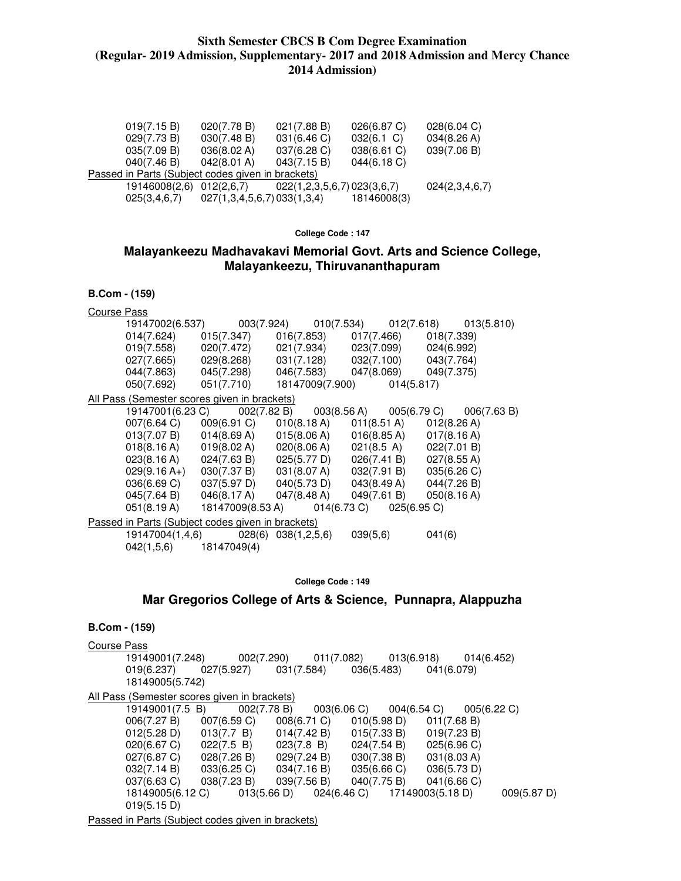| 019(7.15 B)                                       | 020(7.78 B)                | 021(7.88 B)                | 026(6.87 C)   | 028(6.04 C)    |
|---------------------------------------------------|----------------------------|----------------------------|---------------|----------------|
| 029(7.73 B)                                       | 030(7.48 B)                | 031(6.46 C)                | $032(6.1)$ C) | 034(8.26 A)    |
| 035(7.09 B)                                       | 036(8.02 A)                | 037(6.28 C)                | 038(6.61 C)   | 039(7.06 B)    |
| 040(7.46 B)                                       | 042(8.01 A)                | 043(7.15 B)                | 044(6.18 C)   |                |
| Passed in Parts (Subject codes given in brackets) |                            |                            |               |                |
| 19146008(2,6)                                     | 012(2,6,7)                 | 022(1,2,3,5,6,7)023(3,6,7) |               | 024(2,3,4,6,7) |
| 025(3,4,6,7)                                      | 027(1,3,4,5,6,7)033(1,3,4) |                            | 18146008(3)   |                |

**College Code : 147** 

# **Malayankeezu Madhavakavi Memorial Govt. Arts and Science College, Malayankeezu, Thiruvananthapuram**

|                    | <b>B.Com - (159)</b>                                                                                         |                                                                                                               |  |        |  |
|--------------------|--------------------------------------------------------------------------------------------------------------|---------------------------------------------------------------------------------------------------------------|--|--------|--|
| <b>Course Pass</b> |                                                                                                              |                                                                                                               |  |        |  |
|                    |                                                                                                              | 19147002(6.537) 003(7.924) 010(7.534) 012(7.618) 013(5.810)                                                   |  |        |  |
|                    | $014(7.624)$ $015(7.347)$ $016(7.853)$ $017(7.466)$ $018(7.339)$                                             |                                                                                                               |  |        |  |
|                    | $019(7.558)$ $020(7.472)$ $021(7.934)$ $023(7.099)$ $024(6.992)$                                             |                                                                                                               |  |        |  |
|                    | 027(7.665) 029(8.268) 031(7.128) 032(7.100) 043(7.764)                                                       |                                                                                                               |  |        |  |
|                    | $044(7.863)$ $045(7.298)$ $046(7.583)$ $047(8.069)$ $049(7.375)$                                             |                                                                                                               |  |        |  |
|                    |                                                                                                              | 050(7.692) 051(7.710) 18147009(7.900) 014(5.817)                                                              |  |        |  |
|                    | All Pass (Semester scores given in brackets)                                                                 |                                                                                                               |  |        |  |
|                    |                                                                                                              | 19147001(6.23 C) 002(7.82 B) 003(8.56 A) 005(6.79 C) 006(7.63 B)                                              |  |        |  |
|                    |                                                                                                              | 007(6.64 C) 009(6.91 C) 010(8.18 A) 011(8.51 A) 012(8.26 A)                                                   |  |        |  |
|                    | $013(7.07 B)$ $014(8.69 A)$ $015(8.06 A)$ $016(8.85 A)$ $017(8.16 A)$                                        |                                                                                                               |  |        |  |
|                    | $018(8.16 \text{ A})$ $019(8.02 \text{ A})$ $020(8.06 \text{ A})$ $021(8.5 \text{ A})$ $022(7.01 \text{ B})$ |                                                                                                               |  |        |  |
|                    | 023(8.16 A) 024(7.63 B) 025(5.77 D) 026(7.41 B) 027(8.55 A)                                                  |                                                                                                               |  |        |  |
|                    |                                                                                                              | 029(9.16 A+) 030(7.37 B) 031(8.07 A) 032(7.91 B) 035(6.26 C)                                                  |  |        |  |
|                    |                                                                                                              | $036(6.69 \text{ C})$ $037(5.97 \text{ D})$ $040(5.73 \text{ D})$ $043(8.49 \text{ A})$ $044(7.26 \text{ B})$ |  |        |  |
|                    | 045(7.64 B) 046(8.17 A) 047(8.48 A) 049(7.61 B) 050(8.16 A)                                                  |                                                                                                               |  |        |  |
|                    |                                                                                                              | 051(8.19 A) 18147009(8.53 A) 014(6.73 C) 025(6.95 C)                                                          |  |        |  |
|                    | Passed in Parts (Subject codes given in brackets)                                                            |                                                                                                               |  |        |  |
|                    |                                                                                                              | $19147004(1,4,6)$ 028(6) 038(1,2,5,6) 039(5,6)                                                                |  | 041(6) |  |
|                    | $042(1,5,6)$ 18147049(4)                                                                                     |                                                                                                               |  |        |  |
|                    |                                                                                                              |                                                                                                               |  |        |  |

**College Code : 149** 

### **Mar Gregorios College of Arts & Science, Punnapra, Alappuzha**

| $B.Com - (159)$                                   |                                                                   |                                           |                                        |                          |             |
|---------------------------------------------------|-------------------------------------------------------------------|-------------------------------------------|----------------------------------------|--------------------------|-------------|
| Course Pass<br>19149001(7.248)<br>18149005(5.742) | 002(7.290)<br>$019(6.237)$ $027(5.927)$ $031(7.584)$ $036(5.483)$ | 011(7.082)                                | 013(6.918)                             | 014(6.452)<br>041(6.079) |             |
| All Pass (Semester scores given in brackets)      |                                                                   |                                           |                                        |                          |             |
| 19149001(7.5 B)                                   |                                                                   | $002(7.78 B)$ $003(6.06 C)$ $004(6.54 C)$ |                                        | 005(6.22 C)              |             |
| 006(7.27 B)                                       | 007(6.59 C)                                                       | 008(6.71 C)                               | 010(5.98 D)                            | 011(7.68 B)              |             |
| 012(5.28 D)                                       | 013(7.7 B)                                                        | 014(7.42 B)                               | 015(7.33 B)                            | 019(7.23 B)              |             |
| 020(6.67 C)                                       | 022(7.5 B)                                                        | 023(7.8 B)                                | 024(7.54 B)                            | 025(6.96)                |             |
| 027(6.87 C)                                       | 028(7.26 B)                                                       | 029(7.24 B)                               | 030(7.38 B)                            | 031(8.03 A)              |             |
| 032(7.14 B)                                       | 033(6.25 C)                                                       | 034(7.16 B)                               | 035(6.66 C)                            | 036(5.73 D)              |             |
| 037(6.63 C)                                       | 038(7.23 B)                                                       | 039(7.56 B)                               | 040(7.75 B)                            | 041(6.66 C)              |             |
| 18149005(6.12 C)                                  |                                                                   | 013(5.66 D)                               | $024(6.46 \text{ C})$ 17149003(5.18 D) |                          | 009(5.87 D) |
| 019(5.15 D)                                       |                                                                   |                                           |                                        |                          |             |
|                                                   |                                                                   |                                           |                                        |                          |             |

Passed in Parts (Subject codes given in brackets)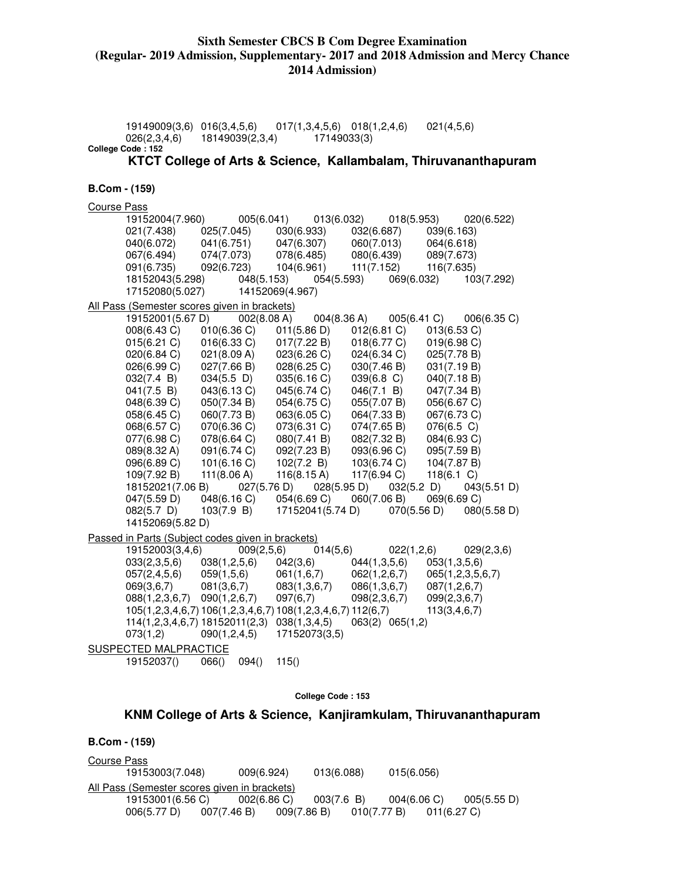19149009(3,6) 016(3,4,5,6) 017(1,3,4,5,6) 018(1,2,4,6) 021(4,5,6) 026(2,3,4,6) 18149039(2,3,4) 17149033(3) **College Code : 152 KTCT College of Arts & Science, Kallambalam, Thiruvananthapuram B.Com - (159)**  Course Pass 19152004(7.960) 005(6.041) 013(6.032) 018(5.953) 020(6.522) 021(7.438) 025(7.045) 030(6.933) 032(6.687) 039(6.163) 040(6.072) 041(6.751) 047(6.307) 060(7.013) 064(6.618) 067(6.494) 074(7.073) 078(6.485) 080(6.439) 089(7.673) 091(6.735) 092(6.723) 104(6.961) 111(7.152) 116(7.635) 18152043(5.298) 048(5.153) 054(5.593) 069(6.032) 103(7.292) 17152080(5.027) 14152069(4.967) All Pass (Semester scores given in brackets) 19152001(5.67 D) 002(8.08 A) 004(8.36 A) 005(6.41 C) 006(6.35 C) 008(6.43 C) 010(6.36 C) 011(5.86 D) 012(6.81 C) 013(6.53 C) 015(6.21 C) 016(6.33 C) 017(7.22 B) 018(6.77 C) 019(6.98 C) 020(6.84 C) 021(8.09 A) 023(6.26 C) 024(6.34 C) 025(7.78 B) 026(6.99 C) 027(7.66 B) 028(6.25 C) 030(7.46 B) 031(7.19 B) 032(7.4 B) 034(5.5 D) 035(6.16 C) 039(6.8 C) 040(7.18 B) 041(7.5 B) 043(6.13 C) 045(6.74 C) 046(7.1 B) 047(7.34 B) 048(6.39 C) 050(7.34 B) 054(6.75 C) 055(7.07 B) 056(6.67 C) 058(6.45 C) 060(7.73 B) 063(6.05 C) 064(7.33 B) 067(6.73 C) 068(6.57 C) 070(6.36 C) 073(6.31 C) 074(7.65 B) 076(6.5 C) 077(6.98 C) 078(6.64 C) 080(7.41 B) 082(7.32 B) 084(6.93 C) 089(8.32 A) 091(6.74 C) 092(7.23 B) 093(6.96 C) 095(7.59 B) 096(6.89 C) 101(6.16 C) 102(7.2 B) 103(6.74 C) 104(7.87 B) 109(7.92 B) 111(8.06 A) 116(8.15 A) 117(6.94 C) 118(6.1 C) 18152021(7.06 B) 027(5.76 D) 028(5.95 D) 032(5.2 D) 043(5.51 D) 047(5.59 D) 048(6.16 C) 054(6.69 C) 060(7.06 B) 069(6.69 C) 082(5.7 D) 103(7.9 B) 17152041(5.74 D) 070(5.56 D) 080(5.58 D) 14152069(5.82 D) Passed in Parts (Subject codes given in brackets)<br>19152003(3,4,6) 009(2,5,6) 0 19152003(3,4,6) 009(2,5,6) 014(5,6) 022(1,2,6) 029(2,3,6)<br>033(2,3,5,6) 038(1,2,5,6) 042(3,6) 044(1,3,5,6) 053(1,3,5,6) 033(2,3,5,6) 038(1,2,5,6) 042(3,6) 044(1,3,5,6) 053(1,3,5,6) 057(2,4,5,6) 059(1,5,6) 061(1,6,7) 062(1,2,6,7) 065(1,2,3,5,6,7) 069(3,6,7) 081(3,6,7) 083(1,3,6,7) 086(1,3,6,7) 087(1,2,6,7) 088(1,2,3,6,7) 090(1,2,6,7) 097(6,7) 098(2,3,6,7) 099(2,3,6,7) 105(1,2,3,4,6,7) 106(1,2,3,4,6,7) 108(1,2,3,4,6,7) 112(6,7) 113(3,4,6,7) 114(1,2,3,4,6,7) 18152011(2,3) 038(1,3,4,5) 063(2) 065(1,2) 073(1,2) 090(1,2,4,5) 17152073(3,5) SUSPECTED MALPRACTICE 19152037() 066() 094() 115() **College Code : 153** 

**KNM College of Arts & Science, Kanjiramkulam, Thiruvananthapuram** 

```
B.Com - (159)
```
Course Pass 19153003(7.048) 009(6.924) 013(6.088) 015(6.056) All Pass (Semester scores given in brackets) 19153001(6.56 C) 002(6.86 C) 003(7.6 B) 004(6.06 C) 005(5.55 D) 006(5.77 D) 007(7.46 B) 009(7.86 B) 010(7.77 B) 011(6.27 C)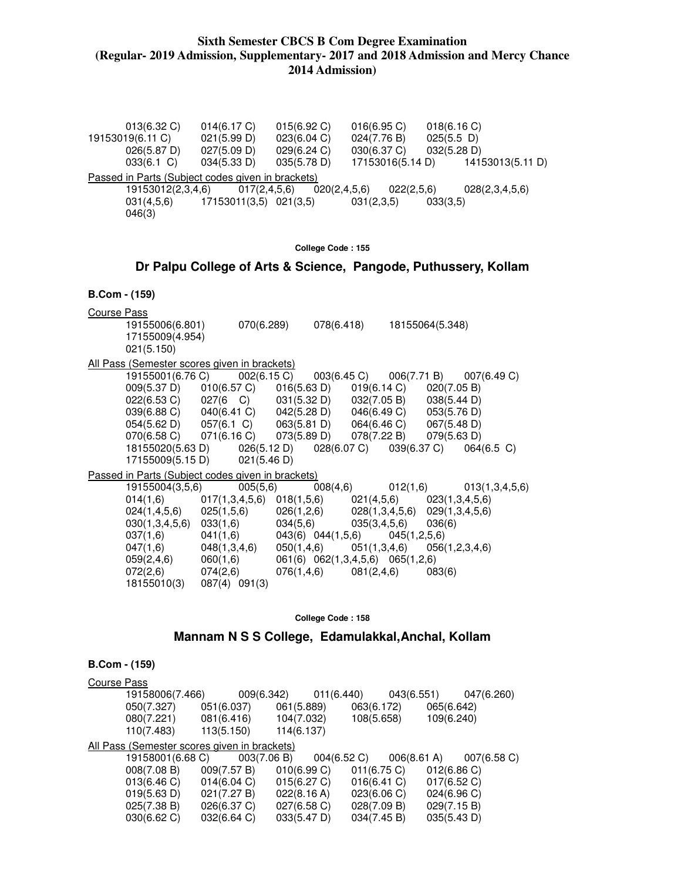| $013(6.32)$ C)    | 014(6.17 C)                                       | 015(6.92 C)  | 016(6.95)        | 018(6.16)        |
|-------------------|---------------------------------------------------|--------------|------------------|------------------|
| 19153019(6.11 C)  | 021(5.99 D)                                       | 023(6.04 C)  | 024(7.76 B)      | $025(5.5)$ D)    |
| 026(5.87 D)       | 027(5.09 D)                                       | 029(6.24 C)  | 030(6.37 C)      | 032(5.28 D)      |
| $033(6.1)$ C)     | 034(5.33 D)                                       | 035(5.78 D)  | 17153016(5.14 D) | 14153013(5.11 D) |
|                   | Passed in Parts (Subject codes given in brackets) |              |                  |                  |
| 19153012(2,3,4,6) | 017(2,4,5,6)                                      | 020(2,4,5,6) | 022(2,5,6)       | 028(2,3,4,5,6)   |
| 031(4,5,6)        | 17153011(3,5) 021(3,5)                            |              | 031(2,3,5)       | 033(3.5)         |
| 046(3)            |                                                   |              |                  |                  |
|                   |                                                   |              |                  |                  |

**College Code : 155** 

### **Dr Palpu College of Arts & Science, Pangode, Puthussery, Kollam**

#### **B.Com - (159)**

Course Pass

 19155006(6.801) 070(6.289) 078(6.418) 18155064(5.348) 17155009(4.954) 021(5.150) All Pass (Semester scores given in brackets)<br>19155001(6.76 C) 002(6.15 C) 19155001(6.76 C) 002(6.15 C) 003(6.45 C) 006(7.71 B) 007(6.49 C) 009(5.37 D) 010(6.57 C) 016(5.63 D) 019(6.14 C) 020(7.05 B) 022(6.53 C) 027(6 C) 031(5.32 D) 032(7.05 B) 038(5.44 D)<br>039(6.88 C) 040(6.41 C) 042(5.28 D) 046(6.49 C) 053(5.76 D) 039(6.88 C) 040(6.41 C) 042(5.28 D) 046(6.49 C) 053(5.76 D) 054(5.62 D) 057(6.1 C) 063(5.81 D) 064(6.46 C) 067(5.48 D)<br>070(6.58 C) 071(6.16 C) 073(5.89 D) 078(7.22 B) 079(5.63 D) 070(6.58 C) 071(6.16 C) 073(5.89 D) 078(7.22 B) 079(5.63 D)<br>18155020(5.63 D) 026(5.12 D) 028(6.07 C) 039(6.37 C) 064(6.5 C) 18155020(5.63 D) 026(5.12 D) 028(6.07 C) 039(6.37 C) 17155009(5.15 D) 021(5.46 D) Passed in Parts (Subject codes given in brackets) 19155004(3,5,6) 005(5,6) 008(4,6) 012(1,6) 013(1,3,4,5,6) 014(1,6) 017(1,3,4,5,6) 018(1,5,6) 021(4,5,6) 023(1,3,4,5,6) 024(1,4,5,6) 025(1,5,6) 026(1,2,6) 028(1,3,4,5,6) 029(1,3,4,5,6) 030(1,3,4,5,6) 033(1,6) 034(5,6) 035(3,4,5,6) 036(6) 037(1,6) 041(1,6) 043(6) 044(1,5,6) 045(1,2,5,6) 047(1,6) 048(1,3,4,6) 050(1,4,6) 051(1,3,4,6) 056(1,2,3,4,6) 059(2,4,6) 060(1,6) 061(6) 062(1,3,4,5,6) 065(1,2,6) 072(2,6) 074(2,6) 076(1,4,6) 081(2,4,6) 083(6) 18155010(3) 087(4) 091(3)

#### **College Code : 158**

### **Mannam N S S College, Edamulakkal,Anchal, Kollam**

### **B.Com - (159)**  Course Pass 19158006(7.466) 009(6.342) 011(6.440) 043(6.551) 047(6.260) 050(7.327) 051(6.037) 061(5.889) 063(6.172) 065(6.642) 080(7.221) 081(6.416) 104(7.032) 108(5.658) 109(6.240) 110(7.483) 113(5.150) 114(6.137) All Pass (Semester scores given in brackets) 19158001(6.68 C) 003(7.06 B) 004(6.52 C) 006(8.61 A) 007(6.58 C) 008(7.08 B) 009(7.57 B) 010(6.99 C) 011(6.75 C) 012(6.86 C)<br>013(6.46 C) 014(6.04 C) 015(6.27 C) 016(6.41 C) 017(6.52 C) 014(6.04 C) 015(6.27 C) 016(6.41 C) 017(6.52 C)<br>021(7.27 B) 022(8.16 A) 023(6.06 C) 024(6.96 C) 019(5.63 D) 021(7.27 B) 022(8.16 A) 025(7.38 B) 026(6.37 C) 027(6.58 C) 028(7.09 B) 029(7.15 B) 030(6.62 C) 032(6.64 C) 033(5.47 D) 034(7.45 B) 035(5.43 D)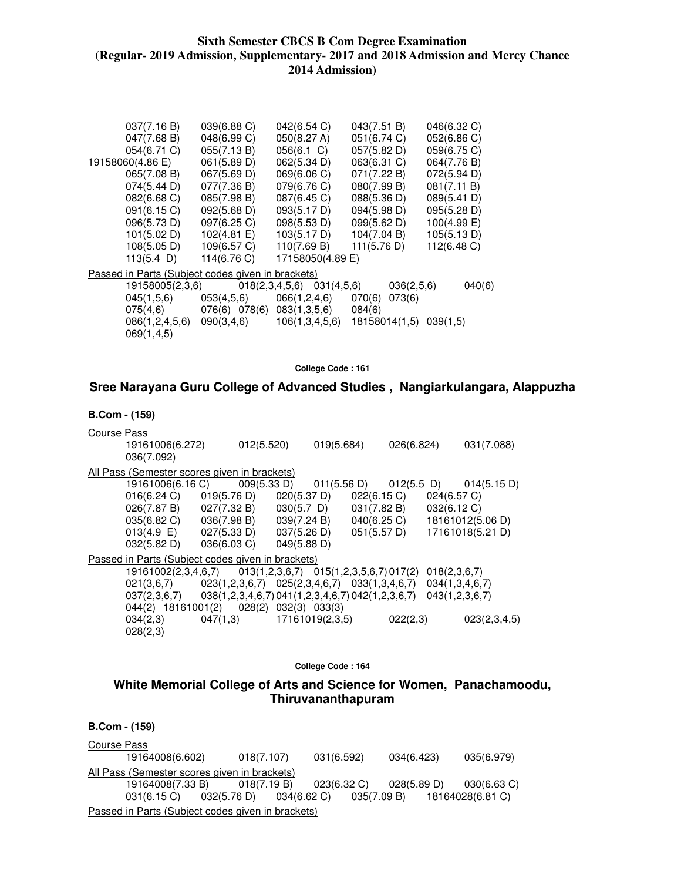| 039(6.88 C)     | 042(6.54 C)   | 043(7.51 B)                                                                                                             | 046(6.32 C)                                                                                                              |
|-----------------|---------------|-------------------------------------------------------------------------------------------------------------------------|--------------------------------------------------------------------------------------------------------------------------|
| 048(6.99 C)     | 050(8.27 A)   | 051(6.74 C)                                                                                                             | 052(6.86 C)                                                                                                              |
| 055(7.13 B)     | $056(6.1)$ C) | 057(5.82 D)                                                                                                             | 059(6.75 C)                                                                                                              |
| 061(5.89 D)     | 062(5.34 D)   | 063(6.31 C)                                                                                                             | 064(7.76 B)                                                                                                              |
| 067(5.69 D)     | 069(6.06 C)   | 071(7.22 B)                                                                                                             | 072(5.94 D)                                                                                                              |
| 077(7.36 B)     | 079(6.76 C)   |                                                                                                                         | 081(7.11 B)                                                                                                              |
| 085(7.98 B)     | 087(6.45 C)   | 088(5.36 D)                                                                                                             | 089(5.41 D)                                                                                                              |
| 092(5.68 D)     | 093(5.17 D)   | 094(5.98 D)                                                                                                             | 095(5.28 D)                                                                                                              |
| 097(6.25 C)     | 098(5.53 D)   | 099(5.62 D)                                                                                                             | 100(4.99 E)                                                                                                              |
| 102(4.81 E)     | 103(5.17 D)   | 104(7.04 B)                                                                                                             | 105(5.13 D)                                                                                                              |
| 109(6.57 C)     | 110(7.69 B)   | 111(5.76 D)                                                                                                             | 112(6.48 C)                                                                                                              |
| 114(6.76 C)     |               |                                                                                                                         |                                                                                                                          |
|                 |               |                                                                                                                         |                                                                                                                          |
| 19158005(2,3,6) |               |                                                                                                                         | 040(6)                                                                                                                   |
| 053(4,5,6)      |               | 070(6)<br>073(6)                                                                                                        |                                                                                                                          |
|                 |               | 084(6)                                                                                                                  |                                                                                                                          |
|                 |               |                                                                                                                         |                                                                                                                          |
|                 |               |                                                                                                                         |                                                                                                                          |
|                 |               | <u>Passed in Parts (Subject codes given in brackets)</u><br>076(6) 078(6) 083(1,3,5,6)<br>$090(3,4,6)$ $106(1,3,4,5,6)$ | 080(7.99 B)<br>17158050(4.89 E)<br>036(2,5,6)<br>$018(2,3,4,5,6)$ $031(4,5,6)$<br>066(1,2,4,6)<br>18158014(1,5) 039(1,5) |

**College Code : 161** 

# **Sree Narayana Guru College of Advanced Studies , Nangiarkulangara, Alappuzha**

#### **B.Com - (159)**

| Course Pass |                                                                       |             |                            |             |                                                    |             |               |                |                  |
|-------------|-----------------------------------------------------------------------|-------------|----------------------------|-------------|----------------------------------------------------|-------------|---------------|----------------|------------------|
|             | 19161006(6.272)<br>036(7.092)                                         |             | 012(5.520)                 |             | 019(5.684)                                         |             | 026(6.824)    |                | 031(7.088)       |
|             | All Pass (Semester scores given in brackets)                          |             |                            |             |                                                    |             |               |                |                  |
|             | 19161006(6.16 C)                                                      |             |                            |             | $009(5.33 \text{ D})$ $011(5.56 \text{ D})$        |             | $012(5.5)$ D) |                | 014(5.15 D)      |
|             | 016(6.24 C)                                                           | 019(5.76 D) |                            | 020(5.37 D) |                                                    | 022(6.15)   |               | 024(6.57 C)    |                  |
|             | $026(7.87 B)$ $027(7.32 B)$ $030(5.7 D)$                              |             |                            |             |                                                    | 031(7.82 B) |               | 032(6.12 C)    |                  |
|             | $035(6.82 \text{ C})$ $036(7.98 \text{ B})$ $039(7.24 \text{ B})$     |             |                            |             |                                                    | 040(6.25 C) |               |                | 18161012(5.06 D) |
|             | $013(4.9 \t E)$ $027(5.33 \t D)$                                      |             |                            | 037(5.26 D) |                                                    | 051(5.57 D) |               |                | 17161018(5.21 D) |
|             | 032(5.82 D)                                                           | 036(6.03 C) |                            | 049(5.88 D) |                                                    |             |               |                |                  |
|             | Passed in Parts (Subject codes given in brackets)                     |             |                            |             |                                                    |             |               |                |                  |
|             | 19161002(2,3,4,6,7)                                                   |             |                            |             | $013(1,2,3,6,7)$ $015(1,2,3,5,6,7)$ $017(2)$       |             |               | 018(2,3,6,7)   |                  |
|             | 021(3,6,7)                                                            |             |                            |             | $023(1,2,3,6,7)$ $025(2,3,4,6,7)$ $033(1,3,4,6,7)$ |             |               | 034(1,3,4,6,7) |                  |
|             | $037(2,3,6,7)$ $038(1,2,3,4,6,7)$ $041(1,2,3,4,6,7)$ $042(1,2,3,6,7)$ |             |                            |             |                                                    |             |               | 043(1,2,3,6,7) |                  |
|             | 044(2) 18161001(2)                                                    |             | $028(2)$ $032(3)$ $033(3)$ |             |                                                    |             |               |                |                  |
|             | 034(2,3)                                                              | 047(1,3)    |                            |             | 17161019(2,3,5)                                    |             | 022(2,3)      |                | 023(2,3,4,5)     |
|             | 028(2,3)                                                              |             |                            |             |                                                    |             |               |                |                  |

#### **College Code : 164**

### **White Memorial College of Arts and Science for Women, Panachamoodu, Thiruvananthapuram**

# **B.Com - (159)**  Course Pass 19164008(6.602) 018(7.107) 031(6.592) 034(6.423) 035(6.979) All Pass (Semester scores given in brackets)

 19164008(7.33 B) 018(7.19 B) 023(6.32 C) 028(5.89 D) 030(6.63 C) 031(6.15 C) 032(5.76 D) 034(6.62 C) 035(7.09 B) 18164028(6.81 C) Passed in Parts (Subject codes given in brackets)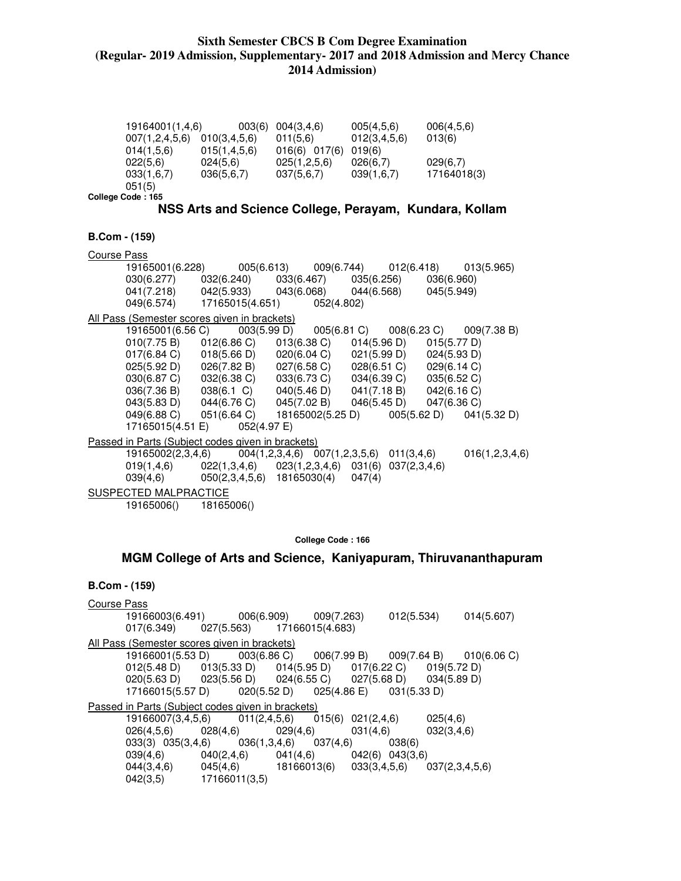|                                                   | 19164001(1,4,6)                                                                                                                        | 003(6)                                                            | 004(3,4,6)       | 005(4,5,6)                        | 006(4,5,6)  |                                                                   |
|---------------------------------------------------|----------------------------------------------------------------------------------------------------------------------------------------|-------------------------------------------------------------------|------------------|-----------------------------------|-------------|-------------------------------------------------------------------|
|                                                   | 007(1,2,4,5,6) 010(3,4,5,6)                                                                                                            |                                                                   | 011(5,6)         | 012(3, 4, 5, 6)                   | 013(6)      |                                                                   |
|                                                   | 014(1,5,6)                                                                                                                             | 015(1, 4, 5, 6)                                                   | 016(6) 017(6)    | 019(6)                            |             |                                                                   |
|                                                   | 022(5,6)                                                                                                                               | 024(5,6)                                                          | 025(1,2,5,6)     | 026(6,7)                          | 029(6,7)    |                                                                   |
|                                                   | $033(1,6,7)$ $036(5,6,7)$                                                                                                              |                                                                   | 037(5,6,7)       | 039(1,6,7)                        | 17164018(3) |                                                                   |
| 051(5)                                            |                                                                                                                                        |                                                                   |                  |                                   |             |                                                                   |
| College Code: 165                                 |                                                                                                                                        |                                                                   |                  |                                   |             |                                                                   |
|                                                   | NSS Arts and Science College, Perayam, Kundara, Kollam                                                                                 |                                                                   |                  |                                   |             |                                                                   |
|                                                   |                                                                                                                                        |                                                                   |                  |                                   |             |                                                                   |
| B.Com - (159)                                     |                                                                                                                                        |                                                                   |                  |                                   |             |                                                                   |
| Course Pass                                       |                                                                                                                                        |                                                                   |                  |                                   |             |                                                                   |
|                                                   | 19165001(6.228)                                                                                                                        | 005(6.613) 009(6.744) 012(6.418) 013(5.965)                       |                  |                                   |             |                                                                   |
|                                                   | 030(6.277)                                                                                                                             | 032(6.240)                                                        | 033(6.467)       | 035(6.256)                        | 036(6.960)  |                                                                   |
|                                                   | 041(7.218) 042(5.933) 043(6.068) 044(6.568)                                                                                            |                                                                   |                  |                                   | 045(5.949)  |                                                                   |
|                                                   | 049(6.574)                                                                                                                             | 17165015(4.651)                                                   | 052(4.802)       |                                   |             |                                                                   |
| All Pass (Semester scores given in brackets)      |                                                                                                                                        |                                                                   |                  |                                   |             |                                                                   |
|                                                   | 19165001(6.56 C)                                                                                                                       | 003(5.99 D)                                                       |                  |                                   |             | $005(6.81 \text{ C})$ $008(6.23 \text{ C})$ $009(7.38 \text{ B})$ |
|                                                   | 010(7.75 B)                                                                                                                            | $012(6.86 \text{ C})$ $013(6.38 \text{ C})$ $014(5.96 \text{ D})$ |                  |                                   | 015(5.77 D) |                                                                   |
|                                                   | 017(6.84 C)                                                                                                                            | $018(5.66 \text{ D})$ $020(6.04 \text{ C})$ $021(5.99 \text{ D})$ |                  |                                   | 024(5.93 D) |                                                                   |
|                                                   | $025(5.92 \text{ D})$ $026(7.82 \text{ B})$ $027(6.58 \text{ C})$<br>$030(6.87 \text{ C})$ $032(6.38 \text{ C})$ $033(6.73 \text{ C})$ |                                                                   |                  | $028(6.51 \text{ C})$ 029(6.14 C) |             |                                                                   |
|                                                   |                                                                                                                                        |                                                                   |                  | 034(6.39 C)                       | 035(6.52 C) |                                                                   |
|                                                   | 036(7.36 B) 038(6.1 C) 040(5.46 D) 041(7.18 B)                                                                                         |                                                                   |                  |                                   | 042(6.16 C) |                                                                   |
|                                                   | $043(5.83 \text{ D})$ $044(6.76 \text{ C})$ $045(7.02 \text{ B})$ $046(5.45 \text{ D})$                                                |                                                                   |                  |                                   | 047(6.36 C) |                                                                   |
|                                                   | 049(6.88 C)                                                                                                                            | 051(6.64 C)                                                       | 18165002(5.25 D) |                                   |             | $005(5.62 \text{ D})$ $041(5.32 \text{ D})$                       |
|                                                   | 17165015(4.51 E)                                                                                                                       | 052(4.97 E)                                                       |                  |                                   |             |                                                                   |
| Passed in Parts (Subject codes given in brackets) |                                                                                                                                        |                                                                   |                  |                                   |             |                                                                   |
|                                                   | 19165002(2,3,4,6)                                                                                                                      | $004(1,2,3,4,6)$ $007(1,2,3,5,6)$ $011(3,4,6)$                    |                  |                                   |             | 016(1,2,3,4,6)                                                    |
| 019(1, 4, 6)                                      |                                                                                                                                        | $022(1,3,4,6)$ $023(1,2,3,4,6)$ $031(6)$ $037(2,3,4,6)$           |                  |                                   |             |                                                                   |
| 039(4.6)                                          |                                                                                                                                        | 050(2,3,4,5,6) 18165030(4)                                        |                  | 047(4)                            |             |                                                                   |
| SUSPECTED MALPRACTICE                             |                                                                                                                                        |                                                                   |                  |                                   |             |                                                                   |

19165006() 18165006()

042(3,5) 17166011(3,5)

**College Code : 166** 

### **MGM College of Arts and Science, Kaniyapuram, Thiruvananthapuram**

#### **B.Com - (159)**

Course Pass 19166003(6.491) 006(6.909) 009(7.263) 012(5.534) 014(5.607) 017(6.349) 027(5.563) 17166015(4.683) All Pass (Semester scores given in brackets)<br>19166001(5.53 D) 003(6.86 C) 19166001(5.53 D) 003(6.86 C) 006(7.99 B) 009(7.64 B) 010(6.06 C)<br>012(5.48 D) 013(5.33 D) 014(5.95 D) 017(6.22 C) 019(5.72 D) 012(5.48 D) 013(5.33 D) 014(5.95 D) 017(6.22 C) 019(5.72 D)<br>020(5.63 D) 023(5.56 D) 024(6.55 C) 027(5.68 D) 034(5.89 D) 020(5.63 D) 023(5.56 D) 024(6.55 C) 027(5.68 D) 034(5.89 D) 17166015(5.57 D) Passed in Parts (Subject codes given in brackets) 19166007(3,4,5,6) 011(2,4,5,6) 015(6) 021(2,4,6) 025(4,6) 026(4,5,6) 028(4,6) 029(4,6) 031(4,6) 032(3,4,6) 033(3) 035(3,4,6) 036(1,3,4,6) 037(4,6) 038(6) 039(4,6) 040(2,4,6) 041(4,6) 042(6) 043(3,6) 044(3,4,6) 045(4,6) 18166013(6) 033(3,4,5,6) 037(2,3,4,5,6)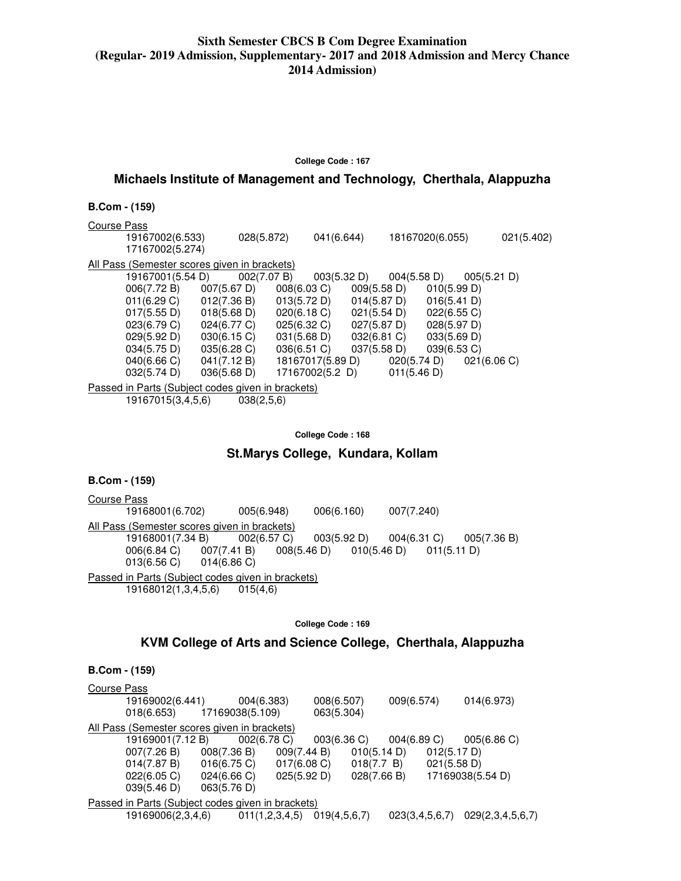#### **College Code : 167**

### **Michaels Institute of Management and Technology, Cherthala, Alappuzha**

| <b>B.Com - (159)</b> |  |
|----------------------|--|
|----------------------|--|

Course Pass 19167002(6.533) 028(5.872) 041(6.644) 18167020(6.055) 021(5.402) 17167002(5.274) All Pass (Semester scores given in brackets) 19167001(5.54 D)  $\overline{002(7.07 \text{ B})}$  003(5.32 D) 004(5.58 D) 005(5.21 D)<br>006(7.72 B) 007(5.67 D) 008(6.03 C) 009(5.58 D) 010(5.99 D) 006(7.72 B) 007(5.67 D) 008(6.03 C) 009(5.58 D) 010(5.99 D) 012(7.36 B) 013(5.72 D) 014(5.87 D)<br>018(5.68 D) 020(6.18 C) 021(5.54 D) 017(5.55 D) 018(5.68 D) 020(6.18 C) 021(5.54 D) 022(6.55 C) 023(6.79 C) 024(6.77 C) 025(6.32 C) 027(5.87 D) 028(5.97 D) 029(5.92 D) 030(6.15 C) 031(5.68 D) 032(6.81 C) 033(5.69 D) 034(5.75 D) 035(6.28 C) 036(6.51 C) 037(5.58 D) 039(6.53 C)  $040(6.66 \text{ C})$   $041(7.12 \text{ B})$   $18167017(5.89 \text{ D})$   $020(5.74 \text{ D})$  032(5.74 D) 036(5.68 D) 17167002(5.2 D) 011(5.46 D) Passed in Parts (Subject codes given in brackets) 19167015(3,4,5,6) 038(2,5,6)

#### **College Code : 168**

### **St.Marys College, Kundara, Kollam**

| <b>B.Com - (159)</b> |  |
|----------------------|--|
|----------------------|--|

Course Pass 19168001(6.702) 005(6.948) 006(6.160) 007(7.240) All Pass (Semester scores given in brackets)<br>19168001(7.34 B) 002(6.57 C) 19168001(7.34 B) 002(6.57 C) 003(5.92 D) 004(6.31 C) 005(7.36 B)<br>006(6.84 C) 007(7.41 B) 008(5.46 D) 010(5.46 D) 011(5.11 D) 007(7.41 B) 008(5.46 D) 010(5.46 D) 011(5.11 D)<br>014(6.86 C)  $013(6.56 \text{ C})$ Passed in Parts (Subject codes given in brackets) 19168012(1,3,4,5,6) 015(4,6)

**College Code : 169** 

### **KVM College of Arts and Science College, Cherthala, Alappuzha**

| <b>Course Pass</b>                                |                 |                |              |                |                  |
|---------------------------------------------------|-----------------|----------------|--------------|----------------|------------------|
| 19169002(6.441)                                   | 004(6.383)      |                | 008(6.507)   | 009(6.574)     | 014(6.973)       |
| 018(6.653)                                        | 17169038(5.109) |                | 063(5.304)   |                |                  |
| All Pass (Semester scores given in brackets)      |                 |                |              |                |                  |
| 19169001(7.12 B)                                  | 002(6.78)       |                | 003(6.36)    | 004(6.89 C)    | 005(6.86)        |
| 007(7.26 B)                                       | 008(7.36 B)     | 009(7.44 B)    | 010(5.14 D)  | 012(5.17 D)    |                  |
| 014(7.87 B)                                       | 016(6.75 C)     | $017(6.08)$ C) | 018(7.7 B)   | 021(5.58 D)    |                  |
| 022(6.05 C)                                       | 024(6.66 C)     | 025(5.92 D)    | 028(7.66 B)  |                | 17169038(5.54 D) |
| 039(5.46 D)                                       | 063(5.76 D)     |                |              |                |                  |
| Passed in Parts (Subject codes given in brackets) |                 |                |              |                |                  |
| 19169006(2,3,4,6)                                 |                 | 011(1,2,3,4,5) | 019(4,5,6,7) | 023(3,4,5,6,7) | 029(2,3,4,5,6,7) |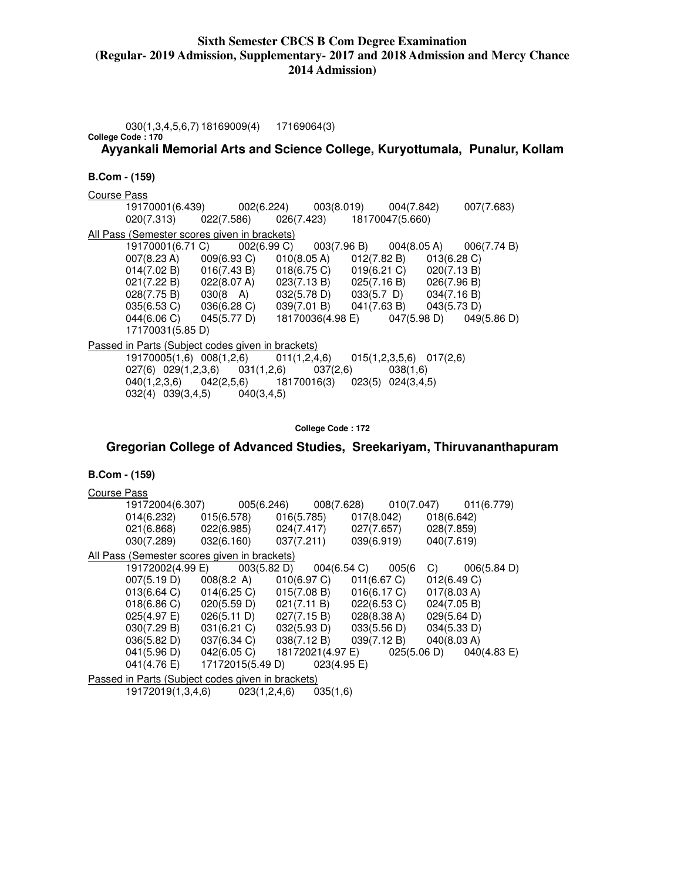030(1,3,4,5,6,7) 18169009(4) 17169064(3) **College Code : 170**

**Ayyankali Memorial Arts and Science College, Kuryottumala, Punalur, Kollam** 

#### **B.Com - (159)**

Course Pass 19170001(6.439) 002(6.224) 003(8.019) 004(7.842) 007(7.683) 020(7.313) 022(7.586) 026(7.423) 18170047(5.660) All Pass (Semester scores given in brackets) 19170001(6.71 C) 002(6.99 C) 003(7.96 B) 004(8.05 A) 006(7.74 B)  $007(8.23 \text{ A})$  009(6.93 C) 014(7.02 B) 016(7.43 B) 018(6.75 C) 019(6.21 C) 020(7.13 B)<br>021(7.22 B) 022(8.07 A) 023(7.13 B) 025(7.16 B) 026(7.96 B) 021(7.22 B) 022(8.07 A) 023(7.13 B) 025(7.16 B) 028(7.75 B) 030(8 A) 032(5.78 D) 033(5.7 D) 034(7.16 B)<br>035(6.53 C) 036(6.28 C) 039(7.01 B) 041(7.63 B) 043(5.73 D) 036(6.28 C) 039(7.01 B) 041(7.63 B) 043(5.73 D)<br>045(5.77 D) 18170036(4.98 E) 047(5.98 D) 049(5.86 D)  $044(6.06 \text{ C})$   $045(5.77 \text{ D})$   $18170036(4.98 \text{ E})$  17170031(5.85 D) Passed in Parts (Subject codes given in brackets) 19170005(1,6) 008(1,2,6) 011(1,2,4,6) 015(1,2,3,5,6) 017(2,6) 027(6) 029(1,2,3,6) 031(1,2,6) 037(2,6) 038(1,6)<br>040(1,2,3,6) 042(2,5,6) 18170016(3) 023(5) 024(3,4, 040(1,2,3,6) 042(2,5,6) 18170016(3) 023(5) 024(3,4,5) 032(4) 039(3,4,5) 040(3,4,5)

**College Code : 172** 

### **Gregorian College of Advanced Studies, Sreekariyam, Thiruvananthapuram**

| Course Pass |                                                                                                               |                                             |  |                                                                                         |             |                                             |
|-------------|---------------------------------------------------------------------------------------------------------------|---------------------------------------------|--|-----------------------------------------------------------------------------------------|-------------|---------------------------------------------|
|             | 19172004(6.307)                                                                                               |                                             |  |                                                                                         |             | 005(6.246) 008(7.628) 010(7.047) 011(6.779) |
|             | $014(6.232)$ $015(6.578)$ $016(5.785)$ $017(8.042)$ $018(6.642)$                                              |                                             |  |                                                                                         |             |                                             |
|             | 021(6.868) 022(6.985) 024(7.417) 027(7.657) 028(7.859)                                                        |                                             |  |                                                                                         |             |                                             |
|             | $030(7.289)$ $032(6.160)$ $037(7.211)$ $039(6.919)$                                                           |                                             |  |                                                                                         | 040(7.619)  |                                             |
|             | All Pass (Semester scores given in brackets)                                                                  |                                             |  |                                                                                         |             |                                             |
|             | 19172002(4.99 E) 003(5.82 D) 004(6.54 C) 005(6                                                                |                                             |  |                                                                                         |             | $C)$ 006(5.84 D)                            |
|             | 007(5.19 D) 008(8.2 A) 010(6.97 C) 011(6.67 C)                                                                |                                             |  |                                                                                         | 012(6.49 C) |                                             |
|             | $013(6.64 \text{ C})$ $014(6.25 \text{ C})$ $015(7.08 \text{ B})$ $016(6.17 \text{ C})$                       |                                             |  |                                                                                         | 017(8.03 A) |                                             |
|             | $018(6.86 \text{ C})$ $020(5.59 \text{ D})$ $021(7.11 \text{ B})$ $022(6.53 \text{ C})$ $024(7.05 \text{ B})$ |                                             |  |                                                                                         |             |                                             |
|             | 025(4.97 E)                                                                                                   | $026(5.11 \text{ D})$ $027(7.15 \text{ B})$ |  | 028(8.38 A)                                                                             | 029(5.64 D) |                                             |
|             | 030(7.29 B)                                                                                                   |                                             |  | $031(6.21 \text{ C})$ $032(5.93 \text{ D})$ $033(5.56 \text{ D})$ $034(5.33 \text{ D})$ |             |                                             |
|             | 036(5.82 D) 037(6.34 C) 038(7.12 B) 039(7.12 B) 040(8.03 A)                                                   |                                             |  |                                                                                         |             |                                             |
|             | 041(5.96 D) 042(6.05 C) 18172021(4.97 E) 025(5.06 D) 040(4.83 E)                                              |                                             |  |                                                                                         |             |                                             |
|             | 041(4.76 E) 17172015(5.49 D) 023(4.95 E)                                                                      |                                             |  |                                                                                         |             |                                             |
|             | Passed in Parts (Subject codes given in brackets)                                                             |                                             |  |                                                                                         |             |                                             |
|             | 19172019(1,3,4,6) 023(1,2,4,6) 035(1,6)                                                                       |                                             |  |                                                                                         |             |                                             |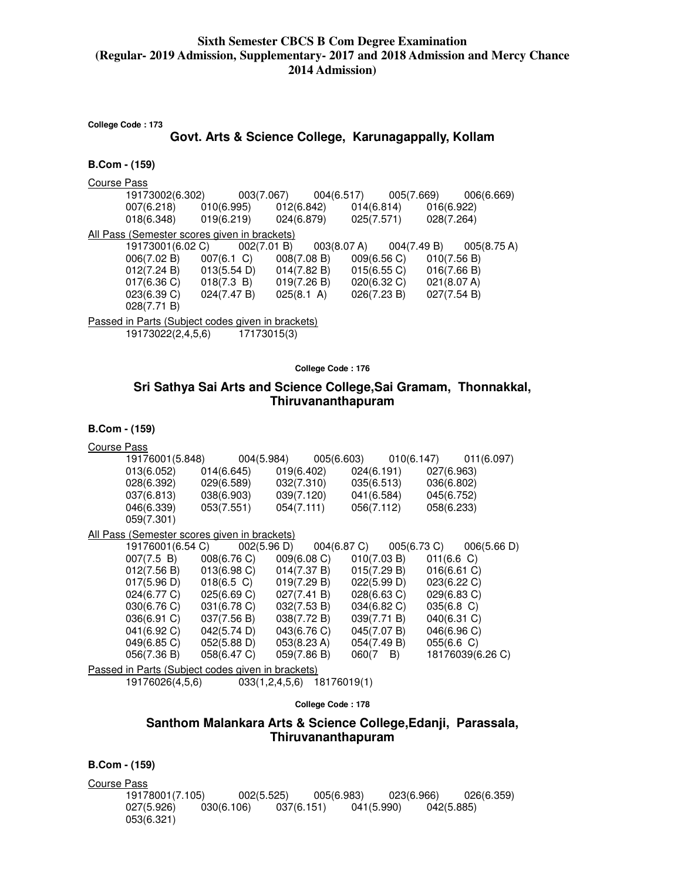| College Code: 173 |                                                                                                                                                                                                                                                                                                                                                                                                                                  |  |             |                                                      |  |                            |                       |  |
|-------------------|----------------------------------------------------------------------------------------------------------------------------------------------------------------------------------------------------------------------------------------------------------------------------------------------------------------------------------------------------------------------------------------------------------------------------------|--|-------------|------------------------------------------------------|--|----------------------------|-----------------------|--|
|                   |                                                                                                                                                                                                                                                                                                                                                                                                                                  |  |             | Govt. Arts & Science College, Karunagappally, Kollam |  |                            |                       |  |
| B.Com - (159)     |                                                                                                                                                                                                                                                                                                                                                                                                                                  |  |             |                                                      |  |                            |                       |  |
| Course Pass       | 19173002(6.302)<br>007(6.218) 010(6.995) 012(6.842) 014(6.814) 016(6.922)<br>$018(6.348)$ $019(6.219)$ $024(6.879)$ $025(7.571)$ $028(7.264)$                                                                                                                                                                                                                                                                                    |  |             | $003(7.067)$ $004(6.517)$ $005(7.669)$               |  |                            | 006(6.669)            |  |
|                   | All Pass (Semester scores given in brackets)<br>19173001(6.02 C)<br>006(7.02 B) 007(6.1 C) 008(7.08 B) 009(6.56 C) 010(7.56 B)<br>$012(7.24 B)$ $013(5.54 D)$ $014(7.82 B)$ $015(6.55 C)$ $016(7.66 B)$<br>$017(6.36 \text{ C})$ $018(7.3 \text{ B})$ $019(7.26 \text{ B})$ $020(6.32 \text{ C})$ $021(8.07 \text{ A})$<br>$023(6.39 \text{ C})$ $024(7.47 \text{ B})$ $025(8.1 \text{ A})$ $026(7.23 \text{ B})$<br>028(7.71 B) |  | 002(7.01 B) | 003(8.07 A)                                          |  | 004(7.49 B)<br>027(7.54 B) | $005(8.75 \text{ A})$ |  |
|                   | Passed in Parts (Subject codes given in brackets)<br>19173022(2,4,5,6) 17173015(3)                                                                                                                                                                                                                                                                                                                                               |  |             |                                                      |  |                            |                       |  |

**College Code : 176** 

# **Sri Sathya Sai Arts and Science College,Sai Gramam, Thonnakkal, Thiruvananthapuram**

| <b>B.Com - (159)</b> |  |
|----------------------|--|
|----------------------|--|

| <b>Course Pass</b> |                                                   |             |             |                                             |                  |               |                  |
|--------------------|---------------------------------------------------|-------------|-------------|---------------------------------------------|------------------|---------------|------------------|
|                    | 19176001(5.848)                                   |             | 004(5.984)  | 005(6.603) 010(6.147)                       |                  |               | 011(6.097)       |
|                    | 013(6.052)                                        | 014(6.645)  | 019(6.402)  |                                             | 024(6.191)       | 027(6.963)    |                  |
|                    | 028(6.392)                                        | 029(6.589)  | 032(7.310)  |                                             | 035(6.513)       | 036(6.802)    |                  |
|                    | 037(6.813)                                        | 038(6.903)  | 039(7.120)  |                                             | 041(6.584)       | 045(6.752)    |                  |
|                    | 046(6.339)                                        | 053(7.551)  | 054(7.111)  |                                             | 056(7.112)       | 058(6.233)    |                  |
|                    | 059(7.301)                                        |             |             |                                             |                  |               |                  |
|                    | All Pass (Semester scores given in brackets)      |             |             |                                             |                  |               |                  |
|                    | 19176001(6.54 C)                                  |             |             | $002(5.96 \text{ D})$ $004(6.87 \text{ C})$ |                  | 005(6.73 C)   | 006(5.66 D)      |
|                    | 007(7.5 B) 008(6.76 C)                            |             |             | 009(6.08 C)                                 | 010(7.03 B)      | 011(6.6)      |                  |
|                    | $012(7.56 B)$ $013(6.98 C)$                       |             |             | 014(7.37 B)                                 | 015(7.29 B)      | 016(6.61)     |                  |
|                    | $017(5.96 \text{ D})$ $018(6.5 \text{ C})$        |             | 019(7.29 B) |                                             | 022(5.99 D)      | 023(6.22 C)   |                  |
|                    | $024(6.77 \text{ C})$ 025(6.69 C)                 |             | 027(7.41 B) |                                             | $028(6.63)$ C)   | 029(6.83 C)   |                  |
|                    | $030(6.76 \text{ C})$ $031(6.78 \text{ C})$       |             | 032(7.53 B) |                                             | 034(6.82 C)      | $035(6.8)$ C) |                  |
|                    | 036(6.91)                                         | 037(7.56 B) | 038(7.72 B) |                                             | 039(7.71 B)      | 040(6.31 C)   |                  |
|                    | 041(6.92 C)                                       | 042(5.74 D) | 043(6.76 C) |                                             | 045(7.07 B)      | 046(6.96 C)   |                  |
|                    | 049(6.85 C)                                       | 052(5.88 D) | 053(8.23 A) |                                             | 054(7.49 B)      | 055(6.6 C)    |                  |
|                    | 056(7.36 B)                                       | 058(6.47 C) | 059(7.86 B) |                                             | $060(7 \quad B)$ |               | 18176039(6.26 C) |
|                    | Passed in Parts (Subject codes given in brackets) |             |             |                                             |                  |               |                  |

19176026(4,5,6) 033(1,2,4,5,6) 18176019(1)

**College Code : 178** 

# **Santhom Malankara Arts & Science College,Edanji, Parassala, Thiruvananthapuram**

**B.Com - (159)** 

Course Pass 19178001(7.105) 002(5.525) 005(6.983) 023(6.966) 026(6.359)  $037(6.151)$ 053(6.321)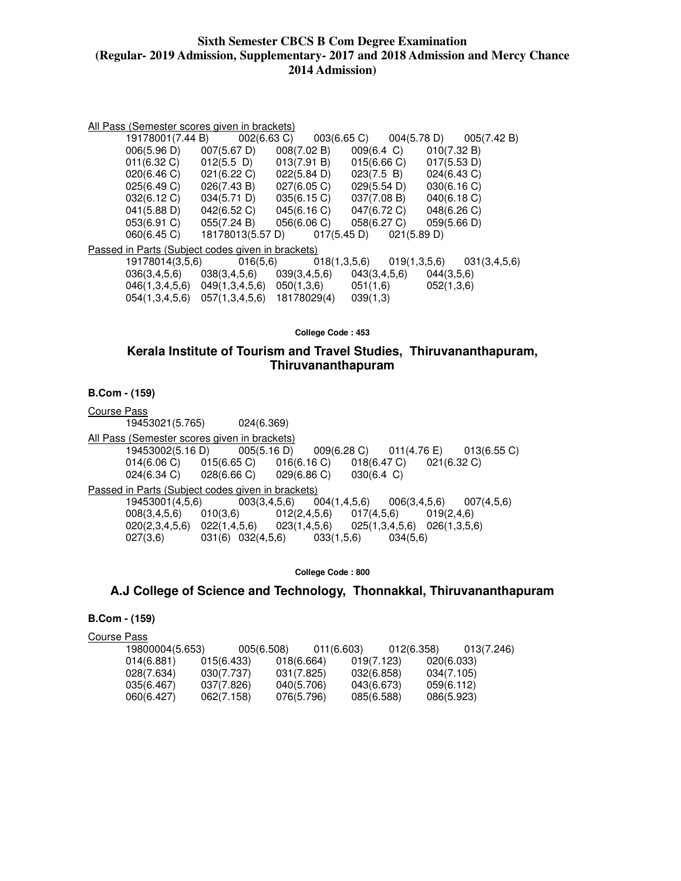#### All Pass (Semester scores given in brackets)

| 19178001(7.44 B)                                  |                                           | $002(6.63 \text{ C})$ $003(6.65 \text{ C})$ $004(5.78 \text{ D})$ |                      | 005(7.42 B)  |
|---------------------------------------------------|-------------------------------------------|-------------------------------------------------------------------|----------------------|--------------|
| 006(5.96 D)                                       | 007(5.67 D)                               | 008(7.02 B)                                                       | $009(6.4 \text{ C})$ | 010(7.32 B)  |
| $011(6.32)$ C)                                    | $012(5.5)$ D)                             | 013(7.91 B)                                                       | 015(6.66 C)          | 017(5.53 D)  |
| 020(6.46 C)                                       | 021(6.22 C)                               | 022(5.84 D)                                                       | 023(7.5 B)           | 024(6.43 C)  |
| 025(6.49 C)                                       | 026(7.43 B)                               | 027(6.05 C)                                                       | 029(5.54 D)          | 030(6.16)    |
| 032(6.12 C)                                       | 034(5.71 D)                               | 035(6.15)                                                         | 037(7.08 B)          | 040(6.18 C)  |
| 041(5.88 D)                                       | 042(6.52 C)                               | 045(6.16 C)                                                       | 047(6.72 C)          | 048(6.26 C)  |
| 053(6.91 C)                                       | 055(7.24 B)                               | 056(6.06 C)                                                       | 058(6.27 C)          | 059(5.66 D)  |
| 060(6.45 C)                                       |                                           | 18178013(5.57 D) 017(5.45 D)                                      | 021(5.89 D)          |              |
| Passed in Parts (Subject codes given in brackets) |                                           |                                                                   |                      |              |
| 19178014(3,5,6)                                   | 016(5,6)                                  | 018(1,3,5,6)                                                      | 019(1,3,5,6)         | 031(3,4,5,6) |
|                                                   |                                           | $036(3,4,5,6)$ $038(3,4,5,6)$ $039(3,4,5,6)$ $043(3,4,5,6)$       |                      | 044(3,5,6)   |
|                                                   | 046(1,3,4,5,6) 049(1,3,4,5,6) 050(1,3,6)  |                                                                   | 051(1,6)             | 052(1,3,6)   |
|                                                   | 054(1,3,4,5,6) 057(1,3,4,5,6) 18178029(4) |                                                                   | 039(1,3)             |              |

**College Code : 453** 

### **Kerala Institute of Tourism and Travel Studies, Thiruvananthapuram, Thiruvananthapuram**

**B.Com - (159)** 

Course Pass 19453021(5.765) 024(6.369) All Pass (Semester scores given in brackets)<br>19453002(5.16 D) 005(5.16 D) 19453002(5.16 D) 005(5.16 D) 009(6.28 C) 011(4.76 E) 013(6.55 C) 014(6.06 C) 015(6.65 C) 016(6.16 C) 018(6.47 C) 021(6.32 C)<br>024(6.34 C) 028(6.66 C) 029(6.86 C) 030(6.4 C) 024(6.34 C) 028(6.66 C) 029(6.86 C) 030(6.4 C) Passed in Parts (Subject codes given in brackets)<br>19453001(4,5,6) 003(3,4,5,6) 004(1,4,5,6) 19453001(4,5,6) 003(3,4,5,6) 004(1,4,5,6) 006(3,4,5,6) 007(4,5,6) 008(3,4,5,6) 010(3,6) 012(2,4,5,6) 017(4,5,6) 019(2,4,6)  $020(2,3,4,5,6)$   $022(1,4,5,6)$   $023(1,4,5,6)$   $025(1,3,4,5,6)$   $026(1,3,5,6)$ <br> $027(3,6)$   $031(6)$   $032(4,5,6)$   $033(1,5,6)$   $034(5,6)$  $031(6) 032(4,5,6)$ 

**College Code : 800** 

### **A.J College of Science and Technology, Thonnakkal, Thiruvananthapuram**

### **B.Com - (159)**

Course Pass

| 19800004(5.653) | 005(6.508) |            | 011(6.603) | 012(6.358) | 013(7.246) |
|-----------------|------------|------------|------------|------------|------------|
| 014(6.881)      | 015(6.433) | 018(6.664) | 019(7.123) |            | 020(6.033) |
| 028(7.634)      | 030(7.737) | 031(7.825) | 032(6.858) |            | 034(7.105) |
| 035(6.467)      | 037(7.826) | 040(5.706) | 043(6.673) |            | 059(6.112) |
| 060(6.427)      | 062(7.158) | 076(5.796) | 085(6.588) |            | 086(5.923) |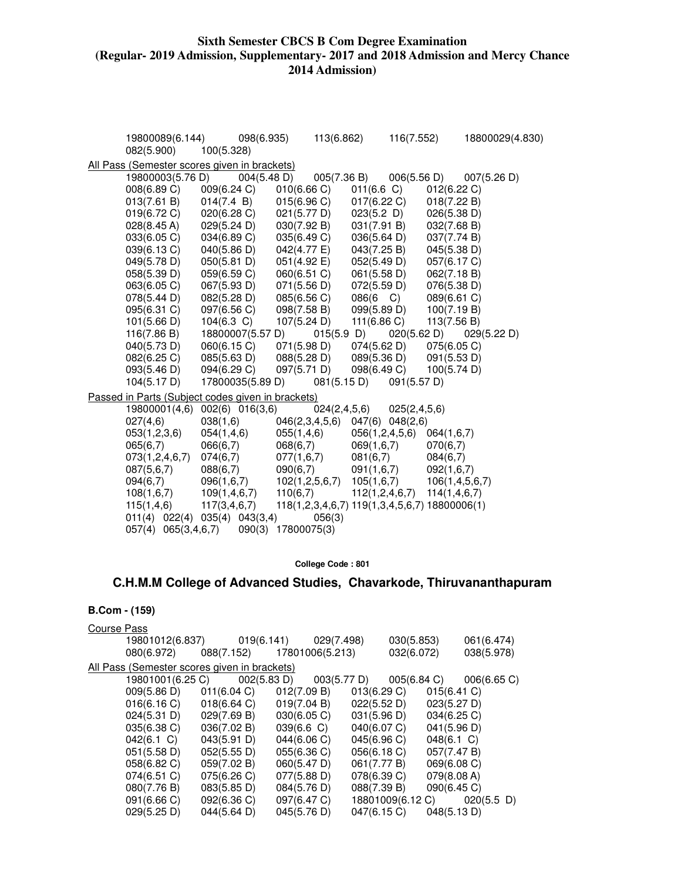| 19800089(6.144)<br>082(5.900)                     | 100(5.328)          | 098(6.935)         | 113(6.862)                                    |                | 116(7.552)                      |                    | 18800029(4.830) |
|---------------------------------------------------|---------------------|--------------------|-----------------------------------------------|----------------|---------------------------------|--------------------|-----------------|
| All Pass (Semester scores given in brackets)      |                     |                    |                                               |                |                                 |                    |                 |
| 19800003(5.76 D)                                  | 004(5.48 D)         |                    | 005(7.36 B)                                   |                | 006(5.56 D)                     |                    | 007(5.26 D)     |
| 008(6.89 C)                                       | 009(6.24 C)         | 010(6.66)          |                                               | $011(6.6)$ C)  |                                 | 012(6.22 C)        |                 |
| 013(7.61 B)                                       | 014(7.4 B)          | 015(6.96)          |                                               | 017(6.22 C)    |                                 | 018(7.22 B)        |                 |
| 019(6.72 C)                                       | 020(6.28 C)         | 021(5.77 D)        |                                               | 023(5.2 D)     |                                 | 026(5.38 D)        |                 |
| $028(8.45 \text{ A})$                             | 029(5.24 D)         | 030(7.92 B)        |                                               | 031(7.91 B)    |                                 | 032(7.68 B)        |                 |
| 033(6.05)                                         | 034(6.89 C)         | 035(6.49 C)        |                                               | 036(5.64 D)    |                                 | 037(7.74 B)        |                 |
| 039(6.13 C)                                       | 040(5.86 D)         | 042(4.77 E)        |                                               | 043(7.25 B)    |                                 | 045(5.38 D)        |                 |
| 049(5.78 D)                                       | 050(5.81 D)         | 051(4.92 E)        |                                               | 052(5.49 D)    |                                 | 057(6.17 C)        |                 |
| 058(5.39 D)                                       | 059(6.59 C)         | 060(6.51 C)        |                                               | 061(5.58 D)    |                                 | 062(7.18 B)        |                 |
| 063(6.05 C)                                       | 067(5.93 D)         | 071(5.56 D)        |                                               | 072(5.59 D)    |                                 | 076(5.38 D)        |                 |
| 078(5.44 D)                                       | 082(5.28 D)         | 085(6.56 C)        |                                               | 086(6 C)       |                                 | 089(6.61 C)        |                 |
| 095(6.31 C)                                       | 097(6.56 C)         | 098(7.58 B)        |                                               | 099(5.89 D)    |                                 | 100(7.19 B)        |                 |
| 101(5.66 D)                                       | $104(6.3)$ C)       | 107(5.24 D)        |                                               | 111(6.86 C)    |                                 | 113(7.56 B)        |                 |
| 116(7.86 B)                                       | 18800007(5.57 D)    |                    | 015(5.9)                                      |                | 020(5.62 D)                     |                    | 029(5.22 D)     |
| 040(5.73 D)                                       | 060(6.15 C)         | 071(5.98 D)        |                                               | 074(5.62 D)    |                                 | 075(6.05 C)        |                 |
| 082(6.25 C)                                       | 085(5.63 D)         | 088(5.28 D)        |                                               | 089(5.36 D)    |                                 | 091(5.53 D)        |                 |
| 093(5.46 D)                                       | 094(6.29 C)         | 097(5.71 D)        |                                               | 098(6.49 C)    |                                 | 100(5.74 D)        |                 |
| 104(5.17 D)                                       | 17800035(5.89 D)    |                    | 081(5.15 D)                                   |                | 091(5.57 D)                     |                    |                 |
| Passed in Parts (Subject codes given in brackets) |                     |                    |                                               |                |                                 |                    |                 |
| 19800001(4,6)                                     | $002(6)$ $016(3,6)$ |                    | 024(2,4,5,6)                                  |                | 025(2,4,5,6)                    |                    |                 |
| 027(4,6)                                          | 038(1,6)            |                    | 046(2,3,4,5,6) 047(6) 048(2,6)                |                |                                 |                    |                 |
| 053(1,2,3,6)                                      | 054(1,4,6)          | 055(1, 4, 6)       |                                               | 056(1,2,4,5,6) |                                 | 064(1,6,7)         |                 |
| 065(6,7)                                          | 066(6,7)            | 068(6,7)           |                                               | 069(1,6,7)     |                                 | 070(6,7)           |                 |
| 073(1,2,4,6,7)                                    | 074(6,7)            | 077(1,6,7)         |                                               | 081(6,7)       |                                 | 084(6,7)           |                 |
| 087(5,6,7)                                        | 088(6,7)            | 090(6,7)           |                                               | 091(1,6,7)     |                                 | 092(1,6,7)         |                 |
| 094(6,7)                                          | 096(1,6,7)          | 102(1, 2, 5, 6, 7) |                                               | 105(1,6,7)     |                                 | 106(1, 4, 5, 6, 7) |                 |
| 108(1,6,7)                                        | 109(1, 4, 6, 7)     | 110(6,7)           |                                               |                | $112(1,2,4,6,7)$ $114(1,4,6,7)$ |                    |                 |
| 115(1,4,6)                                        | 117(3, 4, 6, 7)     |                    | 118(1,2,3,4,6,7) 119(1,3,4,5,6,7) 18800006(1) |                |                                 |                    |                 |
| $011(4)$ $022(4)$ $035(4)$ $043(3,4)$             |                     |                    | 056(3)                                        |                |                                 |                    |                 |
| 057(4) 065(3,4,6,7)                               |                     | 090(3) 17800075(3) |                                               |                |                                 |                    |                 |

**College Code : 801** 

# **C.H.M.M College of Advanced Studies, Chavarkode, Thiruvananthapuram**

| Course Pass                                  |                                                                  |                            |             |             |            |               |                             |
|----------------------------------------------|------------------------------------------------------------------|----------------------------|-------------|-------------|------------|---------------|-----------------------------|
|                                              | 19801012(6.837) 019(6.141) 029(7.498)                            |                            |             |             | 030(5.853) |               | 061(6.474)                  |
| 080(6.972)                                   |                                                                  | 088(7.152) 17801006(5.213) |             |             | 032(6.072) |               | 038(5.978)                  |
| All Pass (Semester scores given in brackets) |                                                                  |                            |             |             |            |               |                             |
|                                              | 19801001(6.25 C) 002(5.83 D) 003(5.77 D) 005(6.84 C) 006(6.65 C) |                            |             |             |            |               |                             |
|                                              | $009(5.86 \text{ D})$ $011(6.04 \text{ C})$                      |                            | 012(7.09 B) | 013(6.29 C) |            | 015(6.41)     |                             |
|                                              | $016(6.16 \text{ C})$ $018(6.64 \text{ C})$                      |                            | 019(7.04 B) | 022(5.52 D) |            | 023(5.27 D)   |                             |
|                                              | 024(5.31 D)                                                      | 029(7.69 B)                | 030(6.05)   | 031(5.96 D) |            | 034(6.25 C)   |                             |
| 035(6.38 C)                                  |                                                                  | 036(7.02 B)                | 039(6.6 C)  | 040(6.07 C) |            | 041(5.96 D)   |                             |
| $042(6.1)$ C)                                |                                                                  | 043(5.91 D)                | 044(6.06 C) | 045(6.96 C) |            | $048(6.1)$ C) |                             |
| 051(5.58 D)                                  |                                                                  | 052(5.55 D)                | 055(6.36 C) | 056(6.18 C) |            | 057(7.47 B)   |                             |
| 058(6.82 C)                                  |                                                                  | 059(7.02 B)                | 060(5.47 D) | 061(7.77 B) |            | 069(6.08 C)   |                             |
| $074(6.51)$ C)                               |                                                                  | 075(6.26)                  | 077(5.88 D) | 078(6.39 C) |            | 079(8.08 A)   |                             |
| 080(7.76 B)                                  |                                                                  | 083(5.85 D)                | 084(5.76 D) | 088(7.39 B) |            | 090(6.45 C)   |                             |
| 091(6.66 C)                                  |                                                                  | 092(6.36 C)                | 097(6.47 C) |             |            |               | 18801009(6.12 C) 020(5.5 D) |
| 029(5.25 D)                                  |                                                                  | 044(5.64 D)                | 045(5.76 D) | 047(6.15 C) |            | 048(5.13 D)   |                             |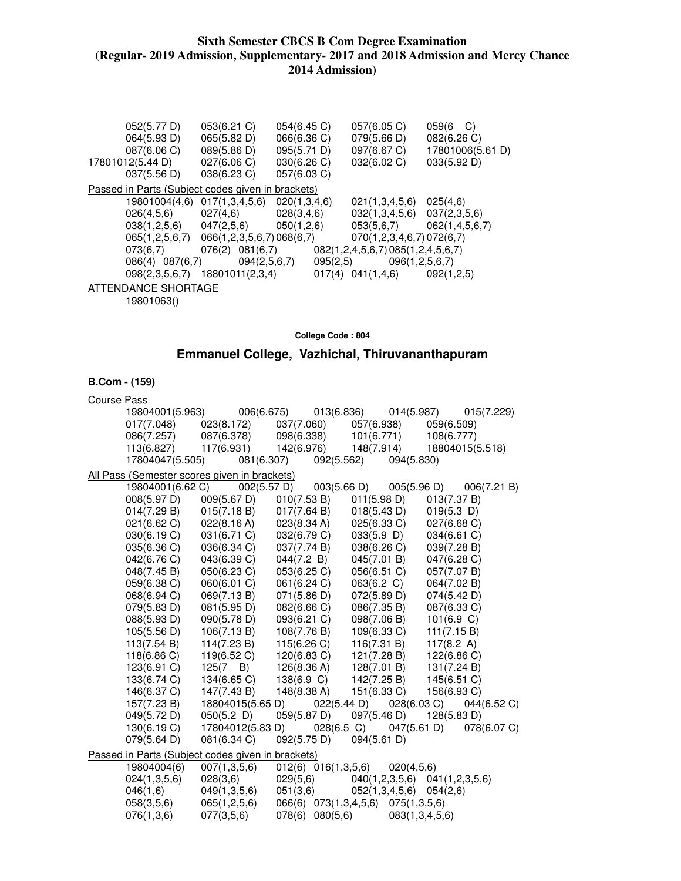| 052(5.77 D)                 | 053(6.21)                                         | 054(6.45)    | 057(6.05)                                                 | $059(6 \text{ C})$ |
|-----------------------------|---------------------------------------------------|--------------|-----------------------------------------------------------|--------------------|
| 064(5.93 D)                 | 065(5.82 D)                                       | 066(6.36 C)  | 079(5.66 D)                                               | 082(6.26 C)        |
| 087(6.06 C)                 | 089(5.86 D)                                       | 095(5.71 D)  | 097(6.67 C)                                               | 17801006(5.61 D)   |
| 17801012(5.44 D)            | 027(6.06 C)                                       | 030(6.26 C)  | 032(6.02 C)                                               | 033(5.92 D)        |
| $037(5.56 \text{ D})$       | 038(6.23 C)                                       | 057(6.03 C)  |                                                           |                    |
|                             | Passed in Parts (Subject codes given in brackets) |              |                                                           |                    |
| 19801004(4,6)               | 017(1,3,4,5,6)                                    | 020(1,3,4,6) | 021(1,3,4,5,6)                                            | 025(4,6)           |
| 026(4,5,6)                  | 027(4,6)                                          | 028(3,4,6)   | $032(1,3,4,5,6)$ $037(2,3,5,6)$                           |                    |
| $038(1,2,5,6)$ $047(2,5,6)$ |                                                   | 050(1,2,6)   | 053(5,6,7)                                                | 062(1,4,5,6,7)     |
|                             | 065(1,2,5,6,7) 066(1,2,3,5,6,7) 068(6,7)          |              | 070(1,2,3,4,6,7)072(6,7)                                  |                    |
| 073(6,7)                    |                                                   |              | $076(2)$ $081(6,7)$ $082(1,2,4,5,6,7)$ $085(1,2,4,5,6,7)$ |                    |
| 086(4) 087(6,7)             | 094(2,5,6,7)                                      | 095(2,5)     | 096(1, 2, 5, 6, 7)                                        |                    |
| 098(2,3,5,6,7)              | 18801011(2,3,4)                                   |              | $017(4)$ $041(1,4,6)$                                     | 092(1,2,5)         |
| ATTENDANCE SHORTAGE         |                                                   |              |                                                           |                    |
| 10901062/                   |                                                   |              |                                                           |                    |

19801063()

**College Code : 804** 

# **Emmanuel College, Vazhichal, Thiruvananthapuram**

| <b>Course Pass</b>                                |                                  |                       |               |                                   |                       |
|---------------------------------------------------|----------------------------------|-----------------------|---------------|-----------------------------------|-----------------------|
| 19804001(5.963)                                   | 006(6.675)                       |                       | 013(6.836)    | 014(5.987)                        | 015(7.229)            |
| 017(7.048)                                        | 023(8.172) 037(7.060) 057(6.938) |                       |               |                                   | 059(6.509)            |
| 086(7.257)                                        | 087(6.378)                       | 098(6.338)            | 101(6.771)    |                                   | 108(6.777)            |
| 113(6.827)                                        | 117(6.931)                       | 142(6.976)            |               | 148(7.914)                        | 18804015(5.518)       |
| 17804047(5.505)                                   | 081(6.307)                       |                       | 092(5.562)    | 094(5.830)                        |                       |
| All Pass (Semester scores given in brackets)      |                                  |                       |               |                                   |                       |
| 19804001(6.62 C)                                  | 002(5.57 D)                      |                       | 003(5.66 D)   | 005(5.96 D)                       | 006(7.21 B)           |
| 008(5.97 D)                                       | 009(5.67 D)                      | 010(7.53 B)           |               | 011(5.98 D)                       | 013(7.37 B)           |
| 014(7.29 B)                                       | 015(7.18 B)                      | 017(7.64 B)           |               | 018(5.43 D)                       | $019(5.3)$ D)         |
| 021(6.62 C)                                       | 022(8.16 A)                      | 023(8.34 A)           | 025(6.33 C)   |                                   | 027(6.68 C)           |
| 030(6.19 C)                                       | 031(6.71 C)                      | 032(6.79 C)           | $033(5.9)$ D) |                                   | 034(6.61 C)           |
| 035(6.36 C)                                       | 036(6.34 C)                      | 037(7.74 B)           | 038(6.26 C)   |                                   | 039(7.28 B)           |
| 042(6.76 C)                                       | 043(6.39 C)                      | 044(7.2 B)            | 045(7.01 B)   |                                   | 047(6.28 C)           |
| 048(7.45 B)                                       | 050(6.23 C)                      | 053(6.25)             | 056(6.51 C)   |                                   | 057(7.07 B)           |
| 059(6.38 C)                                       | 060(6.01 C)                      | 061(6.24 C)           | 063(6.2 C)    |                                   | 064(7.02 B)           |
| 068(6.94 C)                                       | 069(7.13 B)                      | 071(5.86 D)           | 072(5.89 D)   |                                   | 074(5.42 D)           |
| 079(5.83 D)                                       | 081(5.95 D)                      | 082(6.66 C)           | 086(7.35 B)   |                                   | 087(6.33 C)           |
| 088(5.93 D)                                       | 090(5.78 D)                      | 093(6.21 C)           | 098(7.06 B)   |                                   | 101(6.9 C)            |
| 105(5.56 D)                                       | 106(7.13 B)                      | 108(7.76 B)           | 109(6.33 C)   |                                   | 111(7.15 B)           |
| 113(7.54 B)                                       | 114(7.23 B)                      | 115(6.26)             | 116(7.31 B)   |                                   | 117 $(8.2 \text{ A})$ |
| 118(6.86 C)                                       | 119(6.52 C)                      | $120(6.83)$ C)        | 121(7.28 B)   |                                   | 122(6.86 C)           |
| 123(6.91 C)                                       | $125(7 \quad B)$                 | 126(8.36 A)           | 128(7.01 B)   |                                   | 131(7.24 B)           |
| 133(6.74 C)                                       | 134(6.65 C)                      | 138(6.9 C)            | 142(7.25 B)   |                                   | 145(6.51 C)           |
| 146(6.37 C)                                       | 147(7.43 B)                      | 148(8.38 A)           |               | 151(6.33 C)                       | 156(6.93 C)           |
| 157(7.23 B)                                       | 18804015(5.65 D)                 |                       | 022(5.44 D)   | 028(6.03 C)                       | 044(6.52 C)           |
| 049(5.72 D)                                       | $050(5.2)$ D)                    | 059(5.87 D)           | 097(5.46 D)   |                                   | 128(5.83 D)           |
| 130(6.19 C)                                       | 17804012(5.83 D)                 |                       | $028(6.5)$ C) | 047(5.61 D)                       | 078(6.07 C)           |
| 079(5.64 D)                                       | 081(6.34 C)                      | 092(5.75 D)           | 094(5.61 D)   |                                   |                       |
| Passed in Parts (Subject codes given in brackets) |                                  |                       |               |                                   |                       |
| 19804004(6)                                       | 007(1,3,5,6)                     | 012(6) 016(1,3,5,6)   |               | 020(4,5,6)                        |                       |
| 024(1,3,5,6)                                      | 028(3,6)                         | 029(5,6)              |               | $040(1,2,3,5,6)$ $041(1,2,3,5,6)$ |                       |
| 046(1,6)                                          | 049(1,3,5,6)                     | 051(3,6)              |               | 052(1,3,4,5,6)<br>054(2,6)        |                       |
| 058(3,5,6)                                        | 065(1,2,5,6)                     | 066(6) 073(1,3,4,5,6) |               | 075(1,3,5,6)                      |                       |
| 076(1,3,6)                                        | 077(3,5,6)                       | 078(6) 080(5,6)       |               | 083(1,3,4,5,6)                    |                       |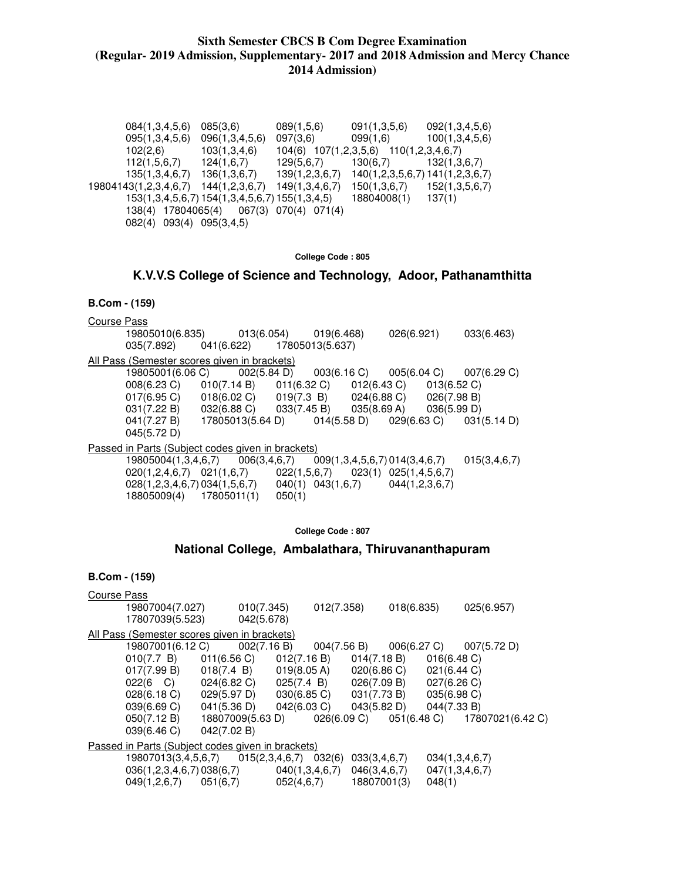084(1,3,4,5,6) 085(3,6) 089(1,5,6) 091(1,3,5,6) 092(1,3,4,5,6) 095(1,3,4,5,6) 096(1,3,4,5,6) 097(3,6) 099(1,6) 100(1,3,4,5,6) 102(2,6) 103(1,3,4,6) 104(6) 107(1,2,3,5,6) 110(1,2,3,4,6,7) 112(1,5,6,7) 124(1,6,7) 129(5,6,7) 130(6,7) 132(1,3,6,7) 135(1,3,4,6,7) 136(1,3,6,7) 139(1,2,3,6,7) 140(1,2,3,5,6,7) 141(1,2,3,6,7) 19804143(1,2,3,4,6,7) 144(1,2,3,6,7) 149(1,3,4,6,7) 150(1,3,6,7) 152(1,3,5,6,7) 153(1,3,4,5,6,7) 154(1,3,4,5,6,7) 155(1,3,4,5) 18804008(1) 137(1) 138(4) 17804065(4) 067(3) 070(4) 071(4) 082(4) 093(4) 095(3,4,5)

**College Code : 805** 

**K.V.V.S College of Science and Technology, Adoor, Pathanamthitta** 

#### **B.Com - (159)**

Course Pass 19805010(6.835) 013(6.054) 019(6.468) 026(6.921) 033(6.463) 035(7.892) 041(6.622) 17805013(5.637) All Pass (Semester scores given in brackets) 19805001(6.06 C)  $002(5.84 \text{ D})$   $003(6.16 \text{ C})$   $005(6.04 \text{ C})$   $007(6.29 \text{ C})$ <br> $008(6.23 \text{ C})$   $010(7.14 \text{ B})$   $011(6.32 \text{ C})$   $012(6.43 \text{ C})$   $013(6.52 \text{ C})$ 008(6.23 C) 010(7.14 B) 011(6.32 C) 012(6.43 C) 013(6.52 C)<br>017(6.95 C) 018(6.02 C) 019(7.3 B) 024(6.88 C) 026(7.98 B)  $017(6.95 C)$ 031(7.22 B) 032(6.88 C) 033(7.45 B) 035(8.69 A) 036(5.99 D)<br>041(7.27 B) 17805013(5.64 D) 014(5.58 D) 029(6.63 C) 031(5.14 D) 17805013(5.64 D) 045(5.72 D) Passed in Parts (Subject codes given in brackets)

| 19805004(1,3,4,6,7)                 | 006(3,4,6,7) | 009(1,3,4,5,6,7)014(3,4,6,7)             |                | 015(3,4,6,7) |
|-------------------------------------|--------------|------------------------------------------|----------------|--------------|
| $020(1, 2, 4, 6, 7)$ $021(1, 6, 7)$ |              | $022(1,5,6,7)$ $023(1)$ $025(1,4,5,6,7)$ |                |              |
| 028(1,2,3,4,6,7)034(1,5,6,7)        |              | $040(1)$ $043(1,6.7)$                    | 044(1,2,3,6,7) |              |
| 18805009(4) 17805011(1)             | 050(1)       |                                          |                |              |

**College Code : 807** 

### **National College, Ambalathara, Thiruvananthapuram**

| Course Pass                                       |                                             |             |                                             |             |                                           |                |             |                                          |
|---------------------------------------------------|---------------------------------------------|-------------|---------------------------------------------|-------------|-------------------------------------------|----------------|-------------|------------------------------------------|
|                                                   | 19807004(7.027)                             |             | 010(7.345)                                  | 012(7.358)  | 018(6.835)                                |                | 025(6.957)  |                                          |
|                                                   | 17807039(5.523)                             |             | 042(5.678)                                  |             |                                           |                |             |                                          |
| All Pass (Semester scores given in brackets)      |                                             |             |                                             |             |                                           |                |             |                                          |
|                                                   | 19807001(6.12 C)                            |             |                                             |             | $002(7.16 B)$ $004(7.56 B)$ $006(6.27 C)$ |                | 007(5.72 D) |                                          |
|                                                   | 010(7.7 B)                                  | 011(6.56 C) |                                             | 012(7.16 B) | 014(7.18 B)                               | 016(6.48)      |             |                                          |
|                                                   | 017(7.99 B)                                 |             | $018(7.4 \text{ B})$ $019(8.05 \text{ A})$  |             | 020(6.86 C)                               | 021(6.44 C)    |             |                                          |
|                                                   | 022(6 C)                                    |             | $024(6.82 \text{ C})$ $025(7.4 \text{ B})$  |             | 026(7.09 B)                               | 027(6.26)      |             |                                          |
|                                                   | 028(6.18 C)                                 | 029(5.97 D) |                                             | 030(6.85 C) | 031(7.73 B)                               | 035(6.98 C)    |             |                                          |
|                                                   | 039(6.69 C)                                 |             | $041(5.36 \text{ D})$ $042(6.03 \text{ C})$ |             | 043(5.82 D)                               | 044(7.33 B)    |             |                                          |
|                                                   | 050(7.12 B)                                 |             | 18807009(5.63 D)                            |             |                                           |                |             | 026(6.09 C) 051(6.48 C) 17807021(6.42 C) |
|                                                   | 039(6.46 C)                                 | 042(7.02 B) |                                             |             |                                           |                |             |                                          |
| Passed in Parts (Subject codes given in brackets) |                                             |             |                                             |             |                                           |                |             |                                          |
|                                                   | 19807013(3,4,5,6,7)  015(2,3,4,6,7)  032(6) |             |                                             |             | 033(3,4,6,7)                              | 034(1,3,4,6,7) |             |                                          |
|                                                   | $036(1,2,3,4,6,7) 038(6,7)$ 040(1,3,4,6,7)  |             |                                             |             | 046(3,4,6,7)                              | 047(1,3,4,6,7) |             |                                          |
|                                                   | $049(1,2,6,7)$ $051(6,7)$                   |             |                                             | 052(4,6,7)  | 18807001(3)                               | 048(1)         |             |                                          |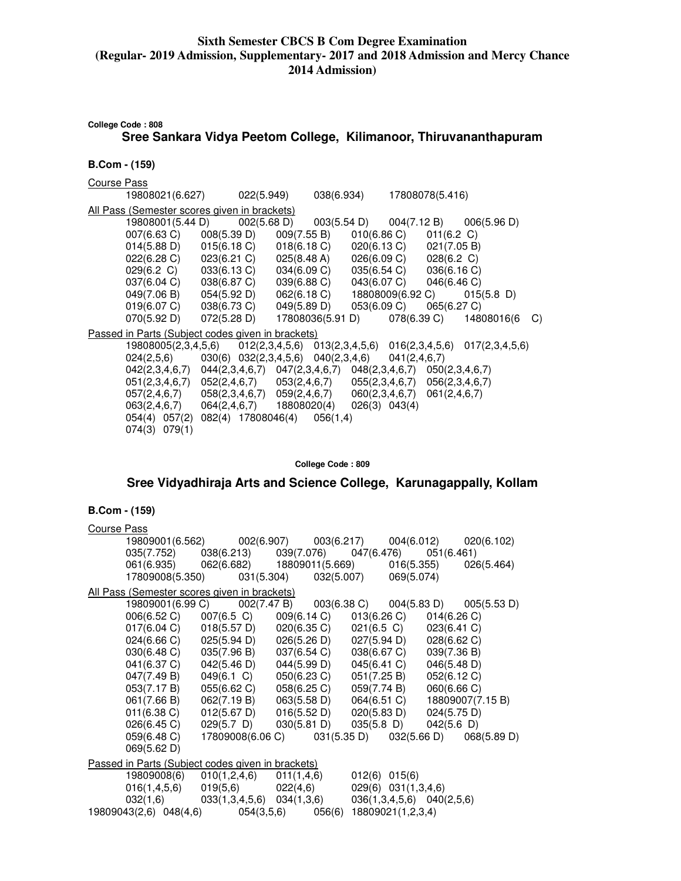**College Code : 808**

### **Sree Sankara Vidya Peetom College, Kilimanoor, Thiruvananthapuram**

**B.Com - (159)** 

Course Pass

 19808021(6.627) 022(5.949) 038(6.934) 17808078(5.416) All Pass (Semester scores given in brackets) 19808001(5.44 D) 002(5.68 D) 003(5.54 D) 004(7.12 B) 006(5.96 D) 007(6.63 C) 008(5.39 D) 009(7.55 B) 010(6.86 C) 011(6.2 C) 014(5.88 D) 015(6.18 C) 018(6.18 C) 020(6.13 C) 021(7.05 B) 022(6.28 C) 023(6.21 C) 025(8.48 A) 026(6.09 C) 028(6.2 C) 029(6.2 C) 033(6.13 C) 034(6.09 C) 035(6.54 C) 036(6.16 C) 037(6.04 C) 038(6.87 C) 039(6.88 C) 043(6.07 C) 046(6.46 C)<br>049(7.06 B) 054(5.92 D) 062(6.18 C) 18808009(6.92 C) 015(5.8 D) 049(7.06 B) 054(5.92 D) 062(6.18 C) 18808009(6.92 C) 015<br>019(6.07 C) 038(6.73 C) 049(5.89 D) 053(6.09 C) 065(6.27 C) 019(6.07 C) 038(6.73 C) 049(5.89 D) 053(6.09 C) 065(6.27 C)<br>070(5.92 D) 072(5.28 D) 17808036(5.91 D) 078(6.39 C) 14808016(6 C)  $070(5.92 \text{ D})$   $072(5.28 \text{ D})$   $17808036(5.91 \text{ D})$ Passed in Parts (Subject codes given in brackets) 19808005(2,3,4,5,6) 012(2,3,4,5,6) 013(2,3,4,5,6) 016(2,3,4,5,6) 017(2,3,4,5,6) 024(2,5,6) 030(6) 032(2,3,4,5,6) 040(2,3,4,6) 041(2,4,6,7) 042(2,3,4,6,7) 044(2,3,4,6,7) 047(2,3,4,6,7) 048(2,3,4,6,7) 050(2,3,4,6,7) 051(2,3,4,6,7) 052(2,4,6,7) 053(2,4,6,7) 055(2,3,4,6,7) 056(2,3,4,6,7) 057(2,4,6,7) 058(2,3,4,6,7) 058(2,3,4,6,7)  $057(2,4,6,7)$   $058(2,3,4,6,7)$   $059(2,4,6,7)$   $060(2,3,4,6,7)$   $061(2,4,6,7)$ <br> $063(2,4.6,7)$   $064(2,4.6,7)$   $18808020(4)$   $026(3)$   $043(4)$  063(2,4,6,7) 064(2,4,6,7) 18808020(4) 026(3) 043(4) 054(4) 057(2) 082(4) 17808046(4) 056(1,4) 074(3) 079(1)

**College Code : 809** 

**Sree Vidyadhiraja Arts and Science College, Karunagappally, Kollam** 

| <b>Course Pass</b>                                         |                                                                                                               |                             |                   |                                                                  |  |
|------------------------------------------------------------|---------------------------------------------------------------------------------------------------------------|-----------------------------|-------------------|------------------------------------------------------------------|--|
|                                                            |                                                                                                               |                             |                   | 19809001(6.562) 002(6.907) 003(6.217) 004(6.012) 020(6.102)      |  |
|                                                            | 035(7.752) 038(6.213) 039(7.076) 047(6.476) 051(6.461)                                                        |                             |                   |                                                                  |  |
|                                                            |                                                                                                               |                             |                   | 061(6.935) 062(6.682) 18809011(5.669) 016(5.355) 026(5.464)      |  |
|                                                            | 17809008(5.350) 031(5.304) 032(5.007) 069(5.074)                                                              |                             |                   |                                                                  |  |
| All Pass (Semester scores given in brackets)               |                                                                                                               |                             |                   |                                                                  |  |
|                                                            |                                                                                                               |                             |                   | 19809001(6.99 C) 002(7.47 B) 003(6.38 C) 004(5.83 D) 005(5.53 D) |  |
|                                                            | 006(6.52 C) 007(6.5 C) 009(6.14 C) 013(6.26 C)                                                                |                             |                   | 014(6.26)                                                        |  |
|                                                            | $017(6.04 \text{ C})$ $018(5.57 \text{ D})$ $020(6.35 \text{ C})$ $021(6.5 \text{ C})$ $023(6.41 \text{ C})$  |                             |                   |                                                                  |  |
|                                                            | $024(6.66 \text{ C})$ $025(5.94 \text{ D})$ $026(5.26 \text{ D})$ $027(5.94 \text{ D})$ $028(6.62 \text{ C})$ |                             |                   |                                                                  |  |
|                                                            | 030(6.48 C) 035(7.96 B) 037(6.54 C) 038(6.67 C) 039(7.36 B)                                                   |                             |                   |                                                                  |  |
|                                                            | 041(6.37 C) 042(5.46 D) 044(5.99 D) 045(6.41 C) 046(5.48 D)                                                   |                             |                   |                                                                  |  |
|                                                            | 047(7.49 B) 049(6.1 C) 050(6.23 C) 051(7.25 B) 052(6.12 C)                                                    |                             |                   |                                                                  |  |
|                                                            | 053(7.17 B) 055(6.62 C) 058(6.25 C) 059(7.74 B) 060(6.66 C)                                                   |                             |                   |                                                                  |  |
|                                                            |                                                                                                               |                             |                   | 061(7.66 B) 062(7.19 B) 063(5.58 D) 064(6.51 C) 18809007(7.15 B) |  |
|                                                            | $011(6.38 \text{ C})$ $012(5.67 \text{ D})$ $016(5.52 \text{ D})$ $020(5.83 \text{ D})$ $024(5.75 \text{ D})$ |                             |                   |                                                                  |  |
|                                                            | 026(6.45 C) 029(5.7 D) 030(5.81 D) 035(5.8 D) 042(5.6 D)                                                      |                             |                   |                                                                  |  |
|                                                            |                                                                                                               |                             |                   | 059(6.48 C) 17809008(6.06 C) 031(5.35 D) 032(5.66 D) 068(5.89 D) |  |
| 069(5.62 D)                                                |                                                                                                               |                             |                   |                                                                  |  |
| Passed in Parts (Subject codes given in brackets)          |                                                                                                               |                             |                   |                                                                  |  |
| 19809008(6)                                                |                                                                                                               | $010(1,2,4,6)$ $011(1,4,6)$ | $012(6)$ $015(6)$ |                                                                  |  |
|                                                            | $016(1,4,5,6)$ $019(5,6)$ $022(4,6)$ $029(6)$ $031(1,3,4,6)$                                                  |                             |                   |                                                                  |  |
|                                                            | $032(1,6)$ $033(1,3,4,5,6)$ $034(1,3,6)$ $036(1,3,4,5,6)$ $040(2,5,6)$                                        |                             |                   |                                                                  |  |
| 19809043(2,6) 048(4,6) 054(3,5,6) 056(6) 18809021(1,2,3,4) |                                                                                                               |                             |                   |                                                                  |  |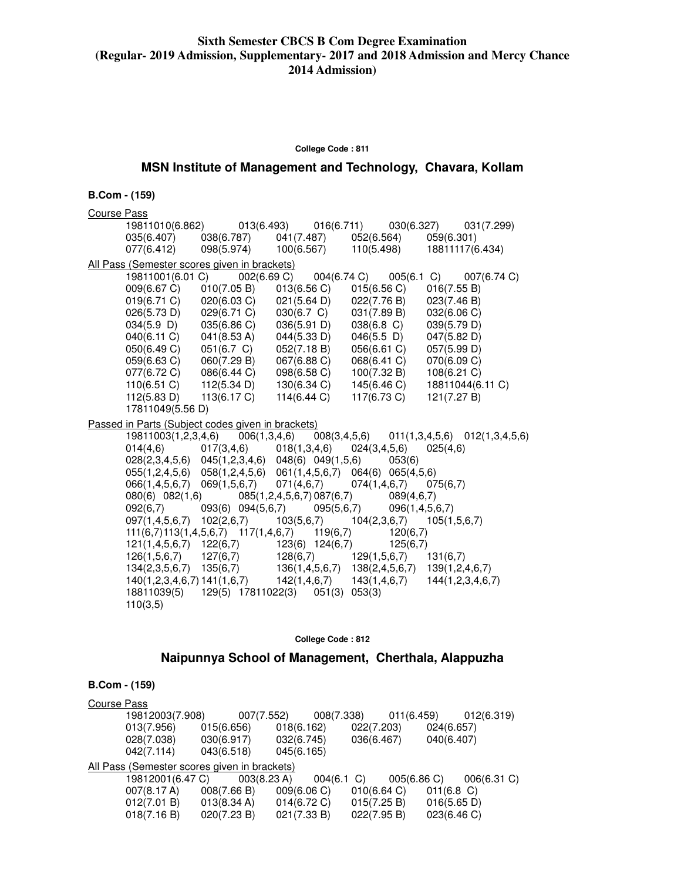#### **College Code : 811**

# **MSN Institute of Management and Technology, Chavara, Kollam**

#### **B.Com - (159)**

| <b>Course Pass</b>              |                                                                                |                                             |                                             |                                                                                  |
|---------------------------------|--------------------------------------------------------------------------------|---------------------------------------------|---------------------------------------------|----------------------------------------------------------------------------------|
|                                 |                                                                                |                                             |                                             | 19811010(6.862)  013(6.493)  016(6.711)  030(6.327)  031(7.299)                  |
| 035(6.407)                      | 038(6.787)                                                                     |                                             | 041(7.487) 052(6.564) 059(6.301)            |                                                                                  |
| 077(6.412)                      |                                                                                |                                             |                                             | 098(5.974) 100(6.567) 110(5.498) 18811117(6.434)                                 |
|                                 | All Pass (Semester scores given in brackets)                                   |                                             |                                             |                                                                                  |
| 19811001(6.01 C)                |                                                                                |                                             |                                             | 002(6.69 C)  004(6.74 C)  005(6.1 C)  007(6.74 C)                                |
| 009(6.67 C)                     | 010(7.05 B)                                                                    | $013(6.56 \text{ C})$ $015(6.56 \text{ C})$ |                                             | 016(7.55 B)                                                                      |
| 019(6.71 C)                     | 020(6.03 C)                                                                    |                                             | $021(5.64 \text{ D})$ $022(7.76 \text{ B})$ | 023(7.46 B)                                                                      |
| 026(5.73 D)                     | $029(6.71 \text{ C})$<br>$035(6.86 \text{ C})$                                 | 030(6.7 C)                                  | 031(7.89 B)                                 | 032(6.06 C)                                                                      |
| $034(5.9)$ D)                   |                                                                                | 036(5.91 D)                                 | 038(6.8 C)                                  | 039(5.79 D)                                                                      |
| 040(6.11)                       | 041(8.53 A)                                                                    | 044(5.33 D)                                 | $046(5.5 \; D)$                             | 047(5.82 D)                                                                      |
| 050(6.49 C)                     | 051(6.7 C)                                                                     | 052(7.18 B)                                 | 056(6.61 C)                                 | 057(5.99 D)                                                                      |
| 059(6.63 C)                     | 060(7.29 B)                                                                    | 067(6.88 C)                                 | 068(6.41 C)                                 | 070(6.09 C)                                                                      |
| 077(6.72 C)                     | 086(6.44 C)<br>112(5.34 D)                                                     | 098(6.58 C)                                 | 100(7.32 B)                                 | 108(6.21 C)                                                                      |
| 110(6.51 C)                     | 113(6.17 C)                                                                    | 130(6.34 C)<br>114(6.44 C)                  | 145(6.46 C)<br>117(6.73 C)                  | 18811044(6.11 C)                                                                 |
| 112(5.83 D)<br>17811049(5.56 D) |                                                                                |                                             |                                             | 121(7.27 B)                                                                      |
|                                 |                                                                                |                                             |                                             |                                                                                  |
|                                 | Passed in Parts (Subject codes given in brackets)                              |                                             |                                             |                                                                                  |
|                                 |                                                                                |                                             |                                             | 19811003(1,2,3,4,6) 006(1,3,4,6) 008(3,4,5,6) 011(1,3,4,5,6) 012(1,3,4,5,6)      |
| 014(4,6)                        | $017(3,4,6)$ $018(1,3,4,6)$ $024(3,4,5,6)$                                     |                                             |                                             | 025(4,6)                                                                         |
|                                 | 028(2,3,4,5,6) 045(1,2,3,4,6) 048(6) 049(1,5,6) 053(6)                         |                                             |                                             |                                                                                  |
|                                 |                                                                                |                                             |                                             |                                                                                  |
|                                 | 055(1,2,4,5,6) 058(1,2,4,5,6) 061(1,4,5,6,7) 064(6) 065(4,5,6)                 |                                             |                                             |                                                                                  |
|                                 | 066(1,4,5,6,7) 069(1,5,6,7)                                                    |                                             | $071(4,6,7)$ $074(1,4,6,7)$ $075(6,7)$      |                                                                                  |
| 080(6) 082(1,6)                 |                                                                                |                                             | $085(1,2,4,5,6,7) 087(6,7)$ 089(4,6,7)      |                                                                                  |
|                                 | $092(6,7)$ $093(6)$ $094(5,6,7)$ $095(5,6,7)$ $096(1,4,5,6,7)$                 |                                             |                                             |                                                                                  |
|                                 | $097(1,4,5,6,7)$ $102(2,6,7)$ $103(5,6,7)$ $104(2,3,6,7)$ $105(1,5,6,7)$       |                                             |                                             |                                                                                  |
|                                 | $111(6,7)113(1,4,5,6,7)$ $117(1,4,6,7)$ $119(6,7)$ $120(6,7)$                  |                                             |                                             |                                                                                  |
|                                 | $121(1,4,5,6,7)$ $122(6,7)$ $123(6)$ $124(6,7)$ $125(6,7)$                     |                                             |                                             |                                                                                  |
|                                 | $126(1,5,6,7)$ $127(6,7)$ $128(6,7)$ $129(1,5,6,7)$ $131(6,7)$                 |                                             |                                             |                                                                                  |
|                                 | $134(2,3,5,6,7)$ $135(6,7)$ $136(1,4,5,6,7)$ $138(2,4,5,6,7)$ $139(1,2,4,6,7)$ |                                             |                                             | $140(1,2,3,4,6,7)$ $141(1,6,7)$ $142(1,4,6,7)$ $143(1,4,6,7)$ $144(1,2,3,4,6,7)$ |
| 110(3,5)                        | 18811039(5) 129(5) 17811022(3) 051(3) 053(3)                                   |                                             |                                             |                                                                                  |

#### **College Code : 812**

# **Naipunnya School of Management, Cherthala, Alappuzha**

| Course Pass |                                              |                       |                |               |            |               |
|-------------|----------------------------------------------|-----------------------|----------------|---------------|------------|---------------|
|             | 19812003(7.908)                              | 007(7.552)            |                | 008(7.338)    | 011(6.459) | 012(6.319)    |
|             | 013(7.956)                                   | 015(6.656)            | 018(6.162)     | 022(7.203)    |            | 024(6.657)    |
|             | 028(7.038)                                   | 030(6.917)            | 032(6.745)     | 036(6.467)    |            | 040(6.407)    |
|             | 042(7.114)                                   | 043(6.518)            | 045(6.165)     |               |            |               |
|             | All Pass (Semester scores given in brackets) |                       |                |               |            |               |
|             | 19812001(6.47 C)                             | 003(8.23 A)           |                | $004(6.1)$ C) | 005(6.86)  | 006(6.31 C)   |
|             | 007(8.17 A)                                  | 008(7.66 B)           | 009(6.06)      | 010(6.64)     |            | $011(6.8)$ C) |
|             | 012(7.01 B)                                  | $013(8.34 \text{ A})$ | $014(6.72)$ C) | 015(7.25 B)   |            | 016(5.65 D)   |
|             | 018(7.16 B)                                  | 020(7.23 B)           | 021(7.33 B)    | 022(7.95 B)   |            | 023(6.46 C)   |
|             |                                              |                       |                |               |            |               |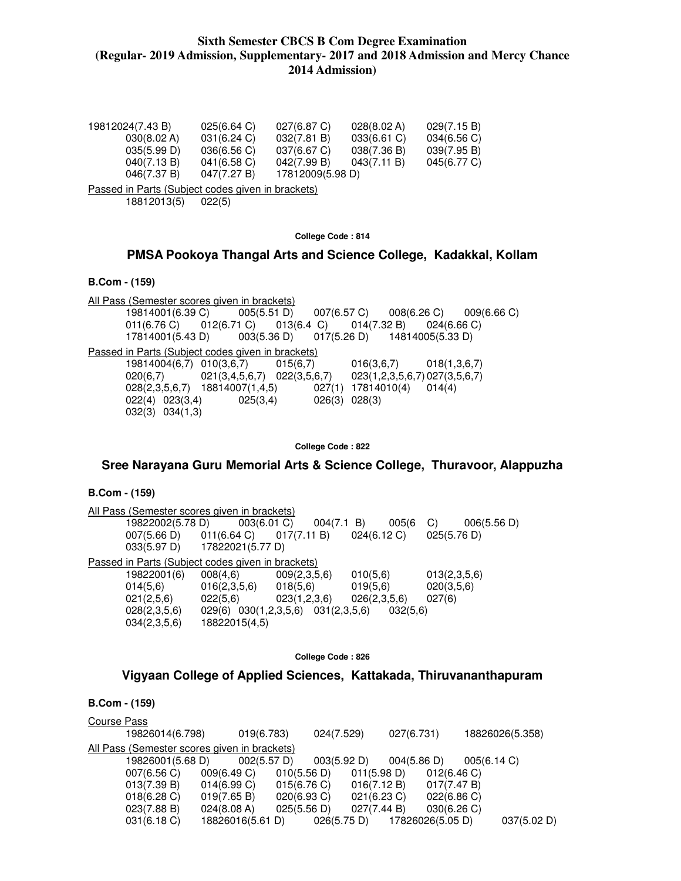| 19812024(7.43 B) | 025(6.64)   | 027(6.87 C)      | 028(8.02 A)    | 029(7.15 B) |
|------------------|-------------|------------------|----------------|-------------|
| 030(8.02 A)      | 031(6.24)   | 032(7.81 B)      | $033(6.61)$ C) | 034(6.56)   |
| 035(5.99 D)      | 036(6.56)   | 037(6.67)        | 038(7.36 B)    | 039(7.95 B) |
| 040(7.13 B)      | 041(6.58)   | 042(7.99 B)      | 043(7.11 B)    | 045(6.77 C) |
| 046(7.37 B)      | 047(7.27 B) | 17812009(5.98 D) |                |             |

Passed in Parts (Subject codes given in brackets) 18812013(5) 022(5)

#### **College Code : 814**

# **PMSA Pookoya Thangal Arts and Science College, Kadakkal, Kollam**

#### **B.Com - (159)**

All Pass (Semester scores given in brackets) 19814001(6.39 C) 005(5.51 D) 007(6.57 C) 008(6.26 C) 009(6.66 C) 011(6.76 C) 012(6.71 C) 013(6.4 C) 014(7.32 B) 024(6.66 C)<br>17814001(5.43 D) 003(5.36 D) 017(5.26 D) 14814005(5.33 D) 17814001(5.43 D) 003(5.36 D) 017(5.26 D) 14814005(5.33 D) Passed in Parts (Subject codes given in brackets) 19814004(6,7) 010(3,6,7) 015(6,7) 016(3,6,7) 018(1,3,6,7) 020(6,7) 021(3,4,5,6,7) 022(3,5,6,7) 023(1,2,3,5,6,7) 027(3,5,6,7) 028(2,3,5,6,7) 18814007(1,4,5) 027(1) 17814010(4) 014(4) 022(4) 023(3,4) 025(3,4) 026(3) 028(3) 032(3) 034(1,3)

**College Code : 822** 

### **Sree Narayana Guru Memorial Arts & Science College, Thuravoor, Alappuzha**

### **B.Com - (159)**

All Pass (Semester scores given in brackets) 19822002(5.78 D) 003(6.01 C) 004(7.1 B) 005(6 C) 006(5.56 D) 007(5.66 D) 011(6.64 C) 017(7.11 B) 024(6.12 C) 025(5.76 D) 033(5.97 D) 17822021(5.77 D) Passed in Parts (Subject codes given in brackets) 19822001(6) 008(4,6) 009(2,3,5,6) 010(5,6) 013(2,3,5,6)  $014(5,6)$   $016(2,3,5,6)$   $018(5,6)$   $019(5,6)$   $020(3,5,6)$  021(2,5,6) 022(5,6) 023(1,2,3,6) 026(2,3,5,6) 027(6) 028(2,3,5,6) 029(6) 030(1,2,3,5,6) 031(2,3,5,6) 032(5,6) 034(2,3,5,6) 18822015(4,5)

**College Code : 826** 

### **Vigyaan College of Applied Sciences, Kattakada, Thiruvananthapuram**

| Course Pass                                  |                       |                |             |                       |             |                 |
|----------------------------------------------|-----------------------|----------------|-------------|-----------------------|-------------|-----------------|
| 19826014(6.798)                              | 019(6.783)            |                | 024(7.529)  | 027(6.731)            |             | 18826026(5.358) |
| All Pass (Semester scores given in brackets) |                       |                |             |                       |             |                 |
| 19826001(5.68 D)                             | $002(5.57 \text{ D})$ |                | 003(5.92 D) | $004(5.86 \text{ D})$ | 005(6.14 C) |                 |
| 007(6.56)                                    | 009(6.49 C)           | 010(5.56 D)    | 011(5.98 D) |                       | 012(6.46)   |                 |
| 013(7.39 B)                                  | 014(6.99 C)           | 015(6.76 C)    | 016(7.12 B) |                       | 017(7.47 B) |                 |
| 018(6.28)                                    | 019(7.65 B)           | $020(6.93)$ C) | 021(6.23 C) |                       | 022(6.86)   |                 |
| 023(7.88 B)                                  | 024(8.08 A)           | 025(5.56 D)    | 027(7.44 B) |                       | 030(6.26)   |                 |
| 031(6.18)                                    | 18826016(5.61 D)      |                | 026(5.75 D) | 17826026(5.05 D)      |             | 037(5.02 D)     |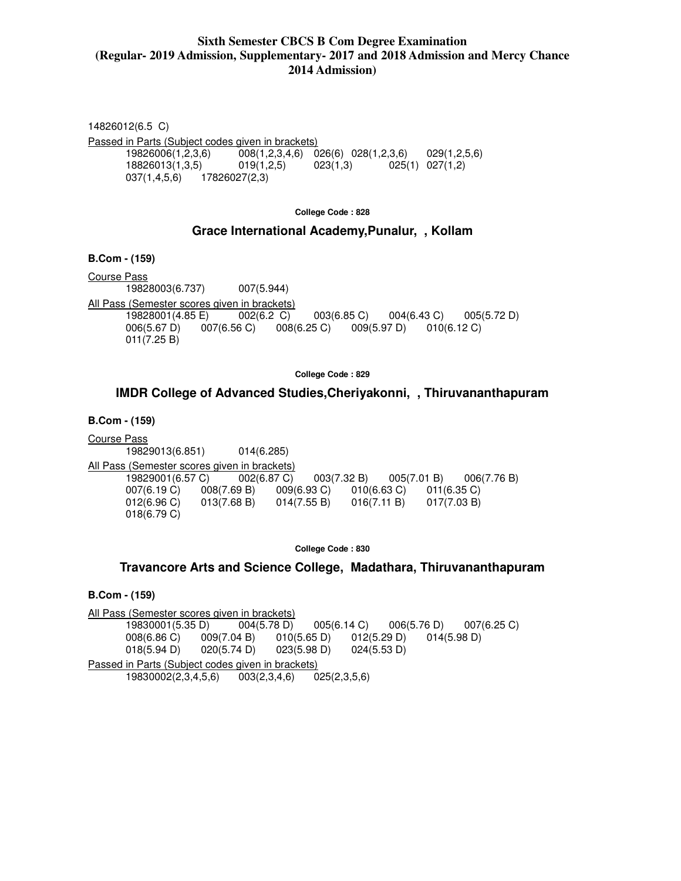14826012(6.5 C) Passed in Parts (Subject codes given in brackets) 19826006(1,2,3,6) 008(1,2,3,4,6) 026(6) 028(1,2,3,6) 029(1,2,5,6) 18826013(1,3,5) 019(1,2,5) 023(1,3) 025(1) 027(1,2) 037(1,4,5,6) 17826027(2,3)

**College Code : 828** 

### **Grace International Academy,Punalur, , Kollam**

**B.Com - (159)** 

Course Pass 19828003(6.737) 007(5.944) All Pass (Semester scores given in brackets) 19828001(4.85 E) 002(6.2 C) 003(6.85 C) 004(6.43 C) 005(5.72 D) 006(5.67 D) 007(6.56 C) 008(6.25 C) 009(5.97 D) 010(6.12 C) 011(7.25 B)

**College Code : 829** 

### **IMDR College of Advanced Studies,Cheriyakonni, , Thiruvananthapuram**

**B.Com - (159)** 

Course Pass 19829013(6.851) 014(6.285) All Pass (Semester scores given in brackets) 19829001(6.57 C) 002(6.87 C) 003(7.32 B) 005(7.01 B) 006(7.76 B) 007(6.19 C) 008(7.69 B) 009(6.93 C) 010(6.63 C) 011(6.35 C) 012(6.96 C) 013(7.68 B) 014(7.55 B) 016(7.11 B) 017(7.03 B) 018(6.79 C)

**College Code : 830** 

### **Travancore Arts and Science College, Madathara, Thiruvananthapuram**

**B.Com - (159)** 

All Pass (Semester scores given in brackets) 19830001(5.35 D) 004(5.78 D) 005(6.14 C) 006(5.76 D) 007(6.25 C) 008(6.86 C) 009(7.04 B) 010(5.65 D) 012(5.29 D) 014(5.98 D) 018(5.94 D) 020(5.74 D) 023(5.98 D) 024(5.53 D) Passed in Parts (Subject codes given in brackets) 19830002(2,3,4,5,6) 003(2,3,4,6) 025(2,3,5,6)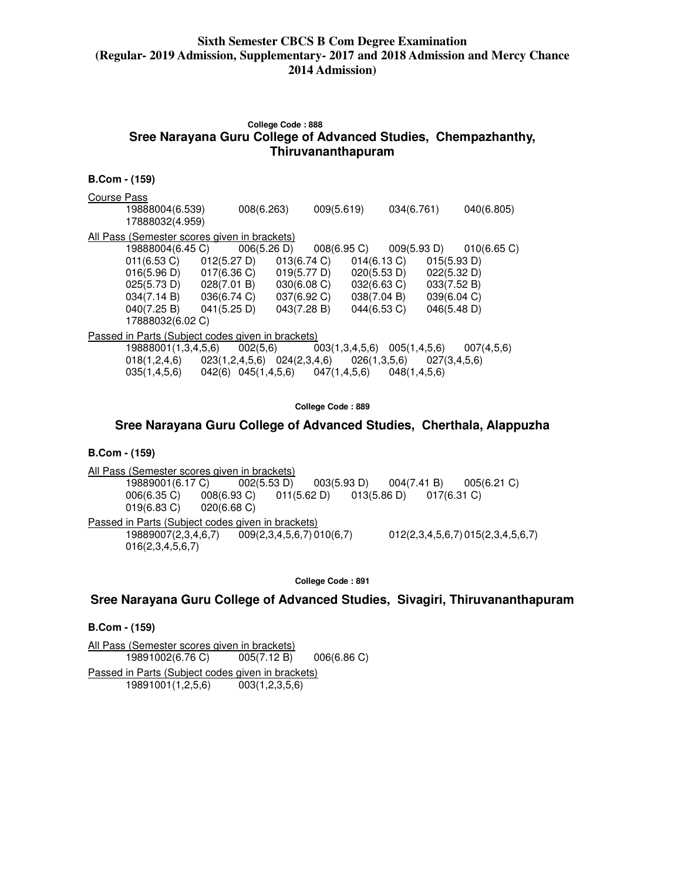# **College Code : 888 Sree Narayana Guru College of Advanced Studies, Chempazhanthy, Thiruvananthapuram**

| <b>B.Com - (159)</b>                                                                                                                  |                                                                                                                                                                                                                                           |                            |                |                                                                                        |                                                                                        |
|---------------------------------------------------------------------------------------------------------------------------------------|-------------------------------------------------------------------------------------------------------------------------------------------------------------------------------------------------------------------------------------------|----------------------------|----------------|----------------------------------------------------------------------------------------|----------------------------------------------------------------------------------------|
| Course Pass<br>19888004(6.539)<br>17888032(4.959)                                                                                     | 008(6.263)                                                                                                                                                                                                                                |                            | 009(5.619)     | 034(6.761)                                                                             | 040(6.805)                                                                             |
| All Pass (Semester scores given in brackets)<br>19888004(6.45 C)<br>$011(6.53)$ C)<br>$040(7.25 B)$ $041(5.25 D)$<br>17888032(6.02 C) | 006(5.26 D)<br>012(5.27 D)<br>$016(5.96 \text{ D})$ $017(6.36 \text{ C})$ $019(5.77 \text{ D})$<br>$025(5.73 \text{ D})$ $028(7.01 \text{ B})$ $030(6.08 \text{ C})$<br>$034(7.14 \text{ B})$ $036(6.74 \text{ C})$ $037(6.92 \text{ C})$ | 013(6.74 C)<br>043(7.28 B) | 008(6.95 C)    | 009(5.93 D)<br>014(6.13 C)<br>020(5.53 D)<br>032(6.63 C)<br>038(7.04 B)<br>044(6.53 C) | 010(6.65 C)<br>015(5.93 D)<br>022(5.32 D)<br>033(7.52 B)<br>039(6.04 C)<br>046(5.48 D) |
| Passed in Parts (Subject codes given in brackets)<br>19888001(1,3,4,5,6)<br>035(1,4,5,6)                                              | 002(5,6)<br>$018(1,2,4,6)$ $023(1,2,4,5,6)$ $024(2,3,4,6)$ $026(1,3,5,6)$ $027(3,4,5,6)$<br>042(6) 045(1,4,5,6) 047(1,4,5,6)                                                                                                              |                            | 003(1,3,4,5,6) | 005(1, 4, 5, 6)<br>048(1, 4, 5, 6)                                                     | 007(4,5,6)                                                                             |

**College Code : 889** 

# **Sree Narayana Guru College of Advanced Studies, Cherthala, Alappuzha**

### **B.Com - (159)**

All Pass (Semester scores given in brackets) 19889001(6.17 C) 002(5.53 D) 003(5.93 D) 004(7.41 B) 005(6.21 C) 006(6.35 C) 008(6.93 C) 011(5.62 D) 013(5.86 D) 017(6.31 C)<br>019(6.83 C) 020(6.68 C)  $019(6.83 \text{ C})$ Passed in Parts (Subject codes given in brackets)<br>19889007(2,3,4,6,7) 009(2,3,4,5,6,7) 0  $0.09(2,3,4,5,6,7) 010(6,7)$  012(2,3,4,5,6,7) 015(2,3,4,5,6,7) 016(2,3,4,5,6,7)

**College Code : 891** 

### **Sree Narayana Guru College of Advanced Studies, Sivagiri, Thiruvananthapuram**

#### **B.Com - (159)**

All Pass (Semester scores given in brackets) 19891002(6.76 C) 005(7.12 B) 006(6.86 C) Passed in Parts (Subject codes given in brackets)<br>19891001(1,2,5,6) 003(1,2,3,5,6) 19891001(1,2,5,6)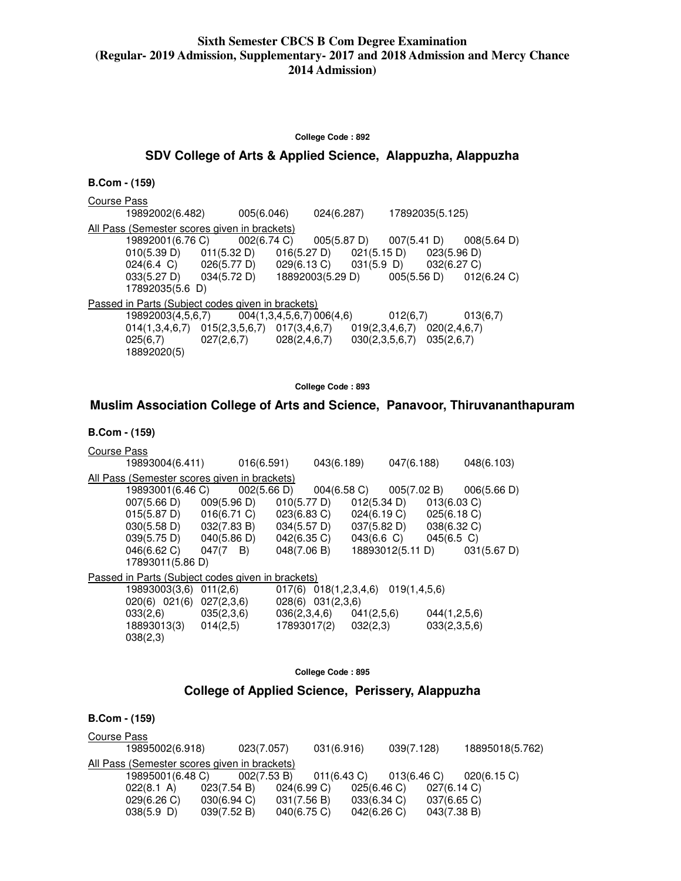#### **College Code : 892**

### **SDV College of Arts & Applied Science, Alappuzha, Alappuzha**

| <b>B.Com - (159)</b> |                                                                                       |             |                  |             |                                             |             |                 |                       |
|----------------------|---------------------------------------------------------------------------------------|-------------|------------------|-------------|---------------------------------------------|-------------|-----------------|-----------------------|
| Course Pass          |                                                                                       |             |                  |             |                                             |             |                 |                       |
|                      | 19892002(6.482)                                                                       | 005(6.046)  |                  | 024(6.287)  |                                             |             | 17892035(5.125) |                       |
|                      | All Pass (Semester scores given in brackets)                                          |             |                  |             |                                             |             |                 |                       |
|                      | 19892001(6.76 C)                                                                      | 002(6.74 C) |                  | 005(5.87 D) |                                             | 007(5.41 D) |                 | $008(5.64 \text{ D})$ |
|                      | $010(5.39 \text{ D})$ $011(5.32 \text{ D})$                                           |             |                  |             | $016(5.27 \text{ D})$ $021(5.15 \text{ D})$ |             | 023(5.96 D)     |                       |
|                      | $024(6.4 \text{ C})$ $026(5.77 \text{ D})$ $029(6.13 \text{ C})$ $031(5.9 \text{ D})$ |             |                  |             |                                             |             | 032(6.27 C)     |                       |
|                      | $033(5.27 \text{ D})$ $034(5.72 \text{ D})$                                           |             | 18892003(5.29 D) |             |                                             | 005(5.56 D) |                 | 012(6.24)             |
|                      | 17892035(5.6 D)                                                                       |             |                  |             |                                             |             |                 |                       |
|                      | <u>Passed in Parts (Subject codes given in brackets)</u>                              |             |                  |             |                                             |             |                 |                       |
|                      | $19892003(4,5,6,7)$ 004(1,3,4,5,6,7) 006(4,6)                                         |             |                  |             |                                             | 012(6,7)    |                 | 013(6,7)              |
|                      | $014(1,3,4,6,7)$ $015(2,3,5,6,7)$ $017(3,4,6,7)$                                      |             |                  |             | $019(2,3,4,6,7)$ $020(2,4,6,7)$             |             |                 |                       |
|                      | $025(6,7)$ 027 $(2,6,7)$                                                              |             | 028(2,4,6,7)     |             | 030(2,3,5,6,7)                              |             | 035(2,6,7)      |                       |
|                      | 18892020(5)                                                                           |             |                  |             |                                             |             |                 |                       |

**College Code : 893** 

### **Muslim Association College of Arts and Science, Panavoor, Thiruvananthapuram**

#### **B.Com - (159)**

| Course Pass |                                                   |          |                       |                                             |             |                  |                |             |
|-------------|---------------------------------------------------|----------|-----------------------|---------------------------------------------|-------------|------------------|----------------|-------------|
|             | 19893004(6.411) 016(6.591)                        |          |                       | 043(6.189)                                  |             | 047(6.188)       |                | 048(6.103)  |
|             | All Pass (Semester scores given in brackets)      |          |                       |                                             |             |                  |                |             |
|             | 19893001(6.46 C)                                  |          |                       | $002(5.66 \text{ D})$ $004(6.58 \text{ C})$ |             | 005(7.02 B)      |                | 006(5.66 D) |
|             | $007(5.66 \text{ D})$ $009(5.96 \text{ D})$       |          |                       | 010(5.77 D)                                 | 012(5.34 D) |                  | $013(6.03)$ C) |             |
|             | $015(5.87 \text{ D})$ $016(6.71 \text{ C})$       |          | $023(6.83)$ C)        |                                             | 024(6.19 C) |                  | 025(6.18 C)    |             |
|             | $030(5.58 \text{ D})$ $032(7.83 \text{ B})$       |          | $034(5.57 \text{ D})$ |                                             | 037(5.82 D) |                  | 038(6.32 C)    |             |
|             | $039(5.75 \text{ D})$ $040(5.86 \text{ D})$       |          | 042(6.35 C)           |                                             | 043(6.6 C)  |                  | $045(6.5)$ C)  |             |
|             | $046(6.62 \text{ C})$ $047(7 \text{ B})$          |          | 048(7.06 B)           |                                             |             | 18893012(5.11 D) |                | 031(5.67 D) |
|             | 17893011(5.86 D)                                  |          |                       |                                             |             |                  |                |             |
|             | Passed in Parts (Subject codes given in brackets) |          |                       |                                             |             |                  |                |             |
|             | 19893003(3,6)                                     | 011(2,6) |                       | 017(6) 018(1,2,3,4,6)                       |             | 019(1,4,5,6)     |                |             |
|             | $020(6)$ $021(6)$ $027(2,3,6)$                    |          |                       | 028(6) 031(2,3,6)                           |             |                  |                |             |
|             | $033(2,6)$ $035(2,3,6)$                           |          |                       | $036(2,3,4,6)$ $041(2,5,6)$                 |             |                  | 044(1,2,5,6)   |             |
|             | 18893013(3)                                       | 014(2,5) |                       | 17893017(2)                                 | 032(2,3)    |                  | 033(2,3,5,6)   |             |
|             | 038(2,3)                                          |          |                       |                                             |             |                  |                |             |
|             |                                                   |          |                       |                                             |             |                  |                |             |

**College Code : 895** 

### **College of Applied Science, Perissery, Alappuzha**

### **B.Com - (159)**  Course Pass 19895002(6.918) 023(7.057) 031(6.916) 039(7.128) 18895018(5.762) All Pass (Semester scores given in brackets) 19895001(6.48 C) 002(7.53 B) 011(6.43 C) 013(6.46 C) 020(6.15 C)<br>022(8.1 A) 023(7.54 B) 024(6.99 C) 025(6.46 C) 027(6.14 C)  $022(8.1 \text{ A})$   $023(7.54 \text{ B})$   $024(6.99 \text{ C})$  029(6.26 C) 030(6.94 C) 031(7.56 B) 033(6.34 C) 037(6.65 C) 038(5.9 D) 039(7.52 B) 040(6.75 C) 042(6.26 C) 043(7.38 B)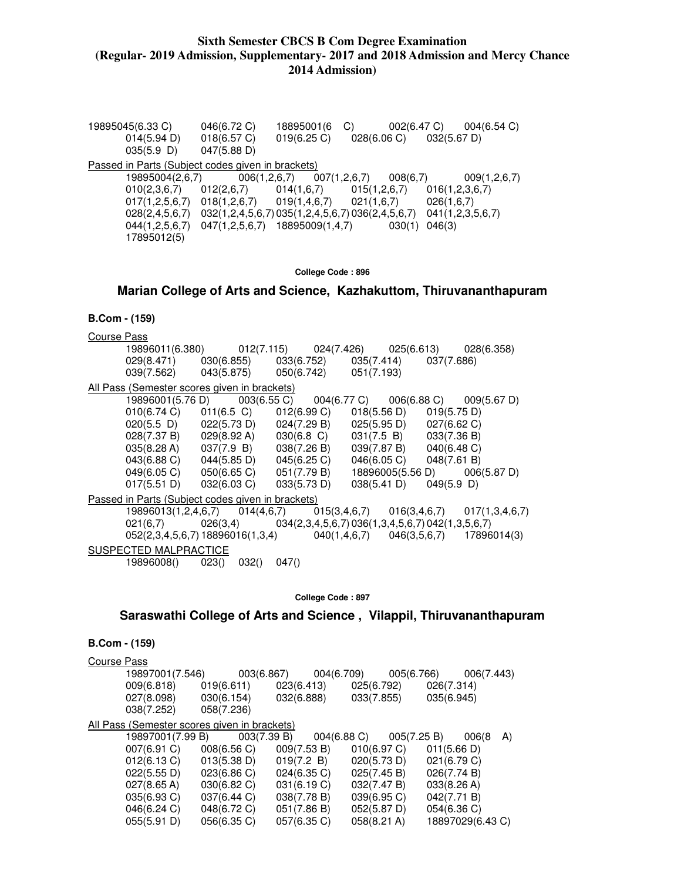19895045(6.33 C) 046(6.72 C) 18895001(6 C) 002(6.47 C) 004(6.54 C) 014(5.94 D) 018(6.57 C) 019(6.25 C) 028(6.06 C) 032(5.67 D) 035(5.9 D) 047(5.88 D) Passed in Parts (Subject codes given in brackets)<br>19895004(2,6,7) 006(1,2,6,7) 007(1,2,6,7) 19895004(2,6,7) 006(1,2,6,7) 007(1,2,6,7) 008(6,7) 009(1,2,6,7) 010(2,3,6,7) 012(2,6,7) 014(1,6,7) 015(1,2,6,7) 016(1,2,3,6,7) 017(1,2,5,6,7) 018(1,2,6,7) 019(1,4,6,7) 021(1,6,7) 026(1,6,7) 028(2,4,5,6,7) 032(1,2,4,5,6,7) 035(1,2,4,5,6,7) 036(2,4,5,6,7) 041(1,2,3,5,6,7) 044(1,2,5,6,7) 047(1,2,5,6,7) 18895009(1,4,7) 030(1) 046(3) 17895012(5)

#### **College Code : 896**

#### **Marian College of Arts and Science, Kazhakuttom, Thiruvananthapuram**

#### **B.Com - (159)**

Course Pass

|                                                                                                              | 19896011(6.380)     012(7.115)    024(7.426)    025(6.613)    028(6.358)          |       |                                                                   |             |                         |               |                              |
|--------------------------------------------------------------------------------------------------------------|-----------------------------------------------------------------------------------|-------|-------------------------------------------------------------------|-------------|-------------------------|---------------|------------------------------|
| 029(8.471) 030(6.855) 033(6.752) 035(7.414) 037(7.686)                                                       |                                                                                   |       |                                                                   |             |                         |               |                              |
| $039(7.562)$ $043(5.875)$ $050(6.742)$ $051(7.193)$                                                          |                                                                                   |       |                                                                   |             |                         |               |                              |
| All Pass (Semester scores given in brackets)                                                                 |                                                                                   |       |                                                                   |             |                         |               |                              |
|                                                                                                              |                                                                                   |       |                                                                   |             |                         |               |                              |
| $010(6.74 \text{ C})$ $011(6.5 \text{ C})$                                                                   |                                                                                   |       | $012(6.99 \text{ C})$ $018(5.56 \text{ D})$ $019(5.75 \text{ D})$ |             |                         |               |                              |
| $020(5.5 \text{ D})$ $022(5.73 \text{ D})$ $024(7.29 \text{ B})$ $025(5.95 \text{ D})$ $027(6.62 \text{ C})$ |                                                                                   |       |                                                                   |             |                         |               |                              |
| 028(7.37 B) 029(8.92 A) 030(6.8 C) 031(7.5 B) 033(7.36 B)                                                    |                                                                                   |       |                                                                   |             |                         |               |                              |
| 035(8.28 A) 037(7.9 B) 038(7.26 B) 039(7.87 B) 040(6.48 C)                                                   |                                                                                   |       |                                                                   |             |                         |               |                              |
| $043(6.88 \text{ C})$ $044(5.85 \text{ D})$ $045(6.25 \text{ C})$                                            |                                                                                   |       |                                                                   |             | 046(6.05 C) 048(7.61 B) |               |                              |
| 049(6.05 C) 050(6.65 C) 051(7.79 B)                                                                          |                                                                                   |       |                                                                   |             |                         |               | 18896005(5.56 D) 006(5.87 D) |
| $017(5.51 \text{ D})$ $032(6.03 \text{ C})$ $033(5.73 \text{ D})$                                            |                                                                                   |       |                                                                   | 038(5.41 D) |                         | $049(5.9)$ D) |                              |
| Passed in Parts (Subject codes given in brackets)                                                            |                                                                                   |       |                                                                   |             |                         |               |                              |
|                                                                                                              | 19896013(1,2,4,6,7) 014(4,6,7) 015(3,4,6,7) 016(3,4,6,7) 017(1,3,4,6,7)           |       |                                                                   |             |                         |               |                              |
|                                                                                                              | $021(6,7)$ $026(3,4)$ $034(2,3,4,5,6,7)$ $036(1,3,4,5,6,7)$ $042(1,3,5,6,7)$      |       |                                                                   |             |                         |               |                              |
|                                                                                                              | $0.052(2,3,4,5,6,7)$ 18896016(1,3,4) $0.40(1,4,6,7)$ $0.046(3,5,6,7)$ 17896014(3) |       |                                                                   |             |                         |               |                              |
| SUSPECTED MALPRACTICE                                                                                        |                                                                                   |       |                                                                   |             |                         |               |                              |
| 19896008() 023()                                                                                             | 032()                                                                             | 047() |                                                                   |             |                         |               |                              |

**College Code : 897** 

**Saraswathi College of Arts and Science , Vilappil, Thiruvananthapuram** 

| B.Com - (159) |  |  |  |
|---------------|--|--|--|
|---------------|--|--|--|

Course Pass 19897001(7.546) 003(6.867) 004(6.709) 005(6.766) 006(7.443)  $009(6.818)$   $019(6.611)$   $023(6.413)$  027(8.098) 030(6.154) 032(6.888) 033(7.855) 035(6.945) 038(7.252) 058(7.236) All Pass (Semester scores given in brackets) 19897001(7.99 B) 003(7.39 B) 004(6.88 C) 005(7.25 B) 006(8 A) 007(6.91 C) 008(6.56 C) 009(7.53 B) 010(6.97 C) 011(5.66 D) 012(6.13 C) 013(5.38 D) 019(7.2 B) 020(5.73 D) 021(6.79 C) 022(5.55 D) 023(6.86 C) 024(6.35 C) 025(7.45 B) 026(7.74 B) 027(8.65 A) 030(6.82 C) 031(6.19 C) 032(7.47 B) 033(8.26 A) 035(6.93 C) 037(6.44 C) 038(7.78 B) 039(6.95 C) 042(7.71 B) 046(6.24 C) 048(6.72 C) 051(7.86 B) 052(5.87 D) 054(6.36 C) 055(5.91 D) 056(6.35 C) 057(6.35 C) 058(8.21 A) 18897029(6.43 C)